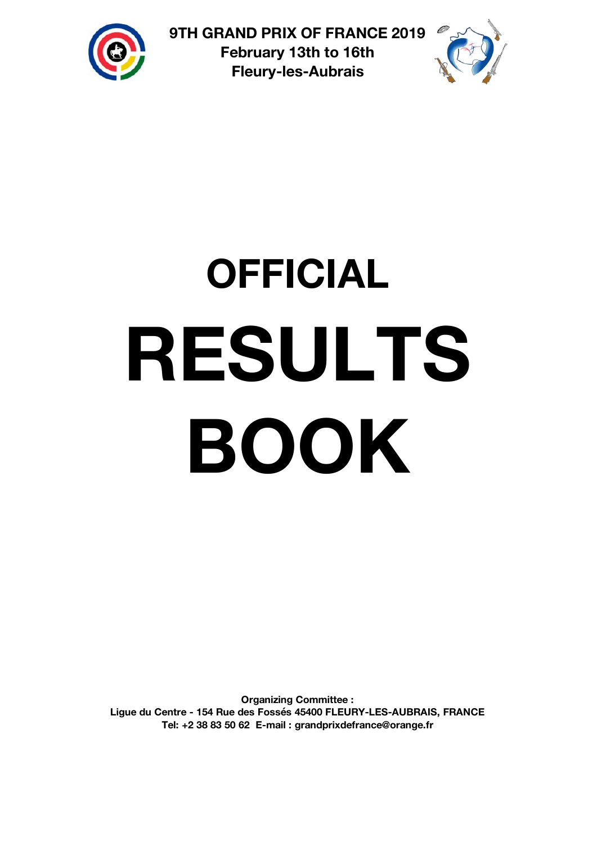

**9TH GRAND PRIX OF FRANCE 2019 February 13th to 16th Fleury-les-Aubrais**



# **OFFICIAL RESULTS BOOK**

**Organizing Committee : Ligue du Centre - 154 Rue des Fossés 45400 FLEURY-LES-AUBRAIS, FRANCE Tel: +2 38 83 50 62 E-mail : grandprixdefrance@orange.fr**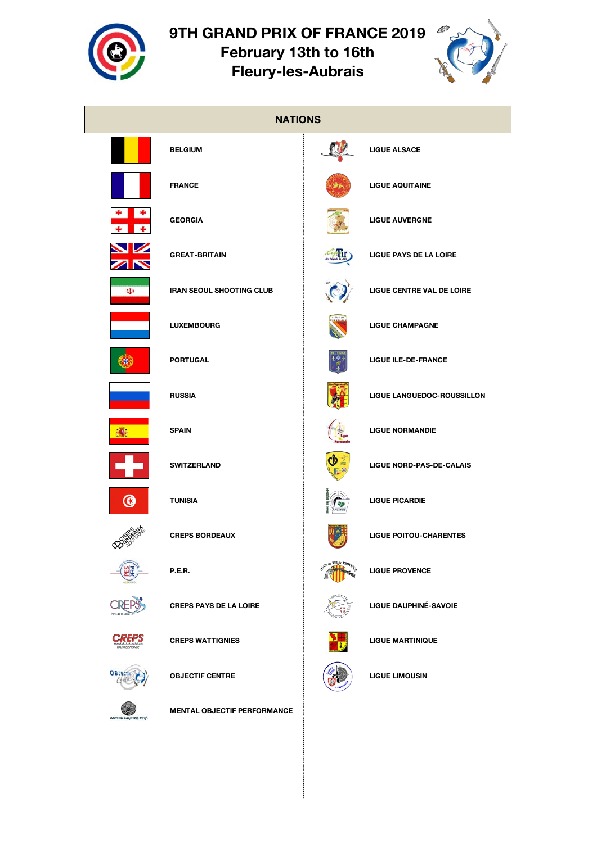

ľ

# **9TH GRAND PRIX OF FRANCE 2019**

**February 13th to 16th**

**Fleury-les-Aubrais**



|                       | <b>NATIONS</b>                     |                       |                                 |
|-----------------------|------------------------------------|-----------------------|---------------------------------|
|                       | <b>BELGIUM</b>                     |                       | <b>LIGUE ALSACE</b>             |
|                       | <b>FRANCE</b>                      |                       | <b>LIGUE AQUITAINE</b>          |
|                       | <b>GEORGIA</b>                     |                       | <b>LIGUE AUVERGNE</b>           |
|                       | <b>GREAT-BRITAIN</b>               |                       | LIGUE PAYS DE LA LOIRE          |
| D                     | <b>IRAN SEOUL SHOOTING CLUB</b>    |                       | LIGUE CENTRE VAL DE LOIRE       |
|                       | <b>LUXEMBOURG</b>                  |                       | <b>LIGUE CHAMPAGNE</b>          |
|                       | <b>PORTUGAL</b>                    |                       | <b>LIGUE ILE-DE-FRANCE</b>      |
|                       | <b>RUSSIA</b>                      |                       | LIGUE LANGUEDOC-ROUSSILLON      |
|                       | <b>SPAIN</b>                       |                       | <b>LIGUE NORMANDIE</b>          |
|                       | <b>SWITZERLAND</b>                 |                       | <b>LIGUE NORD-PAS-DE-CALAIS</b> |
| G)                    | <b>TUNISIA</b>                     |                       | <b>LIGUE PICARDIE</b>           |
|                       | <b>CREPS BORDEAUX</b>              |                       | <b>LIGUE POITOU-CHARENTES</b>   |
|                       | P.E.R.                             | July de TIR de PROVEZ | <b>LIGUE PROVENCE</b>           |
|                       | <b>CREPS PAYS DE LA LOIRE</b>      |                       | <b>LIGUE DAUPHINÉ-SAVOIE</b>    |
|                       | <b>CREPS WATTIGNIES</b>            |                       | <b>LIGUE MARTINIQUE</b>         |
| <b>OBJECT</b>         | <b>OBJECTIF CENTRE</b>             |                       | <b>LIGUE LIMOUSIN</b>           |
| Mental-Objectif-Perf. | <b>MENTAL OBJECTIF PERFORMANCE</b> |                       |                                 |
|                       |                                    |                       |                                 |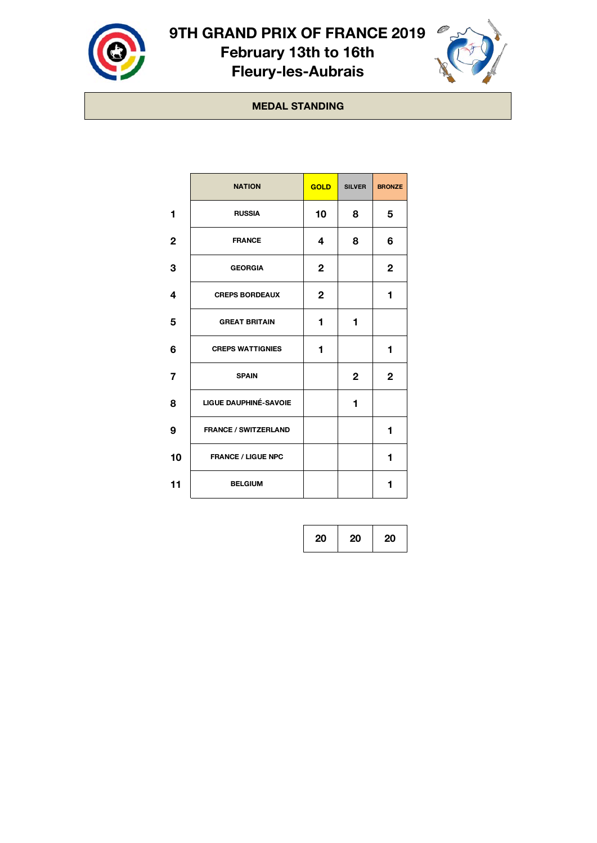

# 9TH GRAND PRIX OF FRANCE 2019

**February 13th to 16th Fleury-les-Aubrais**



#### **MEDAL STANDING**

|              | <b>NATION</b>                | <b>GOLD</b> | <b>SILVER</b> | <b>BRONZE</b> |
|--------------|------------------------------|-------------|---------------|---------------|
| 1            | <b>RUSSIA</b>                | 10          | 8             | 5             |
| $\mathbf{2}$ | <b>FRANCE</b>                | 4           | 8             | 6             |
| 3            | <b>GEORGIA</b>               | 2           |               | $\mathbf 2$   |
| 4            | <b>CREPS BORDEAUX</b>        | 2           |               | 1             |
| 5            | <b>GREAT BRITAIN</b>         | 1           | 1             |               |
| 6            | <b>CREPS WATTIGNIES</b>      | 1           |               | 1             |
| 7            | <b>SPAIN</b>                 |             | $\mathbf{2}$  | $\mathbf 2$   |
| 8            | <b>LIGUE DAUPHINÉ-SAVOIE</b> |             | 1             |               |
| 9            | <b>FRANCE / SWITZERLAND</b>  |             |               | 1             |
| 10           | <b>FRANCE / LIGUE NPC</b>    |             |               | 1             |
| 11           | <b>BELGIUM</b>               |             |               | 1             |

**20 20 20**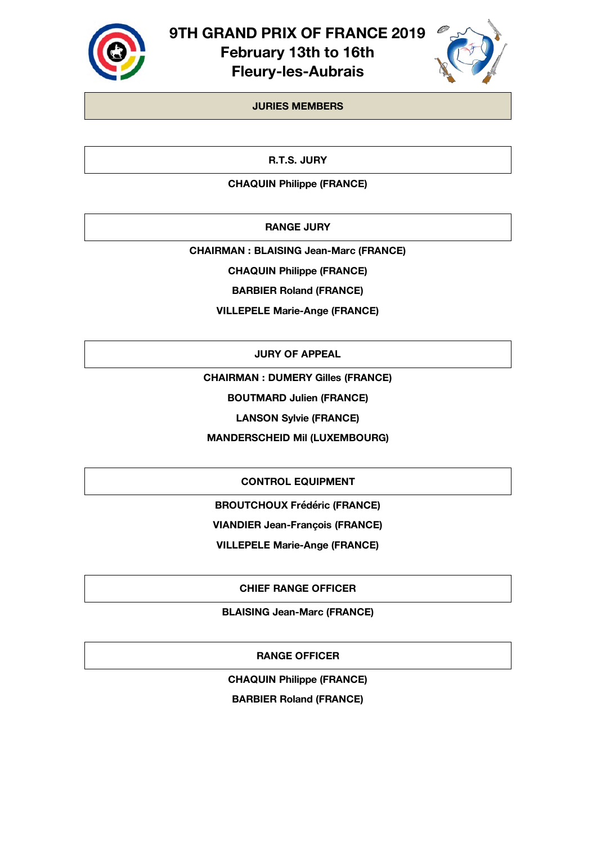

**9TH GRAND PRIX OF FRANCE 2019**

**February 13th to 16th**

**Fleury-les-Aubrais**



#### **JURIES MEMBERS**

**R.T.S. JURY**

#### **CHAQUIN Philippe (FRANCE)**

**RANGE JURY**

**CHAIRMAN : BLAISING Jean-Marc (FRANCE)**

**CHAQUIN Philippe (FRANCE)**

**BARBIER Roland (FRANCE)**

**VILLEPELE Marie-Ange (FRANCE)**

**JURY OF APPEAL**

**CHAIRMAN : DUMERY Gilles (FRANCE)**

**BOUTMARD Julien (FRANCE)**

**LANSON Sylvie (FRANCE)**

**MANDERSCHEID Mil (LUXEMBOURG)**

**CONTROL EQUIPMENT**

**BROUTCHOUX Frédéric (FRANCE)**

**VIANDIER Jean-François (FRANCE)**

**VILLEPELE Marie-Ange (FRANCE)**

**CHIEF RANGE OFFICER**

**BLAISING Jean-Marc (FRANCE)**

**RANGE OFFICER**

**CHAQUIN Philippe (FRANCE)**

**BARBIER Roland (FRANCE)**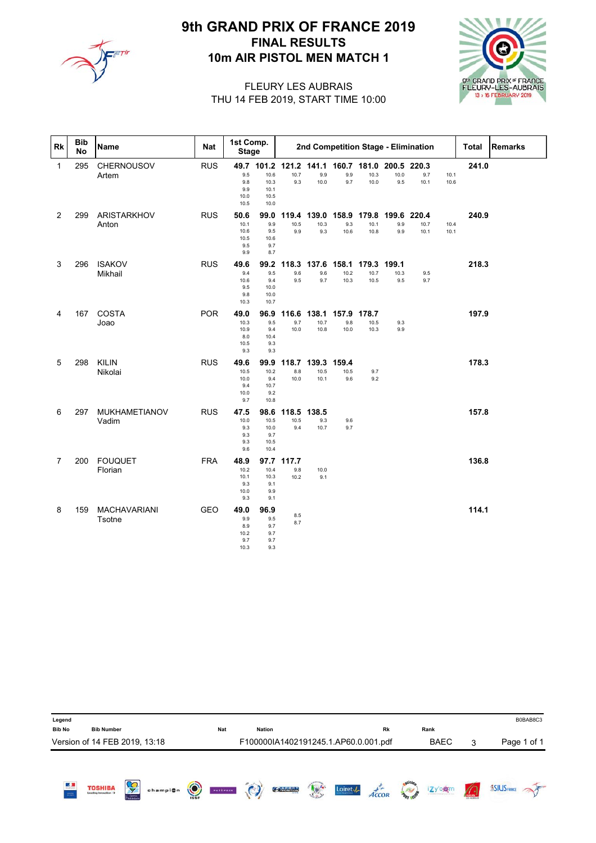

# 10m AIR PISTOL MEN MATCH 1 FINAL RESULTS 9th GRAND PRIX OF FRANCE 2019



 $\overline{\phantom{a}}$ 

#### THU 14 FEB 2019, START TIME 10:00 FLEURY LES AUBRAIS

| <b>Rk</b>      | <b>Bib</b><br>No | Name                          | Nat        | 1st Comp.<br><b>Stage</b>                  |                                             |                      |                                 |                                                              |                       |                      | 2nd Competition Stage - Elimination |              | Total | <b>Remarks</b> |
|----------------|------------------|-------------------------------|------------|--------------------------------------------|---------------------------------------------|----------------------|---------------------------------|--------------------------------------------------------------|-----------------------|----------------------|-------------------------------------|--------------|-------|----------------|
| $\mathbf{1}$   | 295              | CHERNOUSOV<br>Artem           | <b>RUS</b> | 9.5<br>9.8<br>9.9<br>10.0<br>10.5          | 10.6<br>10.3<br>10.1<br>10.5<br>10.0        | 10.7<br>9.3          | 9.9<br>10.0                     | 49.7 101.2 121.2 141.1 160.7 181.0 200.5 220.3<br>9.9<br>9.7 | 10.3<br>10.0          | 10.0<br>9.5          | 9.7<br>10.1                         | 10.1<br>10.6 | 241.0 |                |
| 2              | 299              | ARISTARKHOV<br>Anton          | <b>RUS</b> | 50.6<br>10.1<br>10.6<br>10.5<br>9.5<br>9.9 | 99.0<br>9.9<br>9.5<br>10.6<br>9.7<br>8.7    | 119.4<br>10.5<br>9.9 | 139.0<br>10.3<br>9.3            | 158.9<br>9.3<br>10.6                                         | 179.8<br>10.1<br>10.8 | 199.6<br>9.9<br>9.9  | 220.4<br>10.7<br>10.1               | 10.4<br>10.1 | 240.9 |                |
| 3              | 296              | <b>ISAKOV</b><br>Mikhail      | <b>RUS</b> | 49.6<br>9.4<br>10.6<br>9.5<br>9.8<br>10.3  | 99.2<br>9.5<br>9.4<br>10.0<br>10.0<br>10.7  | 9.6<br>9.5           | 118.3 137.6 158.1<br>9.6<br>9.7 | 10.2<br>10.3                                                 | 179.3<br>10.7<br>10.5 | 199.1<br>10.3<br>9.5 | 9.5<br>9.7                          |              | 218.3 |                |
| 4              | 167              | COSTA<br>Joao                 | <b>POR</b> | 49.0<br>10.3<br>10.9<br>8.0<br>10.5<br>9.3 | 96.9<br>9.5<br>9.4<br>10.4<br>9.3<br>9.3    | 116.6<br>9.7<br>10.0 | 138.1<br>10.7<br>10.8           | 157.9<br>9.8<br>10.0                                         | 178.7<br>10.5<br>10.3 | 9.3<br>9.9           |                                     |              | 197.9 |                |
| 5              | 298              | <b>KILIN</b><br>Nikolai       | <b>RUS</b> | 49.6<br>10.5<br>10.0<br>9.4<br>10.0<br>9.7 | 99.9<br>10.2<br>9.4<br>10.7<br>9.2<br>10.8  | 118.7<br>8.8<br>10.0 | 10.5<br>10.1                    | 139.3 159.4<br>10.5<br>9.6                                   | 9.7<br>9.2            |                      |                                     |              | 178.3 |                |
| 6              | 297              | <b>MUKHAMETIANOV</b><br>Vadim | <b>RUS</b> | 47.5<br>10.0<br>9.3<br>9.3<br>9.3<br>9.6   | 98.6<br>10.5<br>10.0<br>9.7<br>10.5<br>10.4 | 118.5<br>10.5<br>9.4 | 138.5<br>9.3<br>10.7            | 9.6<br>9.7                                                   |                       |                      |                                     |              | 157.8 |                |
| $\overline{7}$ | 200              | <b>FOUQUET</b><br>Florian     | <b>FRA</b> | 48.9<br>10.2<br>10.1<br>9.3<br>10.0<br>9.3 | 97.7<br>10.4<br>10.3<br>9.1<br>9.9<br>9.1   | 117.7<br>9.8<br>10.2 | 10.0<br>9.1                     |                                                              |                       |                      |                                     |              | 136.8 |                |
| 8              | 159              | <b>MACHAVARIANI</b><br>Tsotne | GEO        | 49.0<br>9.9<br>8.9<br>10.2<br>9.7<br>10.3  | 96.9<br>9.5<br>9.7<br>9.7<br>9.7<br>9.3     | 8.5<br>8.7           |                                 |                                                              |                       |                      |                                     |              | 114.1 |                |

| Legend              |                               |              |          |            |            |               |                                      |                                                                                                                                                                                                                                                                                                                                                     |                     |                       |                 |             |                 | B0BAB8C3            |
|---------------------|-------------------------------|--------------|----------|------------|------------|---------------|--------------------------------------|-----------------------------------------------------------------------------------------------------------------------------------------------------------------------------------------------------------------------------------------------------------------------------------------------------------------------------------------------------|---------------------|-----------------------|-----------------|-------------|-----------------|---------------------|
| <b>Bib No</b>       | <b>Bib Number</b>             |              |          |            | <b>Nat</b> | <b>Nation</b> |                                      |                                                                                                                                                                                                                                                                                                                                                     |                     | Rk                    |                 | Rank        |                 |                     |
|                     | Version of 14 FEB 2019, 13:18 |              |          |            |            |               | F100000IA1402191245.1.AP60.0.001.pdf |                                                                                                                                                                                                                                                                                                                                                     |                     |                       |                 | <b>BAEC</b> | 3               | Page 1 of 1         |
| E.<br>$\frac{1}{2}$ | <b>TOSHIBA</b>                | Ş<br>Centre- | champion | $\bigodot$ | PATÁPAIN   | $\odot$       | <b>Opesition</b>                     | $\begin{picture}(120,10) \put(0,0){\line(1,0){10}} \put(15,0){\line(1,0){10}} \put(15,0){\line(1,0){10}} \put(15,0){\line(1,0){10}} \put(15,0){\line(1,0){10}} \put(15,0){\line(1,0){10}} \put(15,0){\line(1,0){10}} \put(15,0){\line(1,0){10}} \put(15,0){\line(1,0){10}} \put(15,0){\line(1,0){10}} \put(15,0){\line(1,0){10}} \put(15,0){\line($ | Loiret <sub>-</sub> | $A\stackrel{t}{CCOR}$ | <b>BAT ISID</b> | izy'ogm     | $\sqrt{\Omega}$ | <b>ASIUS FRANCE</b> |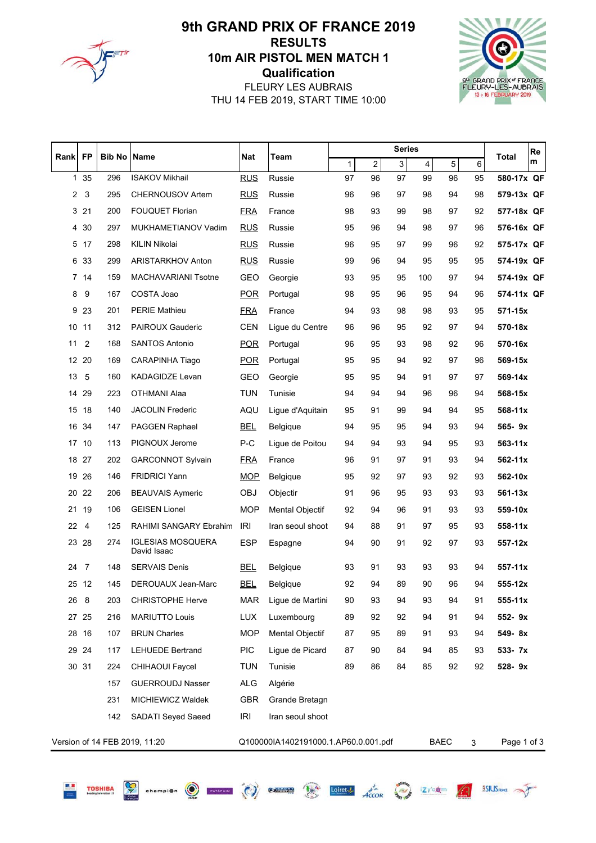

**TOSHIBA** 

#### FLEURY LES AUBRAIS **Qualification** 10m AIR PISTOL MEN MATCH 1 RESULTS 9th GRAND PRIX OF FRANCE 2019

THU 14 FEB 2019, START TIME 10:00



|                           | <b>FP</b>      | <b>Bib No</b> | <b>Name</b>                             | Nat              | Team                                 |    |    | <b>Series</b> |     |             |    | Re<br><b>Total</b> |  |
|---------------------------|----------------|---------------|-----------------------------------------|------------------|--------------------------------------|----|----|---------------|-----|-------------|----|--------------------|--|
| Rank                      |                |               |                                         |                  |                                      | 1  | 2  | $\mathsf 3$   | 4   | 5           | 6  | m                  |  |
| 1                         | 35             | 296           | <b>ISAKOV Mikhail</b>                   | <b>RUS</b>       | Russie                               | 97 | 96 | 97            | 99  | 96          | 95 | 580-17x QF         |  |
| 2                         | 3              | 295           | <b>CHERNOUSOV Artem</b>                 | <u>RUS</u>       | Russie                               | 96 | 96 | 97            | 98  | 94          | 98 | 579-13x QF         |  |
| 3                         | 21             | 200           | <b>FOUQUET Florian</b>                  | <b>FRA</b>       | France                               | 98 | 93 | 99            | 98  | 97          | 92 | 577-18x QF         |  |
| 4                         | 30             | 297           | MUKHAMETIANOV Vadim                     | <b>RUS</b>       | Russie                               | 95 | 96 | 94            | 98  | 97          | 96 | 576-16x QF         |  |
| 5                         | 17             | 298           | KILIN Nikolai                           | <u>RUS</u>       | Russie                               | 96 | 95 | 97            | 99  | 96          | 92 | 575-17x QF         |  |
| 6                         | 33             | 299           | <b>ARISTARKHOV Anton</b>                | <u>RUS</u>       | Russie                               | 99 | 96 | 94            | 95  | 95          | 95 | 574-19x QF         |  |
| 7                         | 14             | 159           | MACHAVARIANI Tsotne                     | GEO              | Georgie                              | 93 | 95 | 95            | 100 | 97          | 94 | 574-19x QF         |  |
| 8                         | 9              | 167           | COSTA Joao                              | <b>POR</b>       | Portugal                             | 98 | 95 | 96            | 95  | 94          | 96 | 574-11x QF         |  |
| 9                         | 23             | 201           | <b>PERIE Mathieu</b>                    | <b>FRA</b>       | France                               | 94 | 93 | 98            | 98  | 93          | 95 | 571-15x            |  |
| 10                        | 11             | 312           | <b>PAIROUX Gauderic</b>                 | <b>CEN</b>       | Ligue du Centre                      | 96 | 96 | 95            | 92  | 97          | 94 | 570-18x            |  |
| 11                        | 2              | 168           | <b>SANTOS Antonio</b>                   | <b>POR</b>       | Portugal                             | 96 | 95 | 93            | 98  | 92          | 96 | 570-16x            |  |
|                           | 12 20          | 169           | CARAPINHA Tiago                         | <b>POR</b>       | Portugal                             | 95 | 95 | 94            | 92  | 97          | 96 | 569-15x            |  |
| 13                        | 5              | 160           | <b>KADAGIDZE Levan</b>                  | <b>GEO</b>       | Georgie                              | 95 | 95 | 94            | 91  | 97          | 97 | 569-14x            |  |
| 14                        | 29             | 223           | OTHMANI Alaa                            | <b>TUN</b>       | Tunisie                              | 94 | 94 | 94            | 96  | 96          | 94 | 568-15x            |  |
| 15                        | 18             | 140           | <b>JACOLIN Frederic</b>                 | AQU              | Ligue d'Aquitain                     | 95 | 91 | 99            | 94  | 94          | 95 | 568-11x            |  |
| 16                        | 34             | 147           | PAGGEN Raphael                          | <b>BEL</b>       | Belgique                             | 94 | 95 | 95            | 94  | 93          | 94 | 565-9x             |  |
| 17                        | 10             | 113           | PIGNOUX Jerome                          | P-C              | Ligue de Poitou                      | 94 | 94 | 93            | 94  | 95          | 93 | $563 - 11x$        |  |
|                           | 18 27          | 202           | <b>GARCONNOT Sylvain</b>                | FRA              | France                               | 96 | 91 | 97            | 91  | 93          | 94 | 562-11x            |  |
| 19                        | 26             | 146           | <b>FRIDRICI Yann</b>                    | <b>MOP</b>       | <b>Belgique</b>                      | 95 | 92 | 97            | 93  | 92          | 93 | 562-10x            |  |
| 20                        | 22             | 206           | <b>BEAUVAIS Aymeric</b>                 | <b>OBJ</b>       | Objectir                             | 91 | 96 | 95            | 93  | 93          | 93 | 561-13x            |  |
| 21                        | 19             | 106           | <b>GEISEN Lionel</b>                    | <b>MOP</b>       | <b>Mental Objectif</b>               | 92 | 94 | 96            | 91  | 93          | 93 | 559-10x            |  |
| 22                        | $\overline{4}$ | 125           | RAHIMI SANGARY Ebrahim                  | <b>IRI</b>       | Iran seoul shoot                     | 94 | 88 | 91            | 97  | 95          | 93 | 558-11x            |  |
|                           | 23 28          | 274           | <b>IGLESIAS MOSQUERA</b><br>David Isaac | <b>ESP</b>       | Espagne                              | 94 | 90 | 91            | 92  | 97          | 93 | 557-12x            |  |
| 24                        | $\overline{7}$ | 148           | <b>SERVAIS Denis</b>                    | <b>BEL</b>       | Belgique                             | 93 | 91 | 93            | 93  | 93          | 94 | $557 - 11x$        |  |
| 25                        | -12            | 145           | DEROUAUX Jean-Marc                      | BEL              | <b>Belgigue</b>                      | 92 | 94 | 89            | 90  | 96          | 94 | 555-12x            |  |
| 26                        | 8              | 203           | <b>CHRISTOPHE Herve</b>                 | <b>MAR</b>       | Ligue de Martini                     | 90 | 93 | 94            | 93  | 94          | 91 | 555-11x            |  |
|                           | 27 25          | 216           | <b>MARIUTTO Louis</b>                   | <b>LUX</b>       | Luxembourg                           | 89 | 92 | 92            | 94  | 91          | 94 | 552-9x             |  |
|                           | 28 16          | 107           | <b>BRUN Charles</b>                     | <b>MOP</b>       | Mental Objectif                      | 87 | 95 | 89            | 91  | 93          | 94 | 549-8x             |  |
|                           | 29 24          | 117           | <b>LEHUEDE Bertrand</b>                 | <b>PIC</b>       | Ligue de Picard                      | 87 | 90 | 84            | 94  | 85          | 93 | 533- 7x            |  |
|                           | 30 31          | 224           | CHIHAOUI Faycel                         | <b>TUN</b>       | Tunisie                              | 89 | 86 | 84            | 85  | 92          | 92 | 528-9x             |  |
|                           |                | 157           | <b>GUERROUDJ Nasser</b>                 | <b>ALG</b>       | Algérie                              |    |    |               |     |             |    |                    |  |
|                           |                | 231           | MICHIEWICZ Waldek                       | <b>GBR</b>       | Grande Bretagn                       |    |    |               |     |             |    |                    |  |
| 142<br>SADATI Seyed Saeed |                |               | <b>IRI</b>                              | Iran seoul shoot |                                      |    |    |               |     |             |    |                    |  |
|                           |                |               | Version of 14 FEB 2019, 11:20           |                  | Q100000IA1402191000.1.AP60.0.001.pdf |    |    |               |     | <b>BAEC</b> | 3  | Page 1 of 3        |  |

Samples Computer (C) Computer to Loirett Accor 12YOR 12YOR 13SIUSHANE 25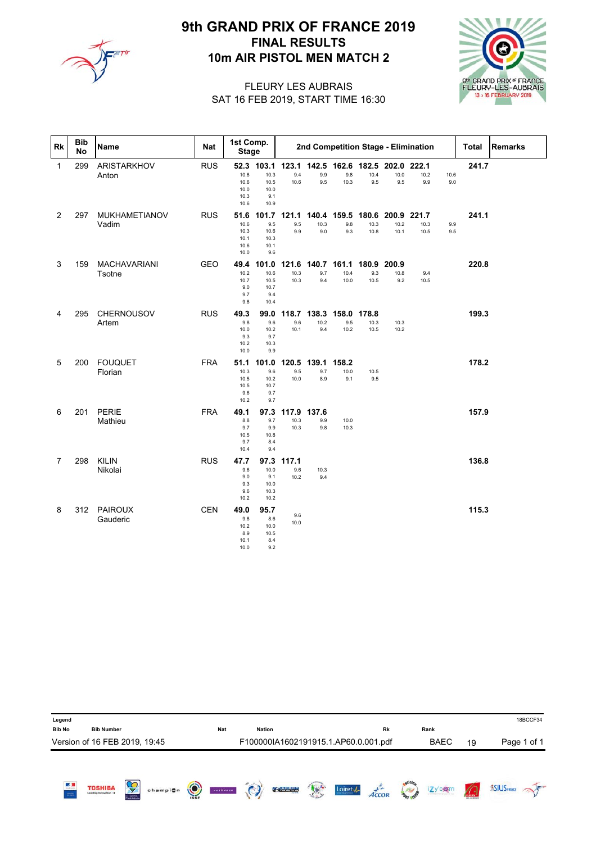

# 10m AIR PISTOL MEN MATCH 2 FINAL RESULTS 9th GRAND PRIX OF FRANCE 2019



#### SAT 16 FEB 2019, START TIME 16:30 FLEURY LES AUBRAIS

| Rk             | <b>Bib</b><br><b>No</b> | Name                          | <b>Nat</b> | 1st Comp.<br><b>Stage</b>                    |                                                   |                       |                           |                                   |                       |                                  | 2nd Competition Stage - Elimination |             | <b>Total</b> | <b>Remarks</b> |
|----------------|-------------------------|-------------------------------|------------|----------------------------------------------|---------------------------------------------------|-----------------------|---------------------------|-----------------------------------|-----------------------|----------------------------------|-------------------------------------|-------------|--------------|----------------|
| 1              | 299                     | ARISTARKHOV<br>Anton          | <b>RUS</b> | 10.8<br>10.6<br>10.0<br>10.3<br>10.6         | 52.3 103.1<br>10.3<br>10.5<br>10.0<br>9.1<br>10.9 | 123.1<br>9.4<br>10.6  | 9.9<br>9.5                | 142.5 162.6<br>9.8<br>10.3        | 10.4<br>9.5           | 182.5 202.0 222.1<br>10.0<br>9.5 | 10.2<br>9.9                         | 10.6<br>9.0 | 241.7        |                |
| $\overline{c}$ | 297                     | <b>MUKHAMETIANOV</b><br>Vadim | <b>RUS</b> | 51.6<br>10.6<br>10.3<br>10.1<br>10.6<br>10.0 | 101.7<br>9.5<br>10.6<br>10.3<br>10.1<br>9.6       | 121.1<br>9.5<br>9.9   | 140.4<br>10.3<br>9.0      | 159.5<br>9.8<br>9.3               | 180.6<br>10.3<br>10.8 | 200.9<br>10.2<br>10.1            | 221.7<br>10.3<br>10.5               | 9.9<br>9.5  | 241.1        |                |
| 3              | 159                     | MACHAVARIANI<br>Tsotne        | <b>GEO</b> | 49.4<br>10.2<br>10.7<br>9.0<br>9.7<br>9.8    | 101.0<br>10.6<br>10.5<br>10.7<br>9.4<br>10.4      | 10.3<br>10.3          | 9.7<br>9.4                | 121.6 140.7 161.1<br>10.4<br>10.0 | 9.3<br>10.5           | 180.9 200.9<br>10.8<br>9.2       | 9.4<br>10.5                         |             | 220.8        |                |
| 4              | 295                     | CHERNOUSOV<br>Artem           | <b>RUS</b> | 49.3<br>9.8<br>10.0<br>9.3<br>10.2<br>10.0   | 99.0<br>9.6<br>10.2<br>9.7<br>10.3<br>9.9         | 118.7<br>9.6<br>10.1  | 138.3<br>10.2<br>9.4      | 158.0<br>9.5<br>10.2              | 178.8<br>10.3<br>10.5 | 10.3<br>10.2                     |                                     |             | 199.3        |                |
| 5              | 200                     | <b>FOUQUET</b><br>Florian     | <b>FRA</b> | 51.1<br>10.3<br>10.5<br>10.5<br>9.6<br>10.2  | 101.0<br>9.6<br>10.2<br>10.7<br>9.7<br>9.7        | 9.5<br>10.0           | 120.5 139.1<br>9.7<br>8.9 | 158.2<br>10.0<br>9.1              | 10.5<br>9.5           |                                  |                                     |             | 178.2        |                |
| 6              | 201                     | PERIE<br>Mathieu              | <b>FRA</b> | 49.1<br>8.8<br>9.7<br>10.5<br>9.7<br>10.4    | 97.3<br>9.7<br>9.9<br>10.8<br>8.4<br>9.4          | 117.9<br>10.3<br>10.3 | 137.6<br>9.9<br>9.8       | 10.0<br>10.3                      |                       |                                  |                                     |             | 157.9        |                |
| $\overline{7}$ | 298                     | <b>KILIN</b><br>Nikolai       | <b>RUS</b> | 47.7<br>9.6<br>9.0<br>9.3<br>9.6<br>10.2     | 97.3<br>10.0<br>9.1<br>10.0<br>10.3<br>10.2       | 117.1<br>9.6<br>10.2  | 10.3<br>9.4               |                                   |                       |                                  |                                     |             | 136.8        |                |
| 8              |                         | 312 PAIROUX<br>Gauderic       | <b>CEN</b> | 49.0<br>9.8<br>10.2<br>8.9<br>10.1<br>10.0   | 95.7<br>8.6<br>10.0<br>10.5<br>8.4<br>9.2         | 9.6<br>10.0           |                           |                                   |                       |                                  |                                     |             | 115.3        |                |

| Legend             |                               |                            |          |         |          |               |                                      |     |                             |                                |                  |             |                 | 18BCCF34            |
|--------------------|-------------------------------|----------------------------|----------|---------|----------|---------------|--------------------------------------|-----|-----------------------------|--------------------------------|------------------|-------------|-----------------|---------------------|
| <b>Bib No</b>      | <b>Bib Number</b>             |                            |          |         | Nat      | <b>Nation</b> |                                      |     |                             | Rk                             |                  | Rank        |                 |                     |
|                    | Version of 16 FEB 2019, 19:45 |                            |          |         |          |               | F100000IA1602191915.1.AP60.0.001.pdf |     |                             |                                |                  | <b>BAEC</b> | 19              | Page 1 of 1         |
| 區<br>$\frac{1}{2}$ | <b>TOSHIBA</b>                | Ş<br>Centre<br>Vol de Loir | champi@n | $\odot$ | PATAPAIN | $\odot$       | <b>OBSSERV</b>                       | tox | Loiret $\sqrt{\phantom{a}}$ | $A\acute{c}\acute{c}\acute{c}$ | <b>BAT ISIDE</b> | izy'e@m     | $\sqrt{\Omega}$ | <b>SSIUS FRANCE</b> |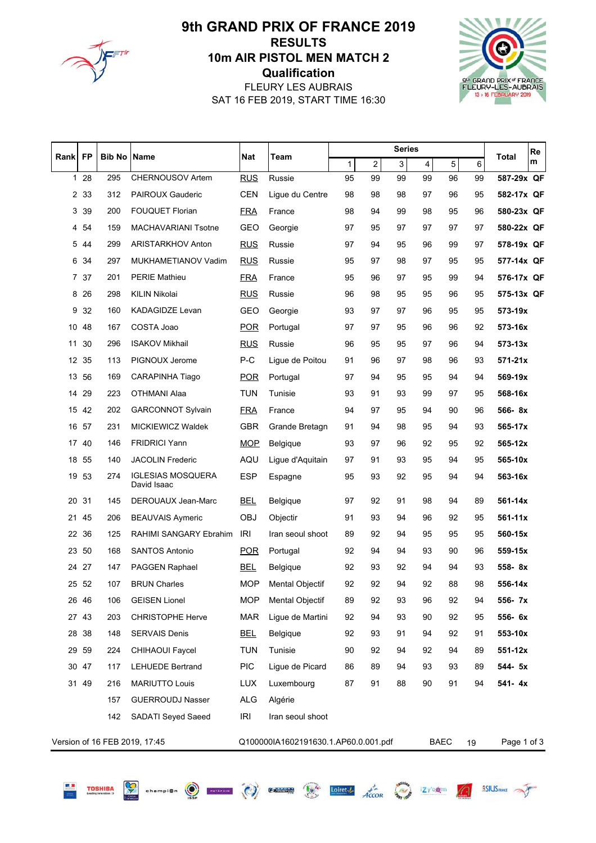

**TOSHIBA** 

# **Qualification** 10m AIR PISTOL MEN MATCH 2 RESULTS 9th GRAND PRIX OF FRANCE 2019

SAT 16 FEB 2019, START TIME 16:30 FLEURY LES AUBRAIS



| Rank            | <b>FP</b>                 | <b>Bib No   Name</b> |                                         | Nat        | Team                                 |    |                | <b>Series</b> |    |             |    | Total       | Re |
|-----------------|---------------------------|----------------------|-----------------------------------------|------------|--------------------------------------|----|----------------|---------------|----|-------------|----|-------------|----|
|                 |                           |                      |                                         |            |                                      | 1  | $\overline{2}$ | 3             | 4  | $\sqrt{5}$  | 6  |             | m  |
|                 | 1 28                      | 295                  | CHERNOUSOV Artem                        | <b>RUS</b> | Russie                               | 95 | 99             | 99            | 99 | 96          | 99 | 587-29x QF  |    |
| $\overline{2}$  | 33                        | 312                  | <b>PAIROUX Gauderic</b>                 | <b>CEN</b> | Ligue du Centre                      | 98 | 98             | 98            | 97 | 96          | 95 | 582-17x QF  |    |
| 3               | 39                        | 200                  | <b>FOUQUET Florian</b>                  | <b>FRA</b> | France                               | 98 | 94             | 99            | 98 | 95          | 96 | 580-23x QF  |    |
| 4               | 54                        | 159                  | MACHAVARIANI Tsotne                     | <b>GEO</b> | Georgie                              | 97 | 95             | 97            | 97 | 97          | 97 | 580-22x QF  |    |
| 5               | 44                        | 299                  | <b>ARISTARKHOV Anton</b>                | <b>RUS</b> | Russie                               | 97 | 94             | 95            | 96 | 99          | 97 | 578-19x QF  |    |
| 6               | 34                        | 297                  | MUKHAMETIANOV Vadim                     | <b>RUS</b> | Russie                               | 95 | 97             | 98            | 97 | 95          | 95 | 577-14x QF  |    |
| 7               | 37                        | 201                  | <b>PERIE Mathieu</b>                    | <b>FRA</b> | France                               | 95 | 96             | 97            | 95 | 99          | 94 | 576-17x QF  |    |
| 8               | 26                        | 298                  | KILIN Nikolai                           | <b>RUS</b> | Russie                               | 96 | 98             | 95            | 95 | 96          | 95 | 575-13x QF  |    |
| 9               | 32                        | 160                  | <b>KADAGIDZE Levan</b>                  | <b>GEO</b> | Georgie                              | 93 | 97             | 97            | 96 | 95          | 95 | 573-19x     |    |
| 10              | 48                        | 167                  | COSTA Joao                              | <b>POR</b> | Portugal                             | 97 | 97             | 95            | 96 | 96          | 92 | 573-16x     |    |
| 11              | 30                        | 296                  | <b>ISAKOV Mikhail</b>                   | <u>RUS</u> | Russie                               | 96 | 95             | 95            | 97 | 96          | 94 | $573 - 13x$ |    |
| 12 <sup>°</sup> | 35                        | 113                  | PIGNOUX Jerome                          | P-C        | Ligue de Poitou                      | 91 | 96             | 97            | 98 | 96          | 93 | $571 - 21x$ |    |
| 13              | 56                        | 169                  | <b>CARAPINHA Tiago</b>                  | <b>POR</b> | Portugal                             | 97 | 94             | 95            | 95 | 94          | 94 | 569-19x     |    |
| 14              | 29                        | 223                  | OTHMANI Alaa                            | <b>TUN</b> | Tunisie                              | 93 | 91             | 93            | 99 | 97          | 95 | 568-16x     |    |
| 15              | 42                        | 202                  | <b>GARCONNOT Sylvain</b>                | <b>FRA</b> | France                               | 94 | 97             | 95            | 94 | 90          | 96 | 566-8x      |    |
| 16              | 57                        | 231                  | MICKIEWICZ Waldek                       | <b>GBR</b> | Grande Bretagn                       | 91 | 94             | 98            | 95 | 94          | 93 | 565-17x     |    |
| 17              | -40                       | 146                  | <b>FRIDRICI Yann</b>                    | <b>MOP</b> | Belgique                             | 93 | 97             | 96            | 92 | 95          | 92 | $565 - 12x$ |    |
| 18              | 55                        | 140                  | <b>JACOLIN Frederic</b>                 | AQU        | Ligue d'Aquitain                     | 97 | 91             | 93            | 95 | 94          | 95 | 565-10x     |    |
| 19              | 53                        | 274                  | <b>IGLESIAS MOSQUERA</b><br>David Isaac | <b>ESP</b> | Espagne                              | 95 | 93             | 92            | 95 | 94          | 94 | 563-16x     |    |
| 20              | 31                        | 145                  | DEROUAUX Jean-Marc                      | <b>BEL</b> | <b>Belgique</b>                      | 97 | 92             | 91            | 98 | 94          | 89 | 561-14x     |    |
| 21              | 45                        | 206                  | <b>BEAUVAIS Aymeric</b>                 | OBJ        | Objectir                             | 91 | 93             | 94            | 96 | 92          | 95 | $561 - 11x$ |    |
| 22              | 36                        | 125                  | RAHIMI SANGARY Ebrahim                  | <b>IRI</b> | Iran seoul shoot                     | 89 | 92             | 94            | 95 | 95          | 95 | 560-15x     |    |
|                 | 23 50                     | 168                  | <b>SANTOS Antonio</b>                   | <b>POR</b> | Portugal                             | 92 | 94             | 94            | 93 | 90          | 96 | 559-15x     |    |
| 24              | 27                        | 147                  | PAGGEN Raphael                          | <b>BEL</b> | <b>Belgique</b>                      | 92 | 93             | 92            | 94 | 94          | 93 | 558-8x      |    |
| 25              | 52                        | 107                  | <b>BRUN Charles</b>                     | <b>MOP</b> | <b>Mental Objectif</b>               | 92 | 92             | 94            | 92 | 88          | 98 | 556-14x     |    |
|                 | 26 46                     | 106                  | <b>GEISEN Lionel</b>                    | <b>MOP</b> | Mental Objectif                      | 89 | 92             | 93            | 96 | 92          | 94 | 556-7x      |    |
|                 | 27 43                     | 203                  | <b>CHRISTOPHE Herve</b>                 | <b>MAR</b> | Lique de Martini                     | 92 | 94             | 93            | 90 | 92          | 95 | 556-6x      |    |
|                 | 28 38                     | 148                  | <b>SERVAIS Denis</b>                    | <b>BEL</b> | Belgique                             | 92 | 93             | 91            | 94 | 92          | 91 | 553-10x     |    |
| 29              | 59                        | 224                  | CHIHAOUI Faycel                         | <b>TUN</b> | Tunisie                              | 90 | 92             | 94            | 92 | 94          | 89 | $551 - 12x$ |    |
|                 | 30 47                     | 117                  | <b>LEHUEDE Bertrand</b>                 | <b>PIC</b> | Ligue de Picard                      | 86 | 89             | 94            | 93 | 93          | 89 | 544- 5x     |    |
|                 | 31 49                     | 216                  | MARIUTTO Louis                          | <b>LUX</b> | Luxembourg                           | 87 | 91             | 88            | 90 | 91          | 94 | 541-4x      |    |
|                 |                           | 157                  | <b>GUERROUDJ Nasser</b>                 | <b>ALG</b> | Algérie                              |    |                |               |    |             |    |             |    |
|                 | 142<br>SADATI Seyed Saeed |                      |                                         |            | Iran seoul shoot                     |    |                |               |    |             |    |             |    |
|                 |                           |                      | Version of 16 FEB 2019, 17:45           |            | Q100000IA1602191630.1.AP60.0.001.pdf |    |                |               |    | <b>BAEC</b> | 19 | Page 1 of 3 |    |

Samples Computer (C) Computer to Loirett Accor 12YOR 12YOR 13SIUSHANE 25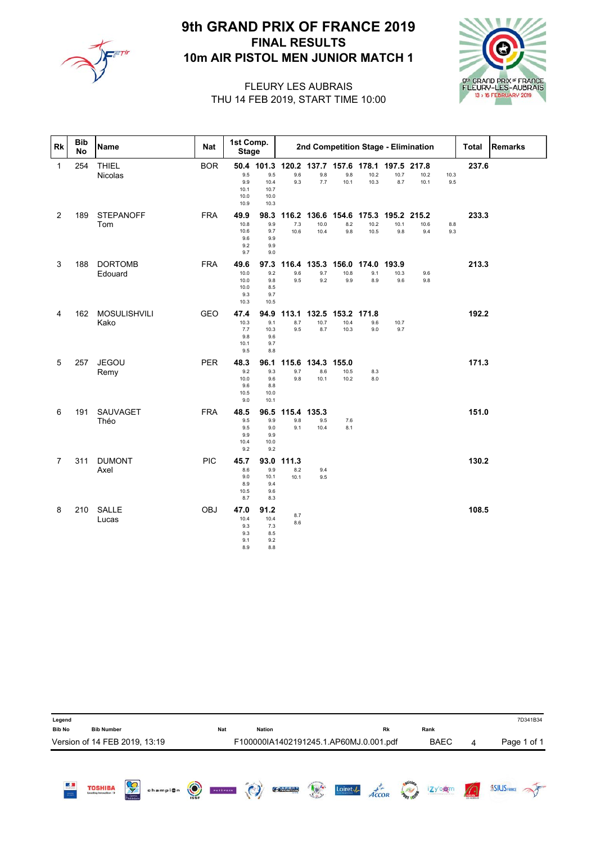

# 10m AIR PISTOL MEN JUNIOR MATCH 1 FINAL RESULTS 9th GRAND PRIX OF FRANCE 2019



#### THU 14 FEB 2019, START TIME 10:00 FLEURY LES AUBRAIS

| Rk             | <b>Bib</b><br><b>No</b> | <b>Name</b>                 | <b>Nat</b> | 1st Comp.<br><b>Stage</b>                   |                                           |                      |                            |                                                               |                       |                      | 2nd Competition Stage - Elimination |             | <b>Total</b> | <b>Remarks</b> |
|----------------|-------------------------|-----------------------------|------------|---------------------------------------------|-------------------------------------------|----------------------|----------------------------|---------------------------------------------------------------|-----------------------|----------------------|-------------------------------------|-------------|--------------|----------------|
| $\mathbf{1}$   | 254                     | <b>THIEL</b><br>Nicolas     | <b>BOR</b> | 9.5<br>9.9<br>10.1<br>10.0<br>10.9          | 9.5<br>10.4<br>10.7<br>10.0<br>10.3       | 9.6<br>9.3           | 9.8<br>7.7                 | 50.4 101.3 120.2 137.7 157.6 178.1 197.5 217.8<br>9.8<br>10.1 | 10.2<br>10.3          | 10.7<br>8.7          | 10.2<br>10.1                        | 10.3<br>9.5 | 237.6        |                |
| $\overline{2}$ | 189                     | <b>STEPANOFF</b><br>Tom     | <b>FRA</b> | 49.9<br>10.8<br>10.6<br>9.6<br>9.2<br>9.7   | 98.3<br>9.9<br>9.7<br>9.9<br>9.9<br>9.0   | 116.2<br>7.3<br>10.6 | 136.6<br>10.0<br>10.4      | 154.6<br>8.2<br>9.8                                           | 175.3<br>10.2<br>10.5 | 195.2<br>10.1<br>9.8 | 215.2<br>10.6<br>9.4                | 8.8<br>9.3  | 233.3        |                |
| 3              | 188                     | <b>DORTOMB</b><br>Edouard   | <b>FRA</b> | 49.6<br>10.0<br>10.0<br>10.0<br>9.3<br>10.3 | 97.3<br>9.2<br>9.8<br>8.5<br>9.7<br>10.5  | 9.6<br>9.5           | 9.7<br>9.2                 | 116.4 135.3 156.0 174.0<br>10.8<br>9.9                        | 9.1<br>8.9            | 193.9<br>10.3<br>9.6 | 9.6<br>9.8                          |             | 213.3        |                |
| 4              | 162                     | <b>MOSULISHVILI</b><br>Kako | <b>GEO</b> | 47.4<br>10.3<br>7.7<br>9.8<br>10.1<br>9.5   | 94.9<br>9.1<br>10.3<br>9.6<br>9.7<br>8.8  | 113.1<br>8.7<br>9.5  | 132.5<br>10.7<br>8.7       | 153.2 171.8<br>10.4<br>10.3                                   | 9.6<br>9.0            | 10.7<br>9.7          |                                     |             | 192.2        |                |
| 5              | 257                     | <b>JEGOU</b><br>Remy        | <b>PER</b> | 48.3<br>9.2<br>10.0<br>9.6<br>10.5<br>9.0   | 96.1<br>9.3<br>9.6<br>8.8<br>10.0<br>10.1 | 115.6<br>9.7<br>9.8  | 134.3 155.0<br>8.6<br>10.1 | 10.5<br>10.2                                                  | 8.3<br>8.0            |                      |                                     |             | 171.3        |                |
| 6              | 191                     | SAUVAGET<br>Théo            | <b>FRA</b> | 48.5<br>9.5<br>9.5<br>9.9<br>10.4<br>9.2    | 96.5<br>9.9<br>9.0<br>9.9<br>10.0<br>9.2  | 9.8<br>9.1           | 115.4 135.3<br>9.5<br>10.4 | 7.6<br>8.1                                                    |                       |                      |                                     |             | 151.0        |                |
| 7              | 311                     | <b>DUMONT</b><br>Axel       | <b>PIC</b> | 45.7<br>8.6<br>9.0<br>8.9<br>10.5<br>8.7    | 93.0<br>9.9<br>10.1<br>9.4<br>9.6<br>8.3  | 111.3<br>8.2<br>10.1 | 9.4<br>9.5                 |                                                               |                       |                      |                                     |             | 130.2        |                |
| 8              | 210                     | <b>SALLE</b><br>Lucas       | <b>OBJ</b> | 47.0<br>10.4<br>9.3<br>9.3<br>9.1<br>8.9    | 91.2<br>10.4<br>7.3<br>8.5<br>9.2<br>8.8  | 8.7<br>8.6           |                            |                                                               |                       |                      |                                     |             | 108.5        |                |

| Legend              |                               |             |          |         |            |               |                                        |     |                    |                                 |                |             |                 | 7D341B34            |
|---------------------|-------------------------------|-------------|----------|---------|------------|---------------|----------------------------------------|-----|--------------------|---------------------------------|----------------|-------------|-----------------|---------------------|
| <b>Bib No</b>       | <b>Bib Number</b>             |             |          |         | <b>Nat</b> | <b>Nation</b> |                                        |     |                    | Rk                              |                | Rank        |                 |                     |
|                     | Version of 14 FEB 2019, 13:19 |             |          |         |            |               | F100000IA1402191245.1.AP60MJ.0.001.pdf |     |                    |                                 |                | <b>BAEC</b> | 4               | Page 1 of 1         |
| 医具<br>$\frac{1}{2}$ | <b>TOSHIBA</b>                | Ş<br>Centre | champion | $\odot$ | PATÁPAIN   | $\odot$       | <b>OPOSITION</b>                       | 104 | Loiret $\sqrt{\ }$ | $A\acute{c}\acute{c}\acute{o}R$ | <b>AMISTOR</b> | izy'ogm     | $\sqrt{\Omega}$ | <b>ASIUS FRANCE</b> |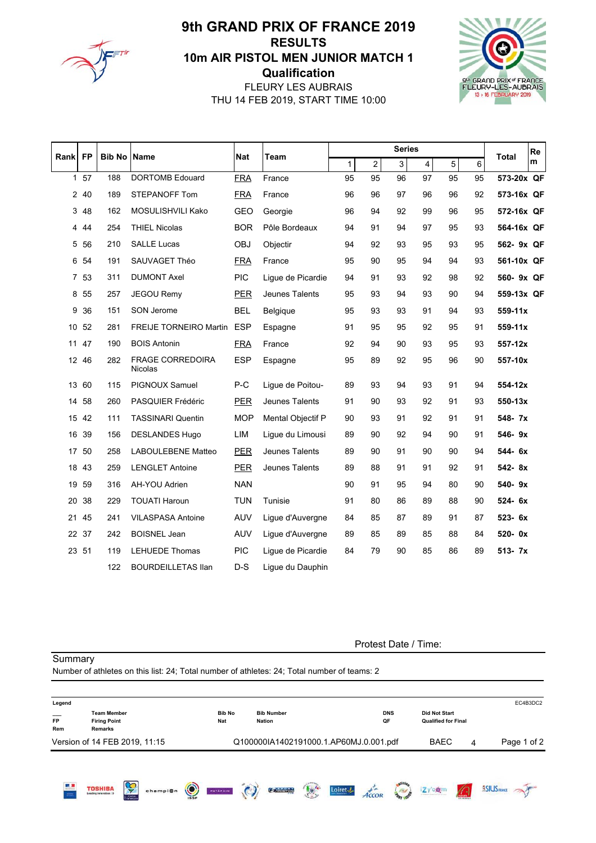

#### FLEURY LES AUBRAIS **Qualification** 10m AIR PISTOL MEN JUNIOR MATCH 1 RESULTS 9th GRAND PRIX OF FRANCE 2019

THU 14 FEB 2019, START TIME 10:00



|       | <b>FP</b> |                    |                                           |            |                   |              |                | <b>Series</b> |                         |    |    | Re                |
|-------|-----------|--------------------|-------------------------------------------|------------|-------------------|--------------|----------------|---------------|-------------------------|----|----|-------------------|
| Rankl |           | <b>Bib No Name</b> |                                           | <b>Nat</b> | Team              | $\mathbf{1}$ | $\overline{c}$ | 3             | $\overline{\mathbf{4}}$ | 5  | 6  | <b>Total</b><br>m |
|       | 1 57      | 188                | <b>DORTOMB Edouard</b>                    | <b>FRA</b> | France            | 95           | 95             | 96            | 97                      | 95 | 95 | 573-20x QF        |
|       | 2 40      | 189                | <b>STEPANOFF Tom</b>                      | <b>FRA</b> | France            | 96           | 96             | 97            | 96                      | 96 | 92 | 573-16x QF        |
| 3     | 48        | 162                | MOSULISHVILI Kako                         | <b>GEO</b> | Georgie           | 96           | 94             | 92            | 99                      | 96 | 95 | 572-16x QF        |
| 4     | 44        | 254                | <b>THIEL Nicolas</b>                      | <b>BOR</b> | Pôle Bordeaux     | 94           | 91             | 94            | 97                      | 95 | 93 | 564-16x QF        |
| 5     | 56        | 210                | <b>SALLE Lucas</b>                        | OBJ        | Objectir          | 94           | 92             | 93            | 95                      | 93 | 95 | 562- 9x QF        |
| 6     | 54        | 191                | SAUVAGET Théo                             | <b>FRA</b> | France            | 95           | 90             | 95            | 94                      | 94 | 93 | 561-10x QF        |
|       | 7 53      | 311                | <b>DUMONT Axel</b>                        | <b>PIC</b> | Ligue de Picardie | 94           | 91             | 93            | 92                      | 98 | 92 | 560- 9x QF        |
| 8     | 55        | 257                | <b>JEGOU Remy</b>                         | <b>PER</b> | Jeunes Talents    | 95           | 93             | 94            | 93                      | 90 | 94 | 559-13x QF        |
| 9     | 36        | 151                | SON Jerome                                | <b>BEL</b> | Belgique          | 95           | 93             | 93            | 91                      | 94 | 93 | 559-11x           |
| 10    | 52        | 281                | <b>FREIJE TORNEIRO Martin</b>             | <b>ESP</b> | Espagne           | 91           | 95             | 95            | 92                      | 95 | 91 | 559-11x           |
| 11    | 47        | 190                | <b>BOIS Antonin</b>                       | <b>FRA</b> | France            | 92           | 94             | 90            | 93                      | 95 | 93 | 557-12x           |
| 12    | 46        | 282                | <b>FRAGE CORREDOIRA</b><br><b>Nicolas</b> | <b>ESP</b> | Espagne           | 95           | 89             | 92            | 95                      | 96 | 90 | 557-10x           |
| 13    | 60        | 115                | PIGNOUX Samuel                            | $P-C$      | Lique de Poitou-  | 89           | 93             | 94            | 93                      | 91 | 94 | 554-12x           |
| 14    | 58        | 260                | PASQUIER Frédéric                         | <b>PER</b> | Jeunes Talents    | 91           | 90             | 93            | 92                      | 91 | 93 | 550-13x           |
| 15    | 42        | 111                | <b>TASSINARI Quentin</b>                  | <b>MOP</b> | Mental Objectif P | 90           | 93             | 91            | 92                      | 91 | 91 | 548-7x            |
| 16    | 39        | 156                | <b>DESLANDES Hugo</b>                     | LIM        | Lique du Limousi  | 89           | 90             | 92            | 94                      | 90 | 91 | 546-9x            |
| 17    | 50        | 258                | LABOULEBENE Matteo                        | <b>PER</b> | Jeunes Talents    | 89           | 90             | 91            | 90                      | 90 | 94 | 544- 6x           |
|       | 18 43     | 259                | <b>LENGLET Antoine</b>                    | <b>PER</b> | Jeunes Talents    | 89           | 88             | 91            | 91                      | 92 | 91 | 542-8x            |
| 19    | 59        | 316                | AH-YOU Adrien                             | <b>NAN</b> |                   | 90           | 91             | 95            | 94                      | 80 | 90 | 540-9x            |
| 20    | 38        | 229                | <b>TOUATI Haroun</b>                      | <b>TUN</b> | Tunisie           | 91           | 80             | 86            | 89                      | 88 | 90 | 524-6x            |
| 21    | 45        | 241                | <b>VILASPASA Antoine</b>                  | AUV        | Ligue d'Auvergne  | 84           | 85             | 87            | 89                      | 91 | 87 | 523-6x            |
| 22    | 37        | 242                | <b>BOISNEL Jean</b>                       | AUV        | Lique d'Auvergne  | 89           | 85             | 89            | 85                      | 88 | 84 | 520-0x            |
|       | 23 51     | 119                | <b>LEHUEDE Thomas</b>                     | <b>PIC</b> | Ligue de Picardie | 84           | 79             | 90            | 85                      | 86 | 89 | $513 - 7x$        |
|       |           | 122                | <b>BOURDEILLETAS IIan</b>                 | $D-S$      | Ligue du Dauphin  |              |                |               |                         |    |    |                   |

Protest Date / Time:

**Summary** Number of athletes on this list: 24; Total number of athletes: 24; Total number of teams: 2 Legend EC4B3DC2 \_\_\_ Team Member Bib No Bib Number DNS Did Not Start FP Firing Point Nat Nation QF Qualified for Final Rem Remarks Version of 14 FEB 2019, 11:15 Q100000IA1402191000.1.AP60MJ.0.001.pdf BAEC 4 Page 1 of 2Loiret-1 Accor 3 **TOSHIBA** i<mark>z</mark>y'e**g**m **SSILIS FRANCE** champion **O Construction**  $\mathbb{C}$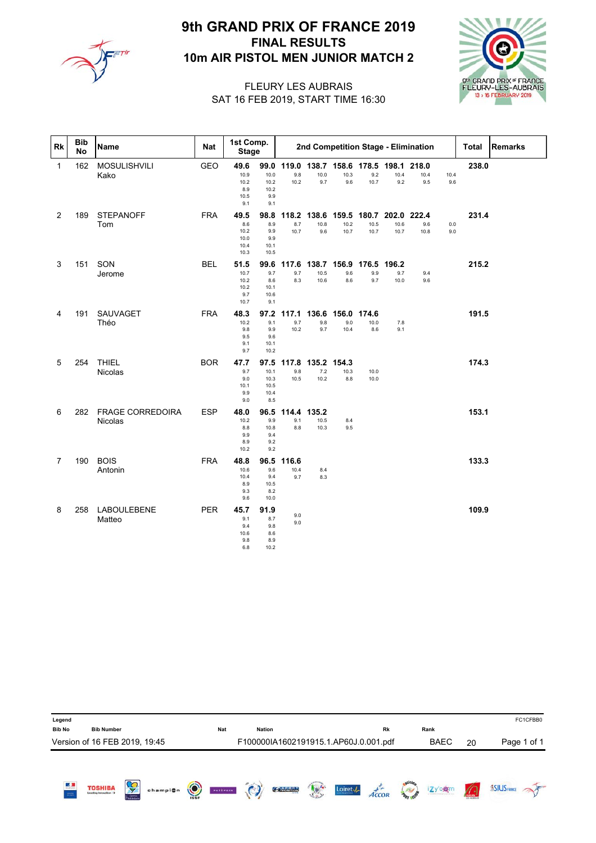

# 10m AIR PISTOL MEN JUNIOR MATCH 2 FINAL RESULTS 9th GRAND PRIX OF FRANCE 2019



#### SAT 16 FEB 2019, START TIME 16:30 FLEURY LES AUBRAIS

| Rk             | <b>Bib</b><br><b>No</b> | Name                            | <b>Nat</b> | 1st Comp.<br><b>Stage</b>                   |                                             |                      |                                   |                                              |                           |                             | 2nd Competition Stage - Elimination |             | <b>Total</b> | <b>Remarks</b> |
|----------------|-------------------------|---------------------------------|------------|---------------------------------------------|---------------------------------------------|----------------------|-----------------------------------|----------------------------------------------|---------------------------|-----------------------------|-------------------------------------|-------------|--------------|----------------|
| 1              | 162                     | MOSULISHVILI<br>Kako            | GEO        | 49.6<br>10.9<br>10.2<br>8.9<br>10.5<br>9.1  | 99.0<br>10.0<br>10.2<br>10.2<br>9.9<br>9.1  | 119.0<br>9.8<br>10.2 | 10.0<br>9.7                       | 138.7 158.6 178.5 198.1 218.0<br>10.3<br>9.6 | 9.2<br>10.7               | 10.4<br>9.2                 | 10.4<br>9.5                         | 10.4<br>9.6 | 238.0        |                |
| $\overline{c}$ | 189                     | <b>STEPANOFF</b><br>Tom         | <b>FRA</b> | 49.5<br>8.6<br>10.2<br>10.0<br>10.4<br>10.3 | 98.8<br>8.9<br>9.9<br>9.9<br>10.1<br>10.5   | 118.2<br>8.7<br>10.7 | 138.6<br>10.8<br>9.6              | 159.5<br>10.2<br>10.7                        | 180.7<br>10.5<br>10.7     | 202.0 222.4<br>10.6<br>10.7 | 9.6<br>10.8                         | 0.0<br>9.0  | 231.4        |                |
| 3              | 151                     | SON<br>Jerome                   | <b>BEL</b> | 51.5<br>10.7<br>10.2<br>10.2<br>9.7<br>10.7 | 99.6<br>9.7<br>8.6<br>10.1<br>10.6<br>9.1   | 9.7<br>8.3           | 117.6 138.7 156.9<br>10.5<br>10.6 | 9.6<br>8.6                                   | 176.5 196.2<br>9.9<br>9.7 | 9.7<br>10.0                 | 9.4<br>9.6                          |             | 215.2        |                |
| 4              | 191                     | SAUVAGET<br>Théo                | <b>FRA</b> | 48.3<br>10.2<br>9.8<br>9.5<br>9.1<br>9.7    | 97.2<br>9.1<br>9.9<br>9.6<br>10.1<br>10.2   | 117.1<br>9.7<br>10.2 | 136.6<br>9.8<br>9.7               | 156.0<br>9.0<br>10.4                         | 174.6<br>10.0<br>8.6      | 7.8<br>9.1                  |                                     |             | 191.5        |                |
| 5              | 254                     | <b>THIEL</b><br>Nicolas         | <b>BOR</b> | 47.7<br>9.7<br>9.0<br>10.1<br>9.9<br>9.0    | 97.5<br>10.1<br>10.3<br>10.5<br>10.4<br>8.5 | 9.8<br>10.5          | 117.8 135.2 154.3<br>7.2<br>10.2  | 10.3<br>8.8                                  | 10.0<br>10.0              |                             |                                     |             | 174.3        |                |
| 6              |                         | 282 FRAGE CORREDOIRA<br>Nicolas | <b>ESP</b> | 48.0<br>10.2<br>8.8<br>9.9<br>8.9<br>10.2   | 96.5<br>9.9<br>10.8<br>9.4<br>9.2<br>9.2    | 114.4<br>9.1<br>8.8  | 135.2<br>10.5<br>10.3             | 8.4<br>9.5                                   |                           |                             |                                     |             | 153.1        |                |
| $\overline{7}$ | 190                     | <b>BOIS</b><br>Antonin          | <b>FRA</b> | 48.8<br>10.6<br>10.4<br>8.9<br>9.3<br>9.6   | 96.5<br>9.6<br>9.4<br>10.5<br>8.2<br>10.0   | 116.6<br>10.4<br>9.7 | 8.4<br>8.3                        |                                              |                           |                             |                                     |             | 133.3        |                |
| 8              | 258                     | <b>LABOULEBENE</b><br>Matteo    | <b>PER</b> | 45.7<br>9.1<br>9.4<br>10.6<br>9.8<br>6.8    | 91.9<br>8.7<br>9.8<br>8.6<br>8.9<br>10.2    | 9.0<br>9.0           |                                   |                                              |                           |                             |                                     |             | 109.9        |                |

| Legend<br><b>Bib No</b> | <b>Bib Number</b>             |                           |          |         | <b>Nat</b> | <b>Nation</b> |                                       |     |                           | Rk        |                | Rank        |    | FC1CFBB0            |
|-------------------------|-------------------------------|---------------------------|----------|---------|------------|---------------|---------------------------------------|-----|---------------------------|-----------|----------------|-------------|----|---------------------|
|                         | Version of 16 FEB 2019, 19:45 |                           |          |         |            |               | F100000IA1602191915.1.AP60J.0.001.pdf |     |                           |           |                | <b>BAEC</b> | 20 | Page 1 of 1         |
|                         |                               |                           |          |         |            |               |                                       |     |                           |           |                |             |    |                     |
| 區<br>$\frac{1}{2}$      | <b>TOSHIBA</b>                | Ş<br>Centre<br>Natidezoir | champi@n | $\odot$ | PATAPAIN   | $\odot$       | <b>O</b> POSITION                     | 104 | ${\sf Loiret}\mathcal{A}$ | $A\neq C$ | <b>PARTIES</b> | izy'e@m     |    | <b>ASIUS FRANCE</b> |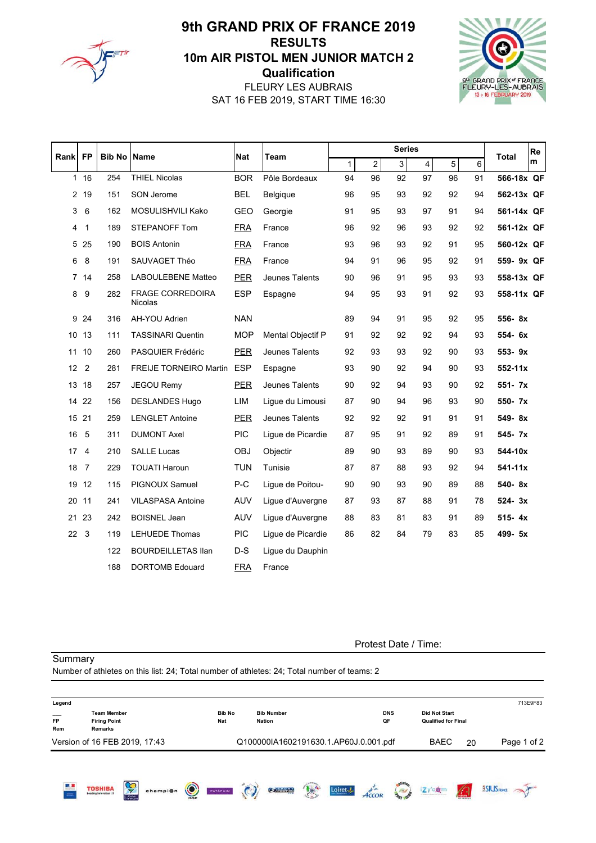

#### FLEURY LES AUBRAIS **Qualification** 10m AIR PISTOL MEN JUNIOR MATCH 2 RESULTS 9th GRAND PRIX OF FRANCE 2019

SAT 16 FEB 2019, START TIME 16:30



|      |                |                    |                                           |            |                   |              |                | <b>Series</b> |                         |    |    | Re                |
|------|----------------|--------------------|-------------------------------------------|------------|-------------------|--------------|----------------|---------------|-------------------------|----|----|-------------------|
| Rank | <b>FP</b>      | <b>Bib No Name</b> |                                           | <b>Nat</b> | Team              | $\mathbf{1}$ | $\overline{2}$ | $\mathbf{3}$  | $\overline{\mathbf{4}}$ | 5  | 6  | <b>Total</b><br>m |
|      | 116            | 254                | <b>THIEL Nicolas</b>                      | <b>BOR</b> | Pôle Bordeaux     | 94           | 96             | 92            | 97                      | 96 | 91 | 566-18x QF        |
|      | 2 19           | 151                | SON Jerome                                | <b>BEL</b> | Belgique          | 96           | 95             | 93            | 92                      | 92 | 94 | 562-13x QF        |
| 3    | 6              | 162                | MOSULISHVILI Kako                         | <b>GEO</b> | Georgie           | 91           | 95             | 93            | 97                      | 91 | 94 | 561-14x QF        |
| 4    | $\mathbf 1$    | 189                | STEPANOFF Tom                             | <b>FRA</b> | France            | 96           | 92             | 96            | 93                      | 92 | 92 | 561-12x QF        |
| 5    | 25             | 190                | <b>BOIS Antonin</b>                       | <b>FRA</b> | France            | 93           | 96             | 93            | 92                      | 91 | 95 | 560-12x QF        |
| 6    | 8              | 191                | SAUVAGET Théo                             | <b>FRA</b> | France            | 94           | 91             | 96            | 95                      | 92 | 91 | 559- 9x QF        |
| 7    | 14             | 258                | <b>LABOULEBENE Matteo</b>                 | <b>PER</b> | Jeunes Talents    | 90           | 96             | 91            | 95                      | 93 | 93 | 558-13x QF        |
| 8    | 9              | 282                | <b>FRAGE CORREDOIRA</b><br><b>Nicolas</b> | <b>ESP</b> | Espagne           | 94           | 95             | 93            | 91                      | 92 | 93 | 558-11x QF        |
| 9    | 24             | 316                | AH-YOU Adrien                             | <b>NAN</b> |                   | 89           | 94             | 91            | 95                      | 92 | 95 | 556-8x            |
| 10   | 13             | 111                | <b>TASSINARI Quentin</b>                  | <b>MOP</b> | Mental Objectif P | 91           | 92             | 92            | 92                      | 94 | 93 | $554 - 6x$        |
| 11   | 10             | 260                | PASQUIER Frédéric                         | <b>PER</b> | Jeunes Talents    | 92           | 93             | 93            | 92                      | 90 | 93 | 553-9x            |
| 12   | $\overline{2}$ | 281                | <b>FREIJE TORNEIRO Martin</b>             | <b>ESP</b> | Espagne           | 93           | 90             | 92            | 94                      | 90 | 93 | $552 - 11x$       |
|      | 13 18          | 257                | <b>JEGOU Remy</b>                         | <b>PER</b> | Jeunes Talents    | 90           | 92             | 94            | 93                      | 90 | 92 | 551- 7x           |
|      | 14 22          | 156                | <b>DESLANDES Hugo</b>                     | LIM        | Lique du Limousi  | 87           | 90             | 94            | 96                      | 93 | 90 | 550- 7x           |
| 15   | 21             | 259                | <b>LENGLET Antoine</b>                    | <b>PER</b> | Jeunes Talents    | 92           | 92             | 92            | 91                      | 91 | 91 | 549-8x            |
| 16   | 5              | 311                | <b>DUMONT Axel</b>                        | <b>PIC</b> | Ligue de Picardie | 87           | 95             | 91            | 92                      | 89 | 91 | 545-7x            |
| 17   | $\overline{4}$ | 210                | <b>SALLE Lucas</b>                        | <b>OBJ</b> | Objectir          | 89           | 90             | 93            | 89                      | 90 | 93 | 544-10x           |
| 18   | 7              | 229                | <b>TOUATI Haroun</b>                      | <b>TUN</b> | Tunisie           | 87           | 87             | 88            | 93                      | 92 | 94 | $541 - 11x$       |
| 19   | 12             | 115                | PIGNOUX Samuel                            | $P-C$      | Ligue de Poitou-  | 90           | 90             | 93            | 90                      | 89 | 88 | 540-8x            |
|      | 20 11          | 241                | <b>VILASPASA Antoine</b>                  | AUV        | Ligue d'Auvergne  | 87           | 93             | 87            | 88                      | 91 | 78 | $524 - 3x$        |
|      | 21 23          | 242                | <b>BOISNEL Jean</b>                       | <b>AUV</b> | Lique d'Auvergne  | 88           | 83             | 81            | 83                      | 91 | 89 | $515 - 4x$        |
| 22   | -3             | 119                | <b>LEHUEDE Thomas</b>                     | <b>PIC</b> | Ligue de Picardie | 86           | 82             | 84            | 79                      | 83 | 85 | 499- 5x           |
|      |                | 122                | <b>BOURDEILLETAS IIan</b>                 | $D-S$      | Ligue du Dauphin  |              |                |               |                         |    |    |                   |
|      |                | 188                | DORTOMB Edouard                           | <b>FRA</b> | France            |              |                |               |                         |    |    |                   |

Protest Date / Time:

**Summary** Number of athletes on this list: 24; Total number of athletes: 24; Total number of teams: 2 Legend 713E9F83 \_\_\_ Team Member Bib No Bib Number DNS Did Not Start FP Firing Point Nat Nation QF Qualified for Final Rem Remarks Version of 16 FEB 2019, 17:43 Q100000IA1602191630.1.AP60J.0.001.pdf BAEC 20 Page 1 of 2Loiret / Accor Manus **TOSHIBA** izy'ogm **SSIUS FRANCE** champion **O Construction**  $\frac{1}{\sqrt{2}}$  $\sqrt{C}$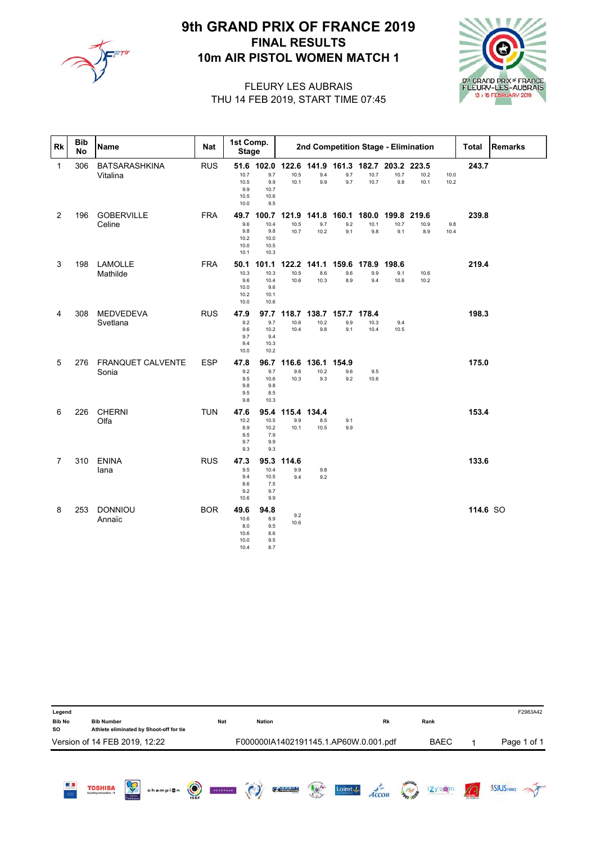

# 10m AIR PISTOL WOMEN MATCH 1 FINAL RESULTS 9th GRAND PRIX OF FRANCE 2019



#### THU 14 FEB 2019, START TIME 07:45 FLEURY LES AUBRAIS

| Rk             | <b>Bib</b><br><b>No</b> | <b>Name</b>                       | <b>Nat</b> | 1st Comp.<br><b>Stage</b>                   |                                              |                       |                                  |                     |                       |                                              | 2nd Competition Stage - Elimination |              | <b>Total</b> | <b>Remarks</b> |
|----------------|-------------------------|-----------------------------------|------------|---------------------------------------------|----------------------------------------------|-----------------------|----------------------------------|---------------------|-----------------------|----------------------------------------------|-------------------------------------|--------------|--------------|----------------|
| 1              | 306                     | <b>BATSARASHKINA</b><br>Vitalina  | <b>RUS</b> | 51.6<br>10.7<br>10.5<br>9.9<br>10.5<br>10.0 | 102.0<br>9.7<br>9.9<br>10.7<br>10.6<br>9.5   | 122.6<br>10.5<br>10.1 | 9.4<br>9.9                       | 9.7<br>9.7          | 10.7<br>10.7          | 141.9 161.3 182.7 203.2 223.5<br>10.7<br>9.8 | 10.2<br>10.1                        | 10.0<br>10.2 | 243.7        |                |
| $\overline{c}$ | 196                     | <b>GOBERVILLE</b><br>Celine       | <b>FRA</b> | 49.7<br>9.6<br>9.8<br>10.2<br>10.0<br>10.1  | 100.7<br>10.4<br>9.8<br>10.0<br>10.5<br>10.3 | 121.9<br>10.5<br>10.7 | 141.8<br>9.7<br>10.2             | 160.1<br>9.2<br>9.1 | 180.0<br>10.1<br>9.8  | 199.8<br>10.7<br>9.1                         | 219.6<br>10.9<br>8.9                | 9.8<br>10.4  | 239.8        |                |
| 3              | 198                     | LAMOLLE<br>Mathilde               | <b>FRA</b> | 50.1<br>10.3<br>9.6<br>10.0<br>10.2<br>10.0 | 101.1<br>10.3<br>10.4<br>9.6<br>10.1<br>10.6 | 10.5<br>10.6          | 122.2 141.1<br>8.6<br>10.3       | 159.6<br>9.6<br>8.9 | 178.9<br>9.9<br>9.4   | 198.6<br>9.1<br>10.6                         | 10.6<br>10.2                        |              | 219.4        |                |
| 4              | 308                     | <b>MEDVEDEVA</b><br>Svetlana      | <b>RUS</b> | 47.9<br>9.2<br>9.6<br>9.7<br>9.4<br>10.0    | 97.7<br>9.7<br>10.2<br>9.4<br>10.3<br>10.2   | 118.7<br>10.6<br>10.4 | 138.7<br>10.2<br>9.8             | 157.7<br>9.9<br>9.1 | 178.4<br>10.3<br>10.4 | 9.4<br>10.5                                  |                                     |              | 198.3        |                |
| 5              | 276                     | <b>FRANQUET CALVENTE</b><br>Sonia | <b>ESP</b> | 47.8<br>9.2<br>9.5<br>9.8<br>9.5<br>9.8     | 96.7<br>9.7<br>10.6<br>9.8<br>8.5<br>10.3    | 9.6<br>10.3           | 116.6 136.1 154.9<br>10.2<br>9.3 | 9.6<br>9.2          | 9.5<br>10.6           |                                              |                                     |              | 175.0        |                |
| 6              | 226                     | <b>CHERNI</b><br>Olfa             | <b>TUN</b> | 47.6<br>10.2<br>8.9<br>9.5<br>9.7<br>9.3    | 95.4<br>10.5<br>10.2<br>7.9<br>9.9<br>9.3    | 115.4<br>9.9<br>10.1  | 134.4<br>8.5<br>10.5             | 9.1<br>9.9          |                       |                                              |                                     |              | 153.4        |                |
| 7              | 310                     | <b>ENINA</b><br>lana              | <b>RUS</b> | 47.3<br>9.5<br>9.4<br>8.6<br>9.2<br>10.6    | 95.3<br>10.4<br>10.5<br>7.5<br>9.7<br>9.9    | 114.6<br>9.9<br>9.4   | 9.8<br>9.2                       |                     |                       |                                              |                                     |              | 133.6        |                |
| 8              | 253                     | <b>DONNIOU</b><br>Annaïc          | <b>BOR</b> | 49.6<br>10.6<br>8.0<br>10.6<br>10.0<br>10.4 | 94.8<br>8.9<br>9.5<br>8.6<br>9.5<br>8.7      | 9.2<br>10.6           |                                  |                     |                       |                                              |                                     |              | 114.6 SO     |                |

| Legend<br><b>Bib No</b><br><b>SO</b> | <b>Bib Number</b>                              |                           | Athlete eliminated by Shoot-off for tie |                        | <b>Nat</b> | <b>Nation</b> |                                       |     |                     | Rk                             |                  | Rank                                          |                     | F2983A42    |
|--------------------------------------|------------------------------------------------|---------------------------|-----------------------------------------|------------------------|------------|---------------|---------------------------------------|-----|---------------------|--------------------------------|------------------|-----------------------------------------------|---------------------|-------------|
|                                      | Version of 14 FEB 2019, 12:22                  |                           |                                         |                        |            |               | F000000IA1402191145.1.AP60W.0.001.pdf |     |                     |                                |                  | <b>BAEC</b>                                   |                     | Page 1 of 1 |
| <b>KI</b><br>$\frac{1}{2}$           | <b>TOSHIBA</b><br><b>Leading Innovation 22</b> | Ç<br>Centre<br>Evaldetoir | champion                                | $\odot$<br><b>ISSF</b> | PATAPAIN   |               | <b>COPOSITION</b>                     | 104 | Loiret <sub>V</sub> | $A\acute{c}\acute{c}\acute{c}$ | <b>BAT ISI</b> S | izy'e@m<br>where his college was not an elec- | <b>ASIUS FRANCE</b> |             |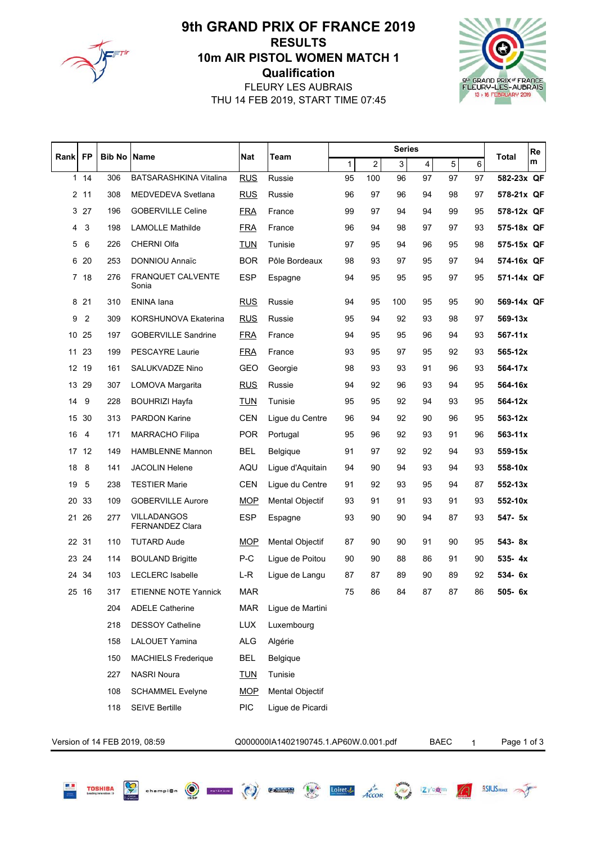

# **Qualification** 10m AIR PISTOL WOMEN MATCH 1 RESULTS 9th GRAND PRIX OF FRANCE 2019

THU 14 FEB 2019, START TIME 07:45 FLEURY LES AUBRAIS



|      |                | <b>Bib No Name</b> |                                   |            |                        |              |                | <b>Series</b> |    |    |         |              | Re |
|------|----------------|--------------------|-----------------------------------|------------|------------------------|--------------|----------------|---------------|----|----|---------|--------------|----|
| Rank | <b>FP</b>      |                    |                                   | Nat        | Team                   | $\mathbf{1}$ | $\overline{c}$ | 3             | 4  | 5  | $\,6\,$ | <b>Total</b> | m  |
|      | 1114           | 306                | <b>BATSARASHKINA Vitalina</b>     | <b>RUS</b> | Russie                 | 95           | 100            | 96            | 97 | 97 | 97      | 582-23x QF   |    |
|      | 2 11           | 308                | MEDVEDEVA Svetlana                | <b>RUS</b> | Russie                 | 96           | 97             | 96            | 94 | 98 | 97      | 578-21x QF   |    |
| 3    | 27             | 196                | <b>GOBERVILLE Celine</b>          | <b>FRA</b> | France                 | 99           | 97             | 94            | 94 | 99 | 95      | 578-12x QF   |    |
| 4    | 3              | 198                | <b>LAMOLLE Mathilde</b>           | <b>FRA</b> | France                 | 96           | 94             | 98            | 97 | 97 | 93      | 575-18x QF   |    |
| 5    | 6              | 226                | <b>CHERNI Olfa</b>                | <b>TUN</b> | Tunisie                | 97           | 95             | 94            | 96 | 95 | 98      | 575-15x QF   |    |
| 6    | 20             | 253                | <b>DONNIOU Annaïc</b>             | <b>BOR</b> | Pôle Bordeaux          | 98           | 93             | 97            | 95 | 97 | 94      | 574-16x QF   |    |
|      | 7 18           | 276                | <b>FRANQUET CALVENTE</b><br>Sonia | <b>ESP</b> | Espagne                | 94           | 95             | 95            | 95 | 97 | 95      | 571-14x QF   |    |
| 8    | 21             | 310                | ENINA lana                        | <b>RUS</b> | Russie                 | 94           | 95             | 100           | 95 | 95 | 90      | 569-14x QF   |    |
| 9    | 2              | 309                | KORSHUNOVA Ekaterina              | <b>RUS</b> | Russie                 | 95           | 94             | 92            | 93 | 98 | 97      | $569 - 13x$  |    |
|      | 10 25          | 197                | <b>GOBERVILLE Sandrine</b>        | <b>FRA</b> | France                 | 94           | 95             | 95            | 96 | 94 | 93      | 567-11x      |    |
|      | 11 23          | 199                | <b>PESCAYRE Laurie</b>            | <b>FRA</b> | France                 | 93           | 95             | 97            | 95 | 92 | 93      | 565-12x      |    |
| 12   | 19             | 161                | SALUKVADZE Nino                   | <b>GEO</b> | Georgie                | 98           | 93             | 93            | 91 | 96 | 93      | 564-17x      |    |
| 13   | 29             | 307                | LOMOVA Margarita                  | <b>RUS</b> | Russie                 | 94           | 92             | 96            | 93 | 94 | 95      | 564-16x      |    |
| 14   | 9              | 228                | <b>BOUHRIZI Hayfa</b>             | <b>TUN</b> | Tunisie                | 95           | 95             | 92            | 94 | 93 | 95      | 564-12x      |    |
| 15   | 30             | 313                | <b>PARDON Karine</b>              | <b>CEN</b> | Ligue du Centre        | 96           | 94             | 92            | 90 | 96 | 95      | 563-12x      |    |
| 16   | $\overline{4}$ | 171                | <b>MARRACHO Filipa</b>            | <b>POR</b> | Portugal               | 95           | 96             | 92            | 93 | 91 | 96      | $563 - 11x$  |    |
| 17   | 12             | 149                | <b>HAMBLENNE Mannon</b>           | BEL        | <b>Belgique</b>        | 91           | 97             | 92            | 92 | 94 | 93      | 559-15x      |    |
| 18   | 8              | 141                | <b>JACOLIN Helene</b>             | AQU        | Ligue d'Aquitain       | 94           | 90             | 94            | 93 | 94 | 93      | 558-10x      |    |
| 19   | -5             | 238                | <b>TESTIER Marie</b>              | <b>CEN</b> | Ligue du Centre        | 91           | 92             | 93            | 95 | 94 | 87      | $552 - 13x$  |    |
| 20   | 33             | 109                | <b>GOBERVILLE Aurore</b>          | <b>MOP</b> | <b>Mental Objectif</b> | 93           | 91             | 91            | 93 | 91 | 93      | 552-10x      |    |
| 21   | 26             | 277                | VILLADANGOS<br>FERNANDEZ Clara    | <b>ESP</b> | Espagne                | 93           | 90             | 90            | 94 | 87 | 93      | 547- 5x      |    |
|      | 22 31          | 110                | <b>TUTARD Aude</b>                | MOP        | Mental Objectif        | 87           | 90             | 90            | 91 | 90 | 95      | 543-8x       |    |
| 23   | 24             | 114                | <b>BOULAND Brigitte</b>           | $P-C$      | Ligue de Poitou        | 90           | 90             | 88            | 86 | 91 | 90      | 535-4x       |    |
|      | 24 34          | 103                | <b>LECLERC Isabelle</b>           | $L-R$      | Lique de Langu         | 87           | 87             | 89            | 90 | 89 | 92      | 534-6x       |    |
|      | 25 16          | 317                | ETIENNE NOTE Yannick              | MAR        |                        | 75           | 86             | 84            | 87 | 87 | 86      | 505- 6x      |    |
|      |                | 204                | <b>ADELE Catherine</b>            | <b>MAR</b> | Ligue de Martini       |              |                |               |    |    |         |              |    |
|      |                | 218                | <b>DESSOY Catheline</b>           | <b>LUX</b> | Luxembourg             |              |                |               |    |    |         |              |    |
|      |                | 158                | LALOUET Yamina                    | ALG        | Algérie                |              |                |               |    |    |         |              |    |
|      |                | 150                | <b>MACHIELS Frederique</b>        | <b>BEL</b> | <b>Belgique</b>        |              |                |               |    |    |         |              |    |
|      |                | 227                | <b>NASRI Noura</b>                | <b>TUN</b> | Tunisie                |              |                |               |    |    |         |              |    |
|      |                | 108                | <b>SCHAMMEL Evelyne</b>           | <b>MOP</b> | <b>Mental Objectif</b> |              |                |               |    |    |         |              |    |
|      |                | 118                | <b>SEIVE Bertille</b>             | <b>PIC</b> | Ligue de Picardi       |              |                |               |    |    |         |              |    |
|      |                |                    |                                   |            |                        |              |                |               |    |    |         |              |    |

Ç

champion **O Existence** (C)

Version of 14 FEB 2019, 08:59 Q000000IA1402190745.1.AP60W.0.001.pdf BAEC 1 Page 1 of 3

 $\begin{picture}(20,20) \put(0,0){\line(1,0){10}} \put(15,0){\line(1,0){10}} \put(15,0){\line(1,0){10}} \put(15,0){\line(1,0){10}} \put(15,0){\line(1,0){10}} \put(15,0){\line(1,0){10}} \put(15,0){\line(1,0){10}} \put(15,0){\line(1,0){10}} \put(15,0){\line(1,0){10}} \put(15,0){\line(1,0){10}} \put(15,0){\line(1,0){10}} \put(15,0){\line(1$ 

Loiret-1 ACCOR Some Zylogm

**SSIUS** FRANCE

**TOSHIBA**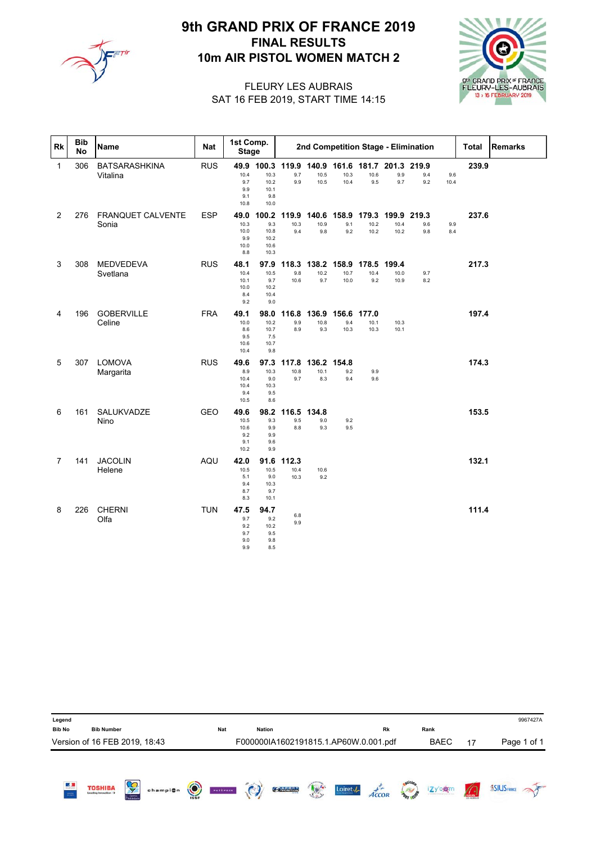

# 10m AIR PISTOL WOMEN MATCH 2 FINAL RESULTS 9th GRAND PRIX OF FRANCE 2019



#### SAT 16 FEB 2019, START TIME 14:15 FLEURY LES AUBRAIS

| Rk             | <b>Bib</b><br>No | Name                             | <b>Nat</b> | 1st Comp.<br><b>Stage</b>                  |                                              |                                |                                  |                                               |                       |                       | 2nd Competition Stage - Elimination |             | <b>Total</b> | <b>Remarks</b> |
|----------------|------------------|----------------------------------|------------|--------------------------------------------|----------------------------------------------|--------------------------------|----------------------------------|-----------------------------------------------|-----------------------|-----------------------|-------------------------------------|-------------|--------------|----------------|
| 1              | 306              | <b>BATSARASHKINA</b><br>Vitalina | <b>RUS</b> | 10.4<br>9.7<br>9.9<br>9.1<br>10.8          | 10.3<br>10.2<br>10.1<br>9.8<br>10.0          | 49.9 100.3 119.9<br>9.7<br>9.9 | 10.5<br>10.5                     | 140.9 161.6 181.7 201.3 219.9<br>10.3<br>10.4 | 10.6<br>9.5           | 9.9<br>9.7            | 9.4<br>9.2                          | 9.6<br>10.4 | 239.9        |                |
| $\overline{2}$ | 276              | FRANQUET CALVENTE<br>Sonia       | <b>ESP</b> | 49.0<br>10.3<br>10.0<br>9.9<br>10.0<br>8.8 | 100.2<br>9.3<br>10.8<br>10.2<br>10.6<br>10.3 | 119.9<br>10.3<br>9.4           | 140.6<br>10.9<br>9.8             | 158.9<br>9.1<br>9.2                           | 179.3<br>10.2<br>10.2 | 199.9<br>10.4<br>10.2 | 219.3<br>9.6<br>9.8                 | 9.9<br>8.4  | 237.6        |                |
| 3              | 308              | <b>MEDVEDEVA</b><br>Svetlana     | <b>RUS</b> | 48.1<br>10.4<br>10.1<br>10.0<br>8.4<br>9.2 | 97.9<br>10.5<br>9.7<br>10.2<br>10.4<br>9.0   | 9.8<br>10.6                    | 10.2<br>9.7                      | 118.3 138.2 158.9 178.5<br>10.7<br>10.0       | 10.4<br>9.2           | 199.4<br>10.0<br>10.9 | 9.7<br>8.2                          |             | 217.3        |                |
| 4              | 196              | <b>GOBERVILLE</b><br>Celine      | <b>FRA</b> | 49.1<br>10.0<br>8.6<br>9.5<br>10.6<br>10.4 | 98.0<br>10.2<br>10.7<br>7.5<br>10.7<br>9.8   | 116.8<br>9.9<br>8.9            | 136.9<br>10.8<br>9.3             | 156.6<br>9.4<br>10.3                          | 177.0<br>10.1<br>10.3 | 10.3<br>10.1          |                                     |             | 197.4        |                |
| 5              | 307              | LOMOVA<br>Margarita              | <b>RUS</b> | 49.6<br>8.9<br>10.4<br>10.4<br>9.4<br>10.5 | 97.3<br>10.3<br>9.0<br>10.3<br>9.5<br>8.6    | 10.8<br>9.7                    | 117.8 136.2 154.8<br>10.1<br>8.3 | 9.2<br>9.4                                    | 9.9<br>9.6            |                       |                                     |             | 174.3        |                |
| 6              | 161              | SALUKVADZE<br>Nino               | <b>GEO</b> | 49.6<br>10.5<br>10.6<br>9.2<br>9.1<br>10.2 | 98.2<br>9.3<br>9.9<br>9.9<br>9.6<br>9.9      | 116.5<br>9.5<br>8.8            | 134.8<br>9.0<br>9.3              | 9.2<br>9.5                                    |                       |                       |                                     |             | 153.5        |                |
| 7              | 141              | <b>JACOLIN</b><br>Helene         | AQU        | 42.0<br>10.5<br>5.1<br>9.4<br>8.7<br>8.3   | 91.6<br>10.5<br>9.0<br>10.3<br>9.7<br>10.1   | 112.3<br>10.4<br>10.3          | 10.6<br>9.2                      |                                               |                       |                       |                                     |             | 132.1        |                |
| 8              | 226              | <b>CHERNI</b><br>Olfa            | <b>TUN</b> | 47.5<br>9.7<br>9.2<br>9.7<br>9.0<br>9.9    | 94.7<br>9.2<br>10.2<br>9.5<br>9.8<br>8.5     | 6.8<br>9.9                     |                                  |                                               |                       |                       |                                     |             | 111.4        |                |

| Legend<br><b>Bib No</b> | <b>Bib Number</b>             |                           |          |         | Nat             | <b>Nation</b> |                                       |                      |                    | <b>Rk</b>                      |                | Rank        |                 | 9967427A           |
|-------------------------|-------------------------------|---------------------------|----------|---------|-----------------|---------------|---------------------------------------|----------------------|--------------------|--------------------------------|----------------|-------------|-----------------|--------------------|
|                         | Version of 16 FEB 2019, 18:43 |                           |          |         |                 |               | F000000IA1602191815.1.AP60W.0.001.pdf |                      |                    |                                |                | <b>BAEC</b> | 17              | Page 1 of 1        |
|                         |                               |                           |          |         |                 |               |                                       |                      |                    |                                |                |             |                 |                    |
| 医具<br>$\frac{1}{2}$     | <b>TOSHIBA</b>                | Ş<br>Centre<br>Voi de Loi | champion | $\odot$ | <b>PATÁPAIN</b> | $\odot$       | <b>OPOSITION</b>                      | $\frac{1}{\sqrt{2}}$ | Loiret $\sqrt{\ }$ | $A\acute{c}\acute{c}\acute{c}$ | <b>BATTLES</b> | izy'ogm     | $\sqrt{\Omega}$ | <b>ASIUS RANCE</b> |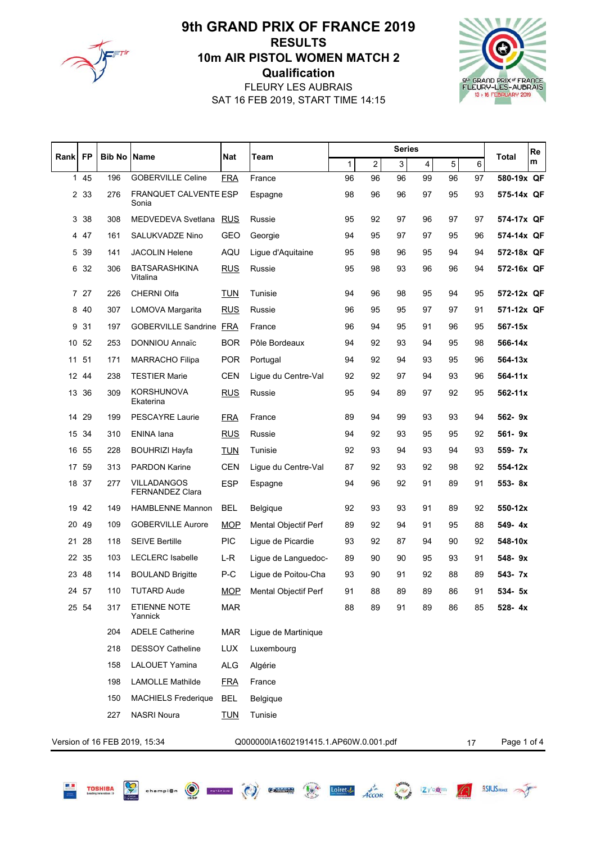

**TOSHIBA** 

# **Qualification** 10m AIR PISTOL WOMEN MATCH 2 RESULTS 9th GRAND PRIX OF FRANCE 2019

SAT 16 FEB 2019, START TIME 14:15 FLEURY LES AUBRAIS



|              | <b>FP</b> | <b>Bib No IName</b> |                                              | <b>Nat</b> |                                       |    |                         | <b>Series</b> |    |            |    |             | Re |
|--------------|-----------|---------------------|----------------------------------------------|------------|---------------------------------------|----|-------------------------|---------------|----|------------|----|-------------|----|
| <b>Rank</b>  |           |                     |                                              |            | Team                                  | 1  | $\overline{\mathbf{c}}$ | 3             | 4  | $\sqrt{5}$ | 6  | Total       | m  |
| $\mathbf{1}$ | 45        | 196                 | <b>GOBERVILLE Celine</b>                     | <b>FRA</b> | France                                | 96 | 96                      | 96            | 99 | 96         | 97 | 580-19x QF  |    |
|              | 2 33      | 276                 | <b>FRANQUET CALVENTE ESP</b><br>Sonia        |            | Espagne                               | 98 | 96                      | 96            | 97 | 95         | 93 | 575-14x QF  |    |
| 3            | 38        | 308                 | MEDVEDEVA Svetlana                           | <b>RUS</b> | Russie                                | 95 | 92                      | 97            | 96 | 97         | 97 | 574-17x QF  |    |
| 4            | 47        | 161                 | SALUKVADZE Nino                              | <b>GEO</b> | Georgie                               | 94 | 95                      | 97            | 97 | 95         | 96 | 574-14x QF  |    |
| 5            | 39        | 141                 | <b>JACOLIN Helene</b>                        | AQU        | Ligue d'Aquitaine                     | 95 | 98                      | 96            | 95 | 94         | 94 | 572-18x QF  |    |
| 6            | 32        | 306                 | <b>BATSARASHKINA</b><br>Vitalina             | <b>RUS</b> | Russie                                | 95 | 98                      | 93            | 96 | 96         | 94 | 572-16x QF  |    |
|              | 7 27      | 226                 | <b>CHERNI Olfa</b>                           | <b>TUN</b> | Tunisie                               | 94 | 96                      | 98            | 95 | 94         | 95 | 572-12x QF  |    |
| 8            | 40        | 307                 | LOMOVA Margarita                             | <b>RUS</b> | Russie                                | 96 | 95                      | 95            | 97 | 97         | 91 | 571-12x QF  |    |
| 9            | 31        | 197                 | GOBERVILLE Sandrine FRA                      |            | France                                | 96 | 94                      | 95            | 91 | 96         | 95 | 567-15x     |    |
| 10           | 52        | 253                 | <b>DONNIOU Annaïc</b>                        | <b>BOR</b> | Pôle Bordeaux                         | 94 | 92                      | 93            | 94 | 95         | 98 | 566-14x     |    |
| 11           | 51        | 171                 | <b>MARRACHO Filipa</b>                       | <b>POR</b> | Portugal                              | 94 | 92                      | 94            | 93 | 95         | 96 | 564-13x     |    |
|              | 12 44     | 238                 | <b>TESTIER Marie</b>                         | <b>CEN</b> | Ligue du Centre-Val                   | 92 | 92                      | 97            | 94 | 93         | 96 | 564-11x     |    |
| 13           | 36        | 309                 | <b>KORSHUNOVA</b><br>Ekaterina               | <b>RUS</b> | Russie                                | 95 | 94                      | 89            | 97 | 92         | 95 | 562-11x     |    |
|              | 14 29     | 199                 | PESCAYRE Laurie                              | <b>FRA</b> | France                                | 89 | 94                      | 99            | 93 | 93         | 94 | 562-9x      |    |
|              | 15 34     | 310                 | ENINA lana                                   | <u>RUS</u> | Russie                                | 94 | 92                      | 93            | 95 | 95         | 92 | 561-9x      |    |
| 16           | 55        | 228                 | <b>BOUHRIZI Hayfa</b>                        | <b>TUN</b> | Tunisie                               | 92 | 93                      | 94            | 93 | 94         | 93 | 559- 7x     |    |
| 17           | 59        | 313                 | <b>PARDON Karine</b>                         | <b>CEN</b> | Ligue du Centre-Val                   | 87 | 92                      | 93            | 92 | 98         | 92 | 554-12x     |    |
|              | 18 37     | 277                 | <b>VILLADANGOS</b><br><b>FERNANDEZ Clara</b> | <b>ESP</b> | Espagne                               | 94 | 96                      | 92            | 91 | 89         | 91 | 553-8x      |    |
|              | 19 42     | 149                 | <b>HAMBLENNE Mannon</b>                      | BEL        | Belgique                              | 92 | 93                      | 93            | 91 | 89         | 92 | 550-12x     |    |
| 20           | 49        | 109                 | <b>GOBERVILLE Aurore</b>                     | <b>MOP</b> | <b>Mental Objectif Perf</b>           | 89 | 92                      | 94            | 91 | 95         | 88 | 549-4x      |    |
| 21           | 28        | 118                 | <b>SEIVE Bertille</b>                        | <b>PIC</b> | Ligue de Picardie                     | 93 | 92                      | 87            | 94 | 90         | 92 | 548-10x     |    |
|              | 22 35     | 103                 | <b>LECLERC Isabelle</b>                      | L-R        | Ligue de Languedoc-                   | 89 | 90                      | 90            | 95 | 93         | 91 | 548-9x      |    |
|              | 23 48     | 114                 | <b>BOULAND Brigitte</b>                      | $P-C$      | Ligue de Poitou-Cha                   | 93 | 90                      | 91            | 92 | 88         | 89 | 543- 7x     |    |
|              | 24 57     | 110                 | <b>TUTARD Aude</b>                           | <b>MOP</b> | Mental Objectif Perf                  | 91 | 88                      | 89            | 89 | 86         | 91 | 534- 5x     |    |
|              | 25 54     | 317                 | ETIENNE NOTE<br>Yannick                      | <b>MAR</b> |                                       | 88 | 89                      | 91            | 89 | 86         | 85 | $528 - 4x$  |    |
|              |           | 204                 | <b>ADELE Catherine</b>                       | <b>MAR</b> | Ligue de Martinique                   |    |                         |               |    |            |    |             |    |
|              |           | 218                 | <b>DESSOY Catheline</b>                      | <b>LUX</b> | Luxembourg                            |    |                         |               |    |            |    |             |    |
|              |           | 158                 | LALOUET Yamina                               | <b>ALG</b> | Algérie                               |    |                         |               |    |            |    |             |    |
|              |           | 198                 | <b>LAMOLLE Mathilde</b>                      | <u>FRA</u> | France                                |    |                         |               |    |            |    |             |    |
|              |           | 150                 | <b>MACHIELS Frederique</b>                   | <b>BEL</b> | Belgique                              |    |                         |               |    |            |    |             |    |
|              |           | 227                 | <b>NASRI Noura</b>                           | <b>TUN</b> | Tunisie                               |    |                         |               |    |            |    |             |    |
|              |           |                     | Version of 16 FEB 2019, 15:34                |            | Q000000IA1602191415.1.AP60W.0.001.pdf |    |                         |               |    |            | 17 | Page 1 of 4 |    |

Samples Computer (C) Computer to Loirett Accor 12YOR 12YOR 13SIUSHANE 25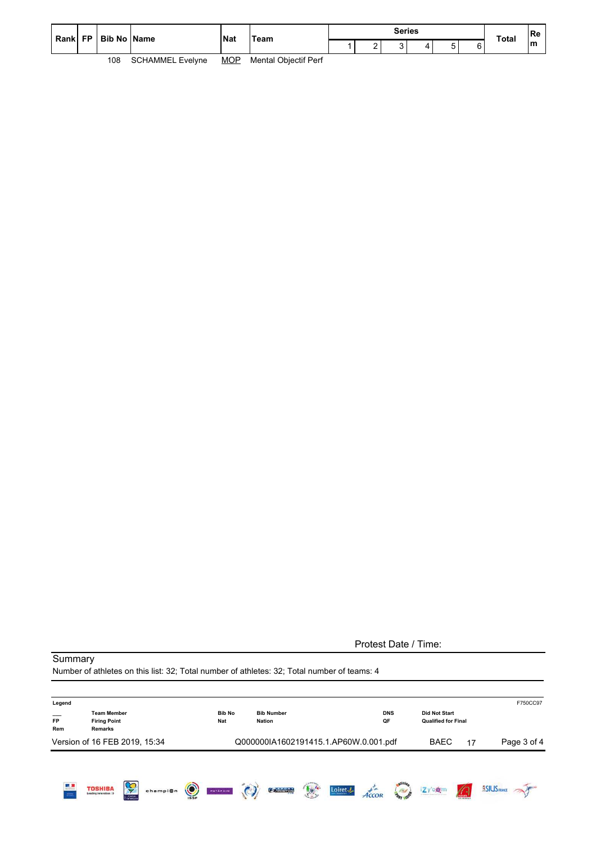| Rank FP | <b>Bib No IName</b> |                         | <b>Nat</b> | Team                        |   | Series |  | <b>Total</b> | <b>IRe</b> |
|---------|---------------------|-------------------------|------------|-----------------------------|---|--------|--|--------------|------------|
|         |                     |                         |            |                             | - |        |  |              | ١m         |
|         | 108                 | <b>SCHAMMEL Evelvne</b> | <u>MOP</u> | <b>Mental Objectif Perf</b> |   |        |  |              |            |

#### **Summary**

Number of athletes on this list: 32; Total number of athletes: 32; Total number of teams: 4

| Legend                        |                                                             |                           |          |         |                      |                                       |                      |                             |                   |                             |                                                    |              | F750CC97            |  |
|-------------------------------|-------------------------------------------------------------|---------------------------|----------|---------|----------------------|---------------------------------------|----------------------|-----------------------------|-------------------|-----------------------------|----------------------------------------------------|--------------|---------------------|--|
| <b>FP</b><br><b>Rem</b>       | <b>Team Member</b><br><b>Firing Point</b><br><b>Remarks</b> |                           |          |         | <b>Bib No</b><br>Nat | <b>Bib Number</b><br><b>Nation</b>    |                      |                             | QF                | <b>DNS</b>                  | <b>Did Not Start</b><br><b>Qualified for Final</b> |              |                     |  |
| Version of 16 FEB 2019, 15:34 |                                                             |                           |          |         |                      | Q000000IA1602191415.1.AP60W.0.001.pdf |                      |                             |                   |                             | <b>BAEC</b>                                        | 17           | Page 3 of 4         |  |
| цL.<br>$=$                    | <b>TOSHIBA</b><br><b>Leading Innovation 35</b>              | <b>Centre</b><br>Kaldeton | champion | $\odot$ | PATAPAIN             | $\bigcirc$                            | $\frac{1}{\sqrt{2}}$ | Loiret $\sqrt{\phantom{a}}$ | A <sub>CCOR</sub> | alici <sub>n</sub><br>Ford, | izy com<br>a Marcot carrier and to the de-         | $\mathbb{C}$ | <b>SSIUS FRANCE</b> |  |

Protest Date / Time: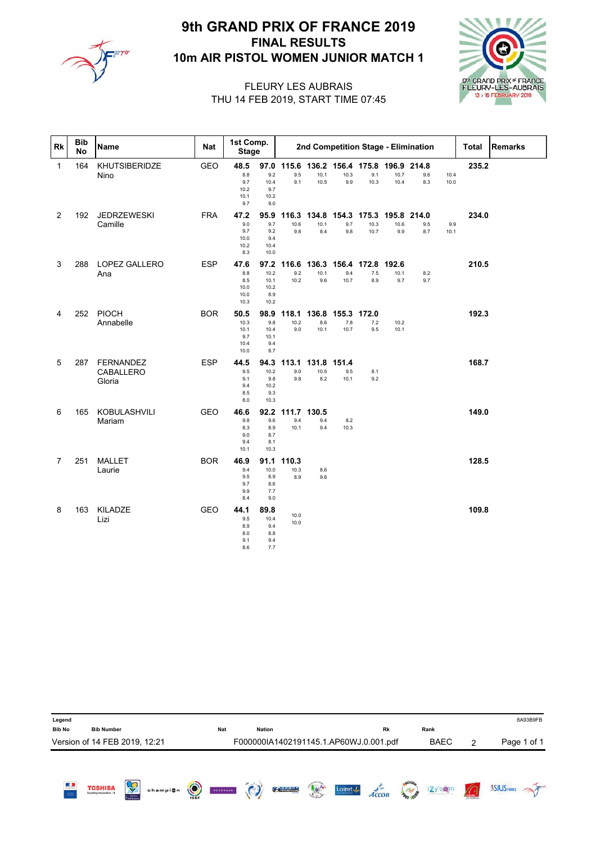

# 10m AIR PISTOL WOMEN JUNIOR MATCH 1 FINAL RESULTS 9th GRAND PRIX OF FRANCE 2019



 $\overline{\phantom{a}}$ 

#### THU 14 FEB 2019, START TIME 07:45 FLEURY LES AUBRAIS

| Rk             | <b>Bib</b><br>No | Name                             | <b>Nat</b> | 1st Comp.<br><b>Stage</b>                   |                                             |                      |                            |                                                         |                       |                      | 2nd Competition Stage - Elimination |              | <b>Total</b> | <b>Remarks</b> |
|----------------|------------------|----------------------------------|------------|---------------------------------------------|---------------------------------------------|----------------------|----------------------------|---------------------------------------------------------|-----------------------|----------------------|-------------------------------------|--------------|--------------|----------------|
| $\mathbf{1}$   | 164              | KHUTSIBERIDZE<br>Nino            | <b>GEO</b> | 48.5<br>8.8<br>9.7<br>10.2<br>10.1<br>9.7   | 9.2<br>10.4<br>9.7<br>10.2<br>9.0           | 9.5<br>9.1           | 10.1<br>10.5               | 97.0 115.6 136.2 156.4 175.8 196.9 214.8<br>10.3<br>9.9 | 9.1<br>10.3           | 10.7<br>10.4         | 9.6<br>8.3                          | 10.4<br>10.0 | 235.2        |                |
| $\overline{2}$ | 192              | <b>JEDRZEWESKI</b><br>Camille    | <b>FRA</b> | 47.2<br>9.0<br>9.7<br>10.0<br>10.2<br>8.3   | 95.9<br>9.7<br>9.2<br>9.4<br>10.4<br>10.0   | 116.3<br>10.6<br>9.8 | 134.8<br>10.1<br>8.4       | 154.3<br>9.7<br>9.8                                     | 175.3<br>10.3<br>10.7 | 195.8<br>10.6<br>9.9 | 214.0<br>9.5<br>8.7                 | 9.9<br>10.1  | 234.0        |                |
| 3              | 288              | LOPEZ GALLERO<br>Ana             | <b>ESP</b> | 47.6<br>8.8<br>8.5<br>10.0<br>10.0<br>10.3  | 97.2<br>10.2<br>10.1<br>10.2<br>8.9<br>10.2 | 9.2<br>10.2          | 10.1<br>9.6                | 116.6 136.3 156.4 172.8 192.6<br>9.4<br>10.7            | 7.5<br>8.9            | 10.1<br>9.7          | 8.2<br>9.7                          |              | 210.5        |                |
| 4              | 252              | <b>PIOCH</b><br>Annabelle        | <b>BOR</b> | 50.5<br>10.3<br>10.1<br>9.7<br>10.4<br>10.0 | 98.9<br>9.8<br>10.4<br>10.1<br>9.4<br>8.7   | 118.1<br>10.2<br>9.0 | 136.8<br>8.6<br>10.1       | 155.3 172.0<br>7.8<br>10.7                              | 7.2<br>9.5            | 10.2<br>10.1         |                                     |              | 192.3        |                |
| 5              | 287              | FERNANDEZ<br>CABALLERO<br>Gloria | <b>ESP</b> | 44.5<br>9.5<br>9.1<br>9.4<br>8.5<br>8.0     | 94.3<br>10.2<br>9.8<br>10.2<br>9.3<br>10.3  | 113.1<br>9.0<br>9.8  | 131.8 151.4<br>10.5<br>8.2 | 9.5<br>10.1                                             | 8.1<br>9.2            |                      |                                     |              | 168.7        |                |
| 6              | 165              | KOBULASHVILI<br>Mariam           | <b>GEO</b> | 46.6<br>9.8<br>8.3<br>9.0<br>9.4<br>10.1    | 92.2<br>9.6<br>8.9<br>8.7<br>8.1<br>10.3    | 111.7<br>9.4<br>10.1 | 130.5<br>9.4<br>9.4        | 8.2<br>10.3                                             |                       |                      |                                     |              | 149.0        |                |
| 7              | 251              | <b>MALLET</b><br>Laurie          | <b>BOR</b> | 46.9<br>9.4<br>9.5<br>9.7<br>9.9<br>8.4     | 91.1<br>10.0<br>8.9<br>8.6<br>7.7<br>9.0    | 110.3<br>10.3<br>8.9 | 8.6<br>9.6                 |                                                         |                       |                      |                                     |              | 128.5        |                |
| 8              | 163              | KILADZE<br>Lizi                  | <b>GEO</b> | 44.1<br>9.5<br>8.9<br>8.0<br>9.1<br>8.6     | 89.8<br>10.4<br>9.4<br>8.8<br>9.4<br>7.7    | 10.0<br>10.0         |                            |                                                         |                       |                      |                                     |              | 109.8        |                |

| Legend                     |                               |              |          |         |            |               |                                        |             |                           |                                |                  |             |                 | 8A93B9FB            |
|----------------------------|-------------------------------|--------------|----------|---------|------------|---------------|----------------------------------------|-------------|---------------------------|--------------------------------|------------------|-------------|-----------------|---------------------|
| <b>Bib No</b>              | <b>Bib Number</b>             |              |          |         | <b>Nat</b> | <b>Nation</b> |                                        |             |                           | Rk                             |                  | Rank        |                 |                     |
|                            | Version of 14 FEB 2019, 12:21 |              |          |         |            |               | F000000IA1402191145.1.AP60WJ.0.001.pdf |             |                           |                                |                  | <b>BAEC</b> | 2               | Page 1 of 1         |
| <b>KA</b><br>$\frac{1}{2}$ | <b>TOSHIBA</b>                | Ş<br>Centre- | champion | $\odot$ | PATÁPAIN   | $\odot$       | <b>Opesition</b>                       | <b>TOLE</b> | ${\sf Loiret}\mathcal{N}$ | $A\acute{c}\acute{c}\acute{c}$ | <b>BAT ISI</b> S | izy'ogm     | $\sqrt{\Omega}$ | <b>ASIUS FRANCE</b> |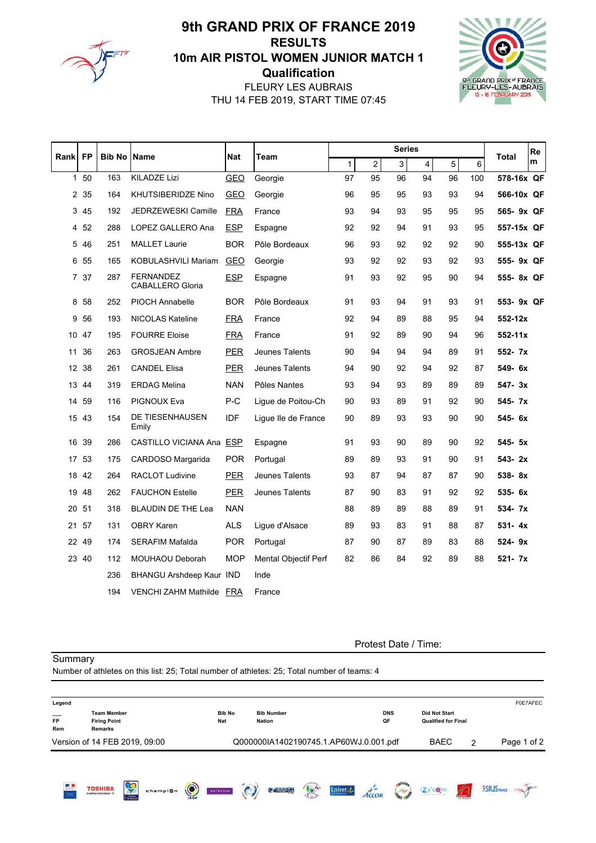

# **Qualification** 10m AIR PISTOL WOMEN JUNIOR MATCH 1 RESULTS 9th GRAND PRIX OF FRANCE 2019

THU 14 FEB 2019, START TIME 07:45 FLEURY LES AUBRAIS



|              |           |                     |                                             |            |                             |              |                | <b>Series</b> |    |    |     | Re          |
|--------------|-----------|---------------------|---------------------------------------------|------------|-----------------------------|--------------|----------------|---------------|----|----|-----|-------------|
| Rankl        | <b>FP</b> | <b>Bib No IName</b> |                                             | Nat        | <b>Team</b>                 | $\mathbf{1}$ | $\overline{c}$ | 3             | 4  | 5  | 6   | Total<br>m  |
| $\mathbf{1}$ | 50        | 163                 | <b>KILADZE Lizi</b>                         | <b>GEO</b> | Georgie                     | 97           | 95             | 96            | 94 | 96 | 100 | 578-16x QF  |
|              | 2 35      | 164                 | KHUTSIBERIDZE Nino                          | GEO        | Georgie                     | 96           | 95             | 95            | 93 | 93 | 94  | 566-10x QF  |
| 3            | 45        | 192                 | <b>JEDRZEWESKI Camille</b>                  | <b>FRA</b> | France                      | 93           | 94             | 93            | 95 | 95 | 95  | 565- 9x QF  |
| 4            | 52        | 288                 | LOPEZ GALLERO Ana                           | <b>ESP</b> | Espagne                     | 92           | 92             | 94            | 91 | 93 | 95  | 557-15x QF  |
| 5            | 46        | 251                 | <b>MALLET Laurie</b>                        | <b>BOR</b> | Pôle Bordeaux               | 96           | 93             | 92            | 92 | 92 | 90  | 555-13x QF  |
| 6            | 55        | 165                 | KOBULASHVILI Mariam                         | <b>GEO</b> | Georgie                     | 93           | 92             | 92            | 93 | 92 | 93  | 555- 9x QF  |
|              | 7 37      | 287                 | <b>FERNANDEZ</b><br><b>CABALLERO Gloria</b> | <b>ESP</b> | Espagne                     | 91           | 93             | 92            | 95 | 90 | 94  | 555-8x QF   |
| 8            | 58        | 252                 | PIOCH Annabelle                             | <b>BOR</b> | Pôle Bordeaux               | 91           | 93             | 94            | 91 | 93 | 91  | 553- 9x QF  |
| 9            | 56        | 193                 | <b>NICOLAS Kateline</b>                     | <b>FRA</b> | France                      | 92           | 94             | 89            | 88 | 95 | 94  | 552-12x     |
| 10           | 47        | 195                 | <b>FOURRE Eloise</b>                        | <b>FRA</b> | France                      | 91           | 92             | 89            | 90 | 94 | 96  | $552 - 11x$ |
| 11           | 36        | 263                 | <b>GROSJEAN Ambre</b>                       | <b>PER</b> | Jeunes Talents              | 90           | 94             | 94            | 94 | 89 | 91  | 552- 7x     |
|              | 12 38     | 261                 | <b>CANDEL Elisa</b>                         | <b>PER</b> | Jeunes Talents              | 94           | 90             | 92            | 94 | 92 | 87  | 549-6x      |
| 13           | 44        | 319                 | <b>ERDAG Melina</b>                         | <b>NAN</b> | Pôles Nantes                | 93           | 94             | 93            | 89 | 89 | 89  | 547-3x      |
| 14           | 59        | 116                 | <b>PIGNOUX Eva</b>                          | $P-C$      | Lique de Poitou-Ch          | 90           | 93             | 89            | 91 | 92 | 90  | 545-7x      |
|              | 15 43     | 154                 | DE TIESENHAUSEN<br>Emily                    | <b>IDF</b> | Ligue lle de France         | 90           | 89             | 93            | 93 | 90 | 90  | 545-6x      |
| 16           | 39        | 286                 | CASTILLO VICIANA Ana ESP                    |            | Espagne                     | 91           | 93             | 90            | 89 | 90 | 92  | 545-5x      |
|              | 17 53     | 175                 | CARDOSO Margarida                           | <b>POR</b> | Portugal                    | 89           | 89             | 93            | 91 | 90 | 91  | 543-2x      |
| 18           | 42        | 264                 | <b>RACLOT Ludivine</b>                      | <b>PER</b> | Jeunes Talents              | 93           | 87             | 94            | 87 | 87 | 90  | 538-8x      |
| 19           | 48        | 262                 | <b>FAUCHON Estelle</b>                      | <b>PER</b> | Jeunes Talents              | 87           | 90             | 83            | 91 | 92 | 92  | 535-6x      |
|              | 20 51     | 318                 | <b>BLAUDIN DE THE Lea</b>                   | <b>NAN</b> |                             | 88           | 89             | 89            | 88 | 89 | 91  | 534- 7x     |
|              | 21 57     | 131                 | <b>OBRY Karen</b>                           | <b>ALS</b> | Lique d'Alsace              | 89           | 93             | 83            | 91 | 88 | 87  | 531-4x      |
|              | 22 49     | 174                 | <b>SERAFIM Mafalda</b>                      | <b>POR</b> | Portugal                    | 87           | 90             | 87            | 89 | 83 | 88  | 524-9x      |
|              | 23 40     | 112                 | <b>MOUHAOU Deborah</b>                      | <b>MOP</b> | <b>Mental Objectif Perf</b> | 82           | 86             | 84            | 92 | 89 | 88  | $521 - 7x$  |
|              |           | 236                 | BHANGU Arshdeep Kaur IND                    |            | Inde                        |              |                |               |    |    |     |             |
|              |           | 194                 | VENCHI ZAHM Mathilde                        | FRA        | France                      |              |                |               |    |    |     |             |

**Summary** 

Protest Date / Time:

Number of athletes on this list: 25; Total number of athletes: 25; Total number of teams: 4 Legend F0E7AFEC \_\_\_ Team Member Bib No Bib Number DNS Did Not Start FP Firing Point Nat Nation QF Qualified for Final Rem Remarks Version of 14 FEB 2019, 09:00 Q000000IA1402190745.1.AP60WJ.0.001.pdf BAEC 2 Page 1 of 2Loiret / Accor Manus **TOSHIBA SSIUS FRANCE** champion **O** PATAPAIN izy'ogm **O**BSORT  $\sqrt{6}$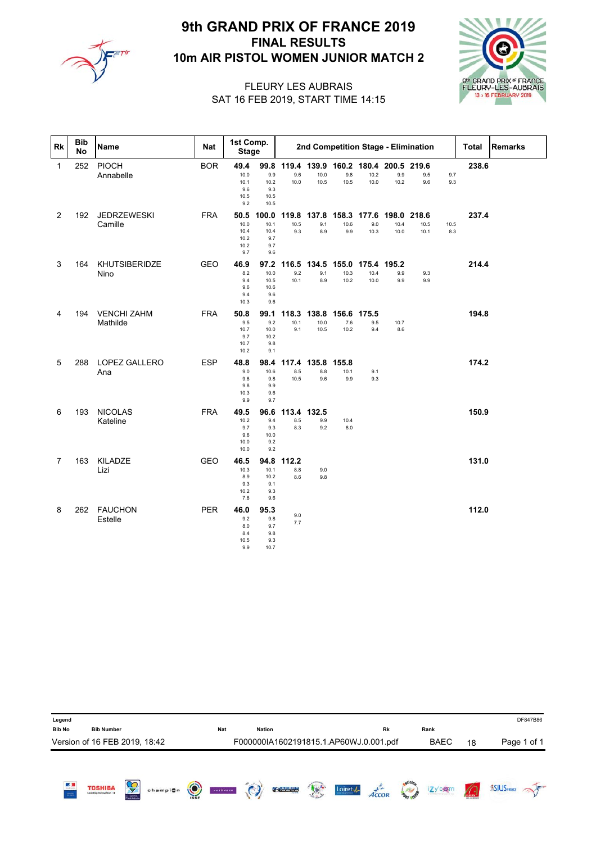

# 10m AIR PISTOL WOMEN JUNIOR MATCH 2 FINAL RESULTS 9th GRAND PRIX OF FRANCE 2019

# gth GRAND PRIX of FRANCE<br>FLEURY-LES-AUBRAIS **ARY 2019**

#### SAT 16 FEB 2019, START TIME 14:15 FLEURY LES AUBRAIS

| <b>Rk</b>      | <b>Bib</b><br><b>No</b> | <b>Name</b>                    | <b>Nat</b> | 1st Comp.<br><b>Stage</b>                   |                                            | 2nd Competition Stage - Elimination<br>139.9 160.2 180.4 200.5 219.6 |                                     |                      |                                               |                       |                       |             | Total | <b>Remarks</b> |
|----------------|-------------------------|--------------------------------|------------|---------------------------------------------|--------------------------------------------|----------------------------------------------------------------------|-------------------------------------|----------------------|-----------------------------------------------|-----------------------|-----------------------|-------------|-------|----------------|
| 1              | 252                     | PIOCH<br>Annabelle             | <b>BOR</b> | 49.4<br>10.0<br>10.1<br>9.6<br>10.5<br>9.2  | 99.8<br>9.9<br>10.2<br>9.3<br>10.5<br>10.5 | 119.4<br>9.6<br>10.0                                                 | 10.0<br>10.5                        | 9.8<br>10.5          | 10.2<br>10.0                                  | 9.9<br>10.2           | 9.5<br>9.6            | 9.7<br>9.3  | 238.6 |                |
| $\overline{2}$ | 192                     | <b>JEDRZEWESKI</b><br>Camille  | <b>FRA</b> | 50.5<br>10.0<br>10.4<br>10.2<br>10.2<br>9.7 | 100.0<br>10.1<br>10.4<br>9.7<br>9.7<br>9.6 | 119.8<br>10.5<br>9.3                                                 | 137.8<br>9.1<br>8.9                 | 158.3<br>10.6<br>9.9 | 177.6<br>9.0<br>10.3                          | 198.0<br>10.4<br>10.0 | 218.6<br>10.5<br>10.1 | 10.5<br>8.3 | 237.4 |                |
| 3              | 164                     | KHUTSIBERIDZE<br>Nino          | GEO        | 46.9<br>8.2<br>9.4<br>9.6<br>9.4<br>10.3    | 97.2<br>10.0<br>10.5<br>10.6<br>9.6<br>9.6 | 9.2<br>10.1                                                          | 9.1<br>8.9                          | 10.3<br>10.2         | 116.5 134.5 155.0 175.4 195.2<br>10.4<br>10.0 | 9.9<br>9.9            | 9.3<br>9.9            |             | 214.4 |                |
| 4              | 194                     | <b>VENCHI ZAHM</b><br>Mathilde | <b>FRA</b> | 50.8<br>9.5<br>10.7<br>9.7<br>10.7<br>10.2  | 99.1<br>9.2<br>10.0<br>10.2<br>9.8<br>9.1  | 118.3<br>10.1<br>9.1                                                 | 138.8<br>10.0<br>10.5               | 156.6<br>7.6<br>10.2 | 175.5<br>9.5<br>9.4                           | 10.7<br>8.6           |                       |             | 194.8 |                |
| 5              | 288                     | LOPEZ GALLERO<br>Ana           | <b>ESP</b> | 48.8<br>9.0<br>9.8<br>9.8<br>10.3<br>9.9    | 98.4<br>10.6<br>9.8<br>9.9<br>9.6<br>9.7   | 8.5<br>10.5                                                          | 117.4 135.8 155.8<br>$8.8\,$<br>9.6 | 10.1<br>9.9          | 9.1<br>9.3                                    |                       |                       |             | 174.2 |                |
| 6              | 193                     | <b>NICOLAS</b><br>Kateline     | <b>FRA</b> | 49.5<br>10.2<br>9.7<br>9.6<br>10.0<br>10.0  | 96.6<br>9.4<br>9.3<br>10.0<br>9.2<br>9.2   | 113.4 132.5<br>8.5<br>8.3                                            | 9.9<br>9.2                          | 10.4<br>8.0          |                                               |                       |                       |             | 150.9 |                |
| 7              | 163                     | KILADZE<br>Lizi                | <b>GEO</b> | 46.5<br>10.3<br>8.9<br>9.3<br>10.2<br>7.8   | 94.8<br>10.1<br>10.2<br>9.1<br>9.3<br>9.6  | 112.2<br>8.8<br>8.6                                                  | 9.0<br>9.8                          |                      |                                               |                       |                       |             | 131.0 |                |
| 8              | 262                     | <b>FAUCHON</b><br>Estelle      | <b>PER</b> | 46.0<br>9.2<br>8.0<br>8.4<br>10.5<br>9.9    | 95.3<br>9.8<br>9.7<br>9.8<br>9.3<br>10.7   | 9.0<br>7.7                                                           |                                     |                      |                                               |                       |                       |             | 112.0 |                |

| Legend              |                               |                          |          |         |                 |               |                                        |     |                    |           |                  |             |    | DF847B86            |
|---------------------|-------------------------------|--------------------------|----------|---------|-----------------|---------------|----------------------------------------|-----|--------------------|-----------|------------------|-------------|----|---------------------|
| <b>Bib No</b>       | <b>Bib Number</b>             |                          |          |         | <b>Nat</b>      | <b>Nation</b> |                                        |     |                    | <b>Rk</b> |                  | Rank        |    |                     |
|                     | Version of 16 FEB 2019, 18:42 |                          |          |         |                 |               | F000000IA1602191815.1.AP60WJ.0.001.pdf |     |                    |           |                  | <b>BAEC</b> | 18 | Page 1 of 1         |
| E.<br>$\frac{1}{2}$ | <b>TOSHIBA</b>                | Ş<br>Centre<br>Voldetoin | champi@n | $\odot$ | <b>PATÁPAIN</b> | $\odot$       | <b>Opesition</b>                       | 104 | Loiret $\sqrt{\ }$ | $A\neq C$ | <b>BAT ISIDE</b> | izy'e@m     |    | <b>ASIUS FRANCE</b> |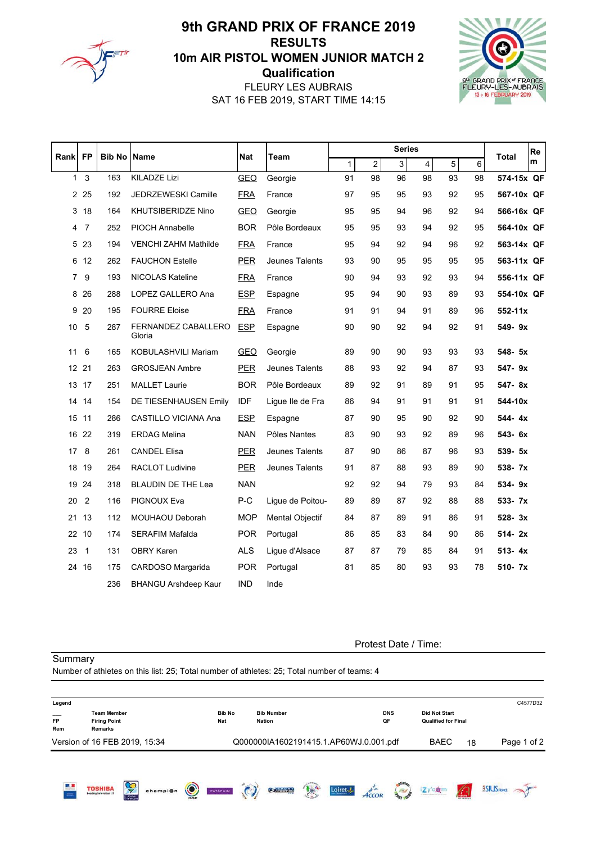

# **Qualification** 10m AIR PISTOL WOMEN JUNIOR MATCH 2 RESULTS 9th GRAND PRIX OF FRANCE 2019

SAT 16 FEB 2019, START TIME 14:15 FLEURY LES AUBRAIS



| Rank            | <b>FP</b>      | <b>Bib No</b> | <b>Name</b>                   | <b>Nat</b> |                  |              |                | <b>Series</b> |    |    |    | Re<br><b>Total</b> |
|-----------------|----------------|---------------|-------------------------------|------------|------------------|--------------|----------------|---------------|----|----|----|--------------------|
|                 |                |               |                               |            | Team             | $\mathbf{1}$ | $\overline{c}$ | 3             | 4  | 5  | 6  | m                  |
| $\mathbf{1}$    | 3              | 163           | <b>KILADZE Lizi</b>           | <b>GEO</b> | Georgie          | 91           | 98             | 96            | 98 | 93 | 98 | 574-15x QF         |
| $\overline{2}$  | 25             | 192           | JEDRZEWESKI Camille           | <b>FRA</b> | France           | 97           | 95             | 95            | 93 | 92 | 95 | 567-10x QF         |
| 3               | 18             | 164           | <b>KHUTSIBERIDZE Nino</b>     | <b>GEO</b> | Georgie          | 95           | 95             | 94            | 96 | 92 | 94 | 566-16x QF         |
| 4               | $\overline{7}$ | 252           | <b>PIOCH Annabelle</b>        | <b>BOR</b> | Pôle Bordeaux    | 95           | 95             | 93            | 94 | 92 | 95 | 564-10x QF         |
| 5               | 23             | 194           | <b>VENCHI ZAHM Mathilde</b>   | <b>FRA</b> | France           | 95           | 94             | 92            | 94 | 96 | 92 | 563-14x QF         |
| 6               | 12             | 262           | <b>FAUCHON Estelle</b>        | <b>PER</b> | Jeunes Talents   | 93           | 90             | 95            | 95 | 95 | 95 | 563-11x QF         |
| 7               | 9              | 193           | <b>NICOLAS Kateline</b>       | <b>FRA</b> | France           | 90           | 94             | 93            | 92 | 93 | 94 | 556-11x QF         |
| 8               | 26             | 288           | LOPEZ GALLERO Ana             | <b>ESP</b> | Espagne          | 95           | 94             | 90            | 93 | 89 | 93 | 554-10x QF         |
| 9               | 20             | 195           | <b>FOURRE Eloise</b>          | <b>FRA</b> | France           | 91           | 91             | 94            | 91 | 89 | 96 | $552 - 11x$        |
| 10              | 5              | 287           | FERNANDEZ CABALLERO<br>Gloria | <b>ESP</b> | Espagne          | 90           | 90             | 92            | 94 | 92 | 91 | 549-9x             |
| 11              | 6              | 165           | KOBULASHVILI Mariam           | <b>GEO</b> | Georgie          | 89           | 90             | 90            | 93 | 93 | 93 | 548- 5x            |
| 12 <sup>°</sup> | 21             | 263           | <b>GROSJEAN Ambre</b>         | <b>PER</b> | Jeunes Talents   | 88           | 93             | 92            | 94 | 87 | 93 | 547-9x             |
|                 | 13 17          | 251           | <b>MALLET Laurie</b>          | <b>BOR</b> | Pôle Bordeaux    | 89           | 92             | 91            | 89 | 91 | 95 | 547-8x             |
| 14              | 14             | 154           | DE TIESENHAUSEN Emily         | IDF        | Ligue lle de Fra | 86           | 94             | 91            | 91 | 91 | 91 | 544-10x            |
| 15              | 11             | 286           | CASTILLO VICIANA Ana          | <b>ESP</b> | Espagne          | 87           | 90             | 95            | 90 | 92 | 90 | 544-4x             |
| 16              | 22             | 319           | <b>ERDAG Melina</b>           | <b>NAN</b> | Pôles Nantes     | 83           | 90             | 93            | 92 | 89 | 96 | 543-6x             |
| 17              | 8              | 261           | <b>CANDEL Elisa</b>           | <b>PER</b> | Jeunes Talents   | 87           | 90             | 86            | 87 | 96 | 93 | 539- 5x            |
|                 | 18 19          | 264           | RACLOT Ludivine               | <b>PER</b> | Jeunes Talents   | 91           | 87             | 88            | 93 | 89 | 90 | 538-7x             |
| 19              | 24             | 318           | <b>BLAUDIN DE THE Lea</b>     | <b>NAN</b> |                  | 92           | 92             | 94            | 79 | 93 | 84 | $534 - 9x$         |
| 20              | $\overline{2}$ | 116           | PIGNOUX Eva                   | P-C        | Ligue de Poitou- | 89           | 89             | 87            | 92 | 88 | 88 | 533- 7x            |
| 21              | 13             | 112           | <b>MOUHAOU Deborah</b>        | <b>MOP</b> | Mental Objectif  | 84           | 87             | 89            | 91 | 86 | 91 | 528-3x             |
|                 | 22 10          | 174           | <b>SERAFIM Mafalda</b>        | <b>POR</b> | Portugal         | 86           | 85             | 83            | 84 | 90 | 86 | $514 - 2x$         |
| 23              | $\mathbf{1}$   | 131           | <b>OBRY Karen</b>             | <b>ALS</b> | Ligue d'Alsace   | 87           | 87             | 79            | 85 | 84 | 91 | $513 - 4x$         |
|                 | 24 16          | 175           | CARDOSO Margarida             | <b>POR</b> | Portugal         | 81           | 85             | 80            | 93 | 93 | 78 | 510- 7x            |
|                 |                | 236           | <b>BHANGU Arshdeep Kaur</b>   | IND        | Inde             |              |                |               |    |    |    |                    |

Summary

Protest Date / Time:

|                  | Number of athletes on this list: 25; Total number of athletes: 25; Total number of teams: 4 |                             |                                        |                    |                  |                                                    |      |                      |
|------------------|---------------------------------------------------------------------------------------------|-----------------------------|----------------------------------------|--------------------|------------------|----------------------------------------------------|------|----------------------|
| Legend           |                                                                                             |                             |                                        |                    |                  |                                                    |      | C4577D32             |
| <b>FP</b><br>Rem | <b>Team Member</b><br><b>Firing Point</b><br><b>Remarks</b>                                 | <b>Bib No</b><br><b>Nat</b> | <b>Bib Number</b><br><b>Nation</b>     |                    | <b>DNS</b><br>QF | <b>Did Not Start</b><br><b>Qualified for Final</b> |      |                      |
|                  | Version of 16 FEB 2019, 15:34                                                               |                             | Q000000IA1602191415.1.AP60WJ.0.001.pdf |                    |                  | <b>BAEC</b>                                        | 18   | Page 1 of 2          |
| $\mathbf{A}$     | <b>TOSHIBA</b><br>champion<br><b>Leading Innovation 39</b><br>Centre                        | $\odot$<br>PATAPAIN         | $\frac{1}{\sqrt{2}}$<br><b>CORPORT</b> | Loiret $\sqrt{\ }$ | Fod.             | izy'ogm<br>a Marco Editor and Solomonto            | mium | <b>BSILIS FRANCE</b> |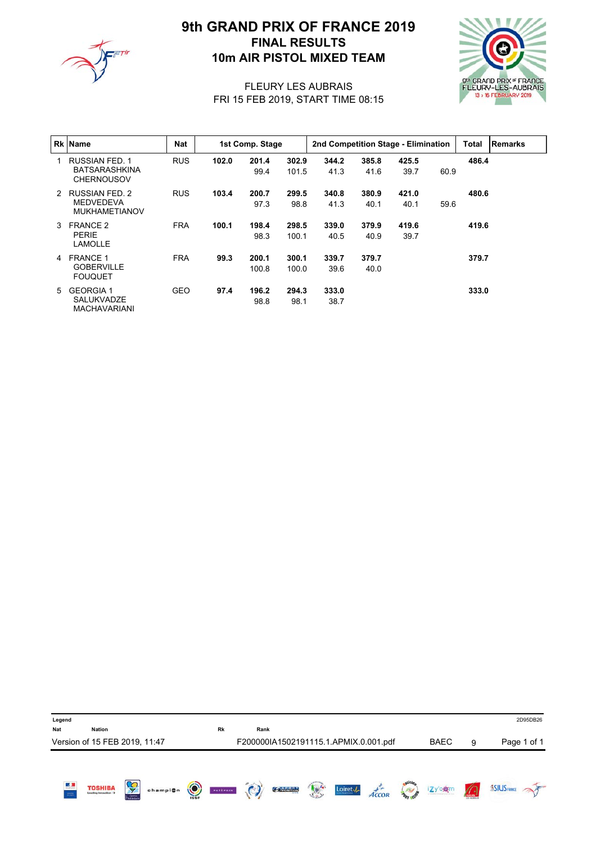

# 10m AIR PISTOL MIXED TEAM FINAL RESULTS 9th GRAND PRIX OF FRANCE 2019



#### FRI 15 FEB 2019, START TIME 08:15 FLEURY LES AUBRAIS

|               | <b>Rk Name</b>                                                     | <b>Nat</b> | 1st Comp. Stage |                |                | 2nd Competition Stage - Elimination |               |               |      | <b>Total</b> | <b>Remarks</b> |
|---------------|--------------------------------------------------------------------|------------|-----------------|----------------|----------------|-------------------------------------|---------------|---------------|------|--------------|----------------|
|               | <b>RUSSIAN FED. 1</b><br><b>BATSARASHKINA</b><br><b>CHERNOUSOV</b> | <b>RUS</b> | 102.0           | 201.4<br>99.4  | 302.9<br>101.5 | 344.2<br>41.3                       | 385.8<br>41.6 | 425.5<br>39.7 | 60.9 | 486.4        |                |
| $\mathcal{P}$ | <b>RUSSIAN FED. 2</b><br><b>MEDVEDEVA</b><br><b>MUKHAMETIANOV</b>  | <b>RUS</b> | 103.4           | 200.7<br>97.3  | 299.5<br>98.8  | 340.8<br>41.3                       | 380.9<br>40.1 | 421.0<br>40.1 | 59.6 | 480.6        |                |
| 3             | <b>FRANCE 2</b><br>PERIE<br><b>LAMOLLE</b>                         | <b>FRA</b> | 100.1           | 198.4<br>98.3  | 298.5<br>100.1 | 339.0<br>40.5                       | 379.9<br>40.9 | 419.6<br>39.7 |      | 419.6        |                |
| 4             | <b>FRANCE 1</b><br><b>GOBERVILLE</b><br><b>FOUQUET</b>             | <b>FRA</b> | 99.3            | 200.1<br>100.8 | 300.1<br>100.0 | 339.7<br>39.6                       | 379.7<br>40.0 |               |      | 379.7        |                |
| 5             | <b>GEORGIA1</b><br>SALUKVADZE<br><b>MACHAVARIANI</b>               | <b>GEO</b> | 97.4            | 196.2<br>98.8  | 294.3<br>98.1  | 333.0<br>38.7                       |               |               |      | 333.0        |                |

| Legend             |                               |   |          |         |          |         |                                       |                      |                    |                   |                   |             |                 | 2D95DB26            |
|--------------------|-------------------------------|---|----------|---------|----------|---------|---------------------------------------|----------------------|--------------------|-------------------|-------------------|-------------|-----------------|---------------------|
| Nat                | <b>Nation</b>                 |   |          |         | Rk       | Rank    |                                       |                      |                    |                   |                   |             |                 |                     |
|                    | Version of 15 FEB 2019, 11:47 |   |          |         |          |         | F200000IA1502191115.1.APMIX.0.001.pdf |                      |                    |                   |                   | <b>BAEC</b> | 9               | Page 1 of 1         |
| 區<br>$\frac{1}{2}$ | <b>TOSHIBA</b>                | Ş | champi@n | $\odot$ | PATÁPAIN | $\odot$ | <b>COPOSITION</b>                     | $\frac{1}{\sqrt{2}}$ | Loiret $\sqrt{\ }$ | A <sub>CCOR</sub> | <b>BART ISIDE</b> | izy'e@m     | $\sqrt{\Omega}$ | <b>ASIUS FRANCE</b> |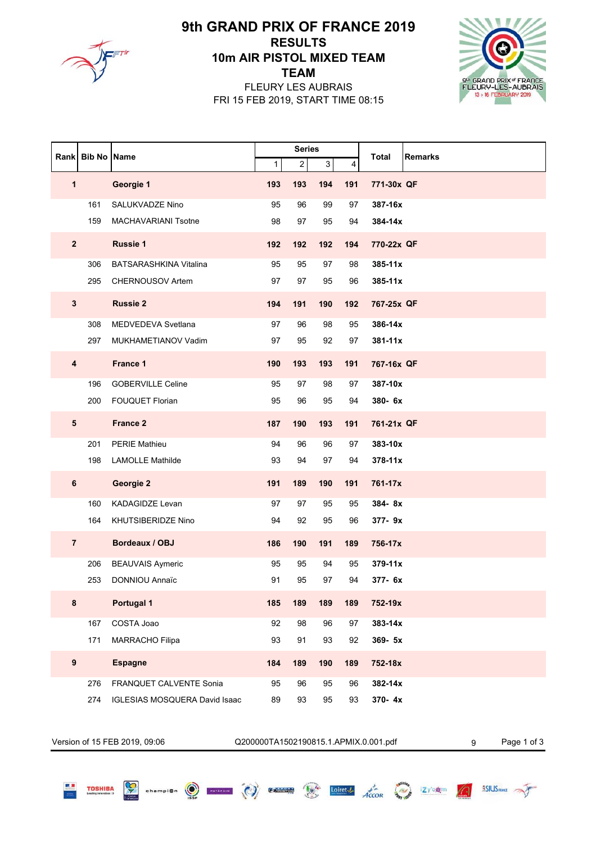

## **TEAM** 10m AIR PISTOL MIXED TEAM RESULTS 9th GRAND PRIX OF FRANCE 2019

FRI 15 FEB 2019, START TIME 08:15 FLEURY LES AUBRAIS



|                         |                    |                               |     | <b>Series</b>  |     |     |              |                |
|-------------------------|--------------------|-------------------------------|-----|----------------|-----|-----|--------------|----------------|
| Rank                    | <b>Bib No Name</b> |                               | 1   | $\overline{c}$ | 3   | 4   | <b>Total</b> | <b>Remarks</b> |
| $\mathbf{1}$            |                    | Georgie 1                     | 193 | 193            | 194 | 191 | 771-30x QF   |                |
|                         | 161                | SALUKVADZE Nino               | 95  | 96             | 99  | 97  | 387-16x      |                |
|                         | 159                | <b>MACHAVARIANI Tsotne</b>    | 98  | 97             | 95  | 94  | 384-14x      |                |
| $\overline{\mathbf{2}}$ |                    | <b>Russie 1</b>               | 192 | 192            | 192 | 194 | 770-22x QF   |                |
|                         | 306                | <b>BATSARASHKINA Vitalina</b> | 95  | 95             | 97  | 98  | 385-11x      |                |
|                         | 295                | CHERNOUSOV Artem              | 97  | 97             | 95  | 96  | 385-11x      |                |
| $\mathbf 3$             |                    | <b>Russie 2</b>               | 194 | 191            | 190 | 192 | 767-25x QF   |                |
|                         | 308                | MEDVEDEVA Svetlana            | 97  | 96             | 98  | 95  | 386-14x      |                |
|                         | 297                | MUKHAMETIANOV Vadim           | 97  | 95             | 92  | 97  | 381-11x      |                |
| $\overline{\mathbf{4}}$ |                    | France 1                      |     | 193            | 193 | 191 | 767-16x QF   |                |
|                         | 196                | <b>GOBERVILLE Celine</b>      | 95  | 97             | 98  | 97  | 387-10x      |                |
|                         | 200                | <b>FOUQUET Florian</b>        |     | 96             | 95  | 94  | 380- 6x      |                |
| $5\phantom{.0}$         |                    | <b>France 2</b>               |     | 190            | 193 | 191 | 761-21x QF   |                |
|                         | 201                | <b>PERIE Mathieu</b>          | 94  | 96             | 96  | 97  | 383-10x      |                |
|                         | 198                | <b>LAMOLLE Mathilde</b>       | 93  | 94             | 97  | 94  | 378-11x      |                |
| $\bf 6$                 |                    | Georgie 2                     | 191 | 189            | 190 | 191 | 761-17x      |                |
|                         | 160                | <b>KADAGIDZE Levan</b>        | 97  | 97             | 95  | 95  | 384-8x       |                |
|                         | 164                | KHUTSIBERIDZE Nino            | 94  | 92             | 95  | 96  | 377-9x       |                |
| $\overline{\mathbf{7}}$ |                    | Bordeaux / OBJ                | 186 | 190            | 191 | 189 | 756-17x      |                |
|                         | 206                | <b>BEAUVAIS Aymeric</b>       | 95  | 95             | 94  | 95  | 379-11x      |                |
|                         | 253                | <b>DONNIOU Annaïc</b>         | 91  | 95             | 97  | 94  | 377- 6x      |                |
| 8                       |                    | Portugal 1                    | 185 | 189            | 189 | 189 | 752-19x      |                |
|                         | 167                | COSTA Joao                    | 92  | 98             | 96  | 97  | 383-14x      |                |
|                         | 171                | MARRACHO Filipa               | 93  | 91             | 93  | 92  | 369- 5x      |                |
| $\boldsymbol{9}$        |                    | <b>Espagne</b>                | 184 | 189            | 190 | 189 | 752-18x      |                |
|                         | 276                | FRANQUET CALVENTE Sonia       | 95  | 96             | 95  | 96  | 382-14x      |                |
|                         | 274                | IGLESIAS MOSQUERA David Isaac | 89  | 93             | 95  | 93  | 370-4x       |                |

Ç

**TOSHIBA** 

Version of 15 FEB 2019, 09:06 <br>
Q200000TA1502190815.1.APMIX.0.001.pdf 9 Page 1 of 3

champion  $\bigcirc$  extensive  $\bigcirc$  cannot  $\bigcirc$ 

Loiret Accor 3 12YOGIN 151USHANE JF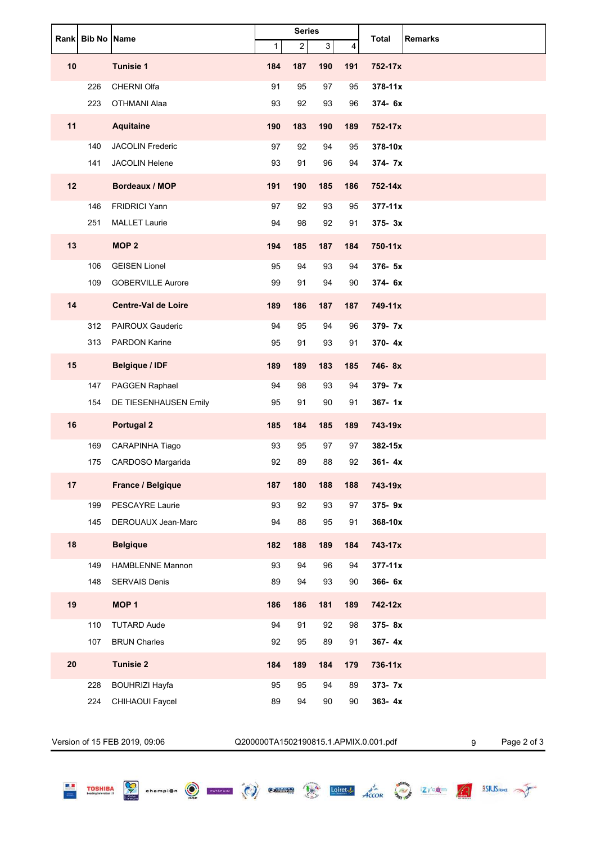| Rank Bib No Name |     |                            | <b>Series</b> |                         |             | <b>Total</b> | <b>Remarks</b> |  |
|------------------|-----|----------------------------|---------------|-------------------------|-------------|--------------|----------------|--|
|                  |     |                            | 1             | $\overline{\mathbf{c}}$ | $\mathsf 3$ | 4            |                |  |
| 10               |     | <b>Tunisie 1</b>           | 184           | 187                     | 190         | 191          | 752-17x        |  |
|                  | 226 | CHERNI Olfa                | 91            | 95                      | 97          | 95           | 378-11x        |  |
|                  | 223 | <b>OTHMANI Alaa</b>        | 93            | 92                      | 93          | 96           | 374-6x         |  |
| 11               |     | <b>Aquitaine</b>           | 190           | 183                     | 190         | 189          | 752-17x        |  |
|                  | 140 | <b>JACOLIN Frederic</b>    | 97            | 92                      | 94          | 95           | 378-10x        |  |
|                  | 141 | JACOLIN Helene             | 93            | 91                      | 96          | 94           | 374-7x         |  |
| 12               |     | Bordeaux / MOP             | 191           | 190                     | 185         | 186          | 752-14x        |  |
|                  | 146 | <b>FRIDRICI Yann</b>       | 97            | 92                      | 93          | 95           | $377 - 11x$    |  |
|                  | 251 | <b>MALLET Laurie</b>       | 94            | 98                      | 92          | 91           | $375 - 3x$     |  |
| 13               |     | MOP <sub>2</sub>           | 194           | 185                     | 187         | 184          | 750-11x        |  |
|                  | 106 | <b>GEISEN Lionel</b>       | 95            | 94                      | 93          | 94           | 376- 5x        |  |
|                  | 109 | <b>GOBERVILLE Aurore</b>   | 99            | 91                      | 94          | 90           | 374- 6x        |  |
| 14               |     | <b>Centre-Val de Loire</b> |               | 186                     | 187         | 187          | 749-11x        |  |
|                  | 312 | <b>PAIROUX Gauderic</b>    | 94            | 95                      | 94          | 96           | 379-7x         |  |
|                  | 313 | PARDON Karine              | 95            | 91                      | 93          | 91           | 370-4x         |  |
| 15               |     | <b>Belgique / IDF</b>      | 189           | 189                     | 183         | 185          | 746-8x         |  |
|                  | 147 | PAGGEN Raphael             | 94            | 98                      | 93          | 94           | 379-7x         |  |
|                  | 154 | DE TIESENHAUSEN Emily      | 95            | 91                      | 90          | 91           | $367 - 1x$     |  |
| 16               |     | <b>Portugal 2</b>          | 185           | 184                     | 185         | 189          | 743-19x        |  |
|                  | 169 | CARAPINHA Tiago            | 93            | 95                      | 97          | 97           | 382-15x        |  |
|                  | 175 | CARDOSO Margarida          | 92            | 89                      | 88          | 92           | $361 - 4x$     |  |
| 17               |     | France / Belgique          | 187           | 180                     | 188         | 188          | 743-19x        |  |
|                  | 199 | PESCAYRE Laurie            | 93            | 92                      | 93          | 97           | 375-9x         |  |
|                  | 145 | DEROUAUX Jean-Marc         | 94            | 88                      | 95          | 91           | 368-10x        |  |
| 18               |     | <b>Belgique</b>            | 182           | 188                     | 189         | 184          | 743-17x        |  |
|                  | 149 | <b>HAMBLENNE Mannon</b>    | 93            | 94                      | 96          | 94           | 377-11x        |  |
|                  | 148 | <b>SERVAIS Denis</b>       | 89            | 94                      | 93          | 90           | 366-6x         |  |
| 19               |     | MOP <sub>1</sub>           | 186           | 186                     | 181         | 189          | 742-12x        |  |
|                  | 110 | <b>TUTARD Aude</b>         | 94            | 91                      | 92          | 98           | 375-8x         |  |
|                  | 107 | <b>BRUN Charles</b>        | 92            | 95                      | 89          | 91           | 367-4x         |  |
| 20               |     | <b>Tunisie 2</b>           | 184           | 189                     | 184         | 179          | 736-11x        |  |
|                  | 228 | <b>BOUHRIZI Hayfa</b>      | 95            | 95                      | 94          | 89           | 373- 7x        |  |
|                  | 224 | CHIHAOUI Faycel            | 89            | 94                      | 90          | 90           | 363-4x         |  |

**TOSHIBA** 

 $\frac{1}{1}$ 

Version of 15 FEB 2019, 09:06 <br>
Q200000TA1502190815.1.APMIX.0.001.pdf 9 Page 2 of 3

Somewhat the second the second terms of the second of the second terms of the second of the second of the second second terms of the second second second second second second second second second second second second secon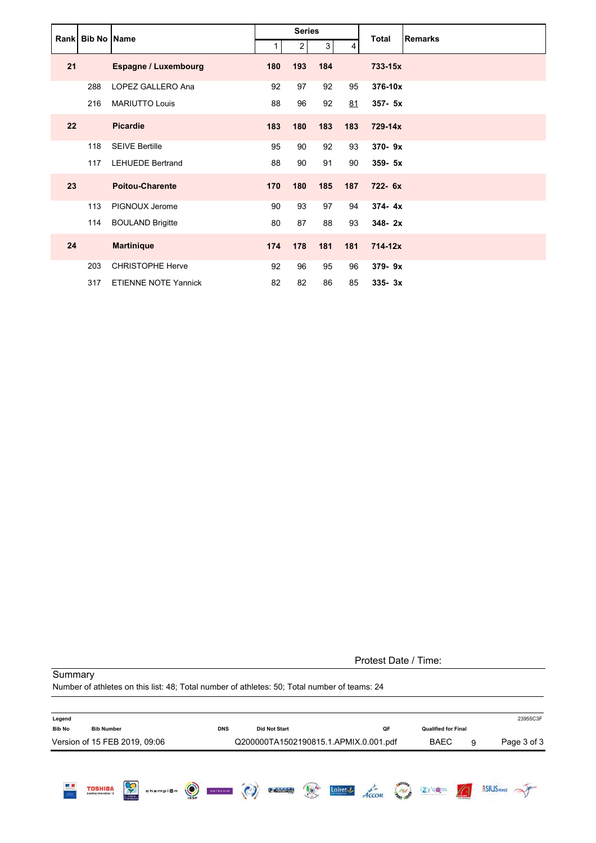|    | <b>Rankl Bib No IName</b> |                             |     | <b>Series</b>  |                |     | <b>Total</b> | Remarks |
|----|---------------------------|-----------------------------|-----|----------------|----------------|-----|--------------|---------|
|    |                           |                             |     | $\overline{2}$ | 3 <sup>1</sup> | 4   |              |         |
| 21 |                           | <b>Espagne / Luxembourg</b> | 180 | 193            | 184            |     | 733-15x      |         |
|    | 288                       | <b>LOPEZ GALLERO Ana</b>    | 92  | 97             | 92             | 95  | 376-10x      |         |
|    | 216                       | <b>MARIUTTO Louis</b>       | 88  | 96             | 92             | 81  | $357 - 5x$   |         |
| 22 |                           | <b>Picardie</b>             | 183 | 180            | 183            | 183 | 729-14x      |         |
|    | 118                       | <b>SEIVE Bertille</b>       | 95  | 90             | 92             | 93  | 370-9x       |         |
|    | 117                       | <b>LEHUEDE Bertrand</b>     | 88  | 90             | 91             | 90  | $359 - 5x$   |         |
| 23 |                           | <b>Poitou-Charente</b>      | 170 | 180            | 185            | 187 | 722- 6x      |         |
|    | 113                       | PIGNOUX Jerome              | 90  | 93             | 97             | 94  | $374 - 4x$   |         |
|    | 114                       | <b>BOULAND Brigitte</b>     | 80  | 87             | 88             | 93  | $348 - 2x$   |         |
| 24 | <b>Martinique</b>         |                             | 174 | 178            | 181            | 181 | $714 - 12x$  |         |
|    | 203                       | <b>CHRISTOPHE Herve</b>     | 92  | 96             | 95             | 96  | 379-9x       |         |
|    | 317                       | <b>ETIENNE NOTE Yannick</b> | 82  | 82             | 86             | 85  | $335 - 3x$   |         |

Protest Date / Time:

#### **Summary**

Number of athletes on this list: 48; Total number of athletes: 50; Total number of teams: 24

| Legend<br><b>Bib No</b> | <b>Bib Number</b>             |          |         | <b>DNS</b>      |           | <b>Did Not Start</b>                  |                      |                             | QF                      |           | <b>Qualified for Final</b>      |              |                     | 23955C3F    |
|-------------------------|-------------------------------|----------|---------|-----------------|-----------|---------------------------------------|----------------------|-----------------------------|-------------------------|-----------|---------------------------------|--------------|---------------------|-------------|
|                         | Version of 15 FEB 2019, 09:06 |          |         |                 |           | Q200000TA1502190815.1.APMIX.0.001.pdf |                      |                             |                         |           | <b>BAEC</b>                     | 9            |                     | Page 3 of 3 |
| 41                      | <b>TOSHIBA</b>                | champion | $\odot$ | <b>PATAPAIN</b> | $\bullet$ | $O(\frac{1}{\sqrt{2}})$               | $\frac{1}{\sqrt{2}}$ | Loiret $\sqrt{\phantom{a}}$ | $\overrightarrow{ACOR}$ | <b>PA</b> | i <mark>Z</mark> y'o <b>g</b> m | $\mathbb{C}$ | <b>SSIUS FRANCE</b> |             |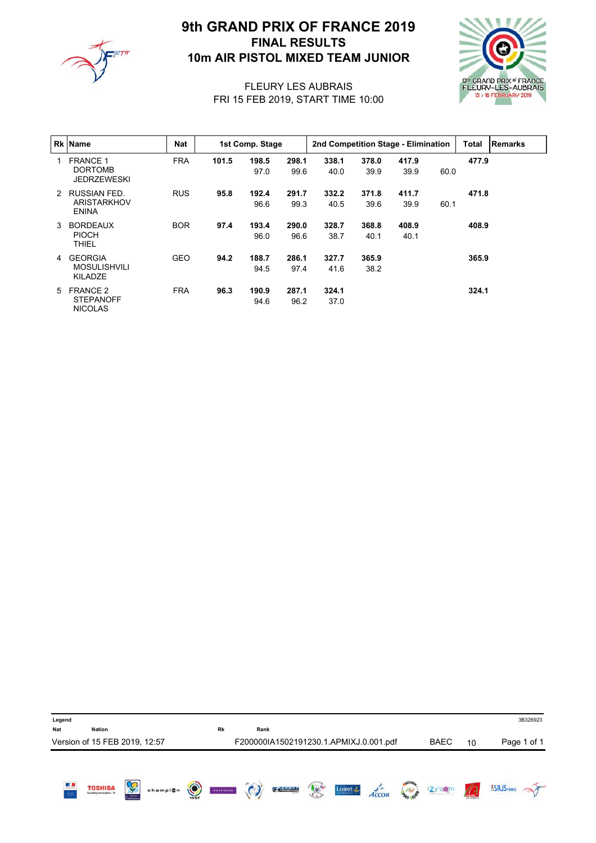

# 10m AIR PISTOL MIXED TEAM JUNIOR FINAL RESULTS 9th GRAND PRIX OF FRANCE 2019



#### FRI 15 FEB 2019, START TIME 10:00 FLEURY LES AUBRAIS

|               | Rk Name                                                 | <b>Nat</b> | 1st Comp. Stage |               |               | 2nd Competition Stage - Elimination |               |               |      | <b>Total</b> | <b>Remarks</b> |
|---------------|---------------------------------------------------------|------------|-----------------|---------------|---------------|-------------------------------------|---------------|---------------|------|--------------|----------------|
| 1.            | <b>FRANCE 1</b><br><b>DORTOMB</b><br><b>JEDRZEWESKI</b> | <b>FRA</b> | 101.5           | 198.5<br>97.0 | 298.1<br>99.6 | 338.1<br>40.0                       | 378.0<br>39.9 | 417.9<br>39.9 | 60.0 | 477.9        |                |
| $\mathcal{P}$ | <b>RUSSIAN FED.</b><br>ARISTARKHOV<br><b>ENINA</b>      | <b>RUS</b> | 95.8            | 192.4<br>96.6 | 291.7<br>99.3 | 332.2<br>40.5                       | 371.8<br>39.6 | 411.7<br>39.9 | 60.1 | 471.8        |                |
| 3             | <b>BORDEAUX</b><br><b>PIOCH</b><br>THIEL                | <b>BOR</b> | 97.4            | 193.4<br>96.0 | 290.0<br>96.6 | 328.7<br>38.7                       | 368.8<br>40.1 | 408.9<br>40.1 |      | 408.9        |                |
| 4             | <b>GEORGIA</b><br><b>MOSULISHVILI</b><br><b>KILADZE</b> | <b>GEO</b> | 94.2            | 188.7<br>94.5 | 286.1<br>97.4 | 327.7<br>41.6                       | 365.9<br>38.2 |               |      | 365.9        |                |
| 5             | <b>FRANCE 2</b><br><b>STEPANOFF</b><br><b>NICOLAS</b>   | <b>FRA</b> | 96.3            | 190.9<br>94.6 | 287.1<br>96.2 | 324.1<br>37.0                       |               |               |      | 324.1        |                |

| Legend<br>Nat       | <b>Nation</b>                 |                          |          |         | Rk       | Rank    |                                        |                      |                    |          |                 |             |                 | 3B326923            |
|---------------------|-------------------------------|--------------------------|----------|---------|----------|---------|----------------------------------------|----------------------|--------------------|----------|-----------------|-------------|-----------------|---------------------|
|                     | Version of 15 FEB 2019, 12:57 |                          |          |         |          |         | F200000IA1502191230.1.APMIXJ.0.001.pdf |                      |                    |          |                 | <b>BAEC</b> | 10              | Page 1 of 1         |
| E.<br>$\frac{1}{2}$ | <b>TOSHIBA</b>                | Ç<br>Centre<br>Voldetoin | champi@n | $\odot$ | PATAPAIN | $\odot$ | <b>Opesition</b>                       | $\frac{1}{\sqrt{2}}$ | Loiret $\sqrt{\ }$ | $A$ CCOR | <b>AMERICAN</b> | izy'e@m     | $\sqrt{\Omega}$ | <b>ASIUS FRANCE</b> |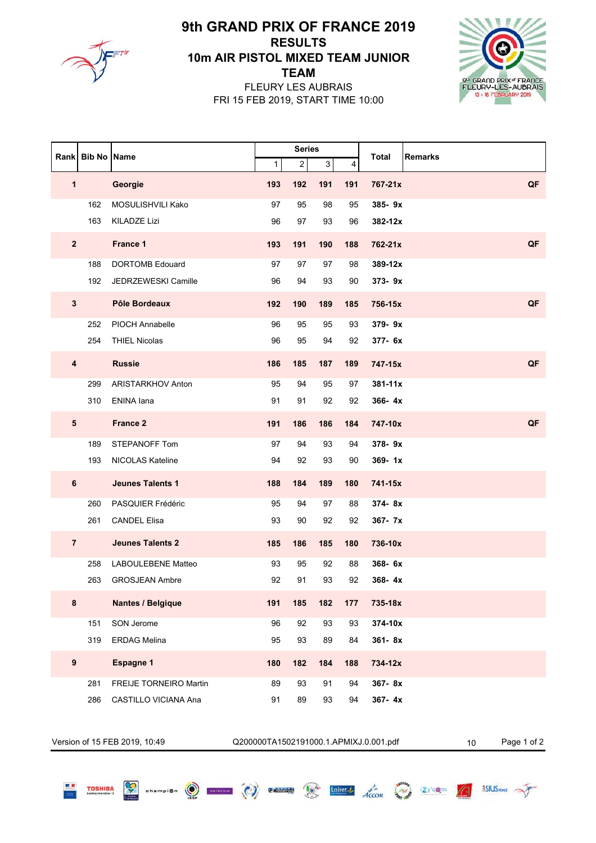

### **TEAM** 10m AIR PISTOL MIXED TEAM JUNIOR RESULTS 9th GRAND PRIX OF FRANCE 2019

FRI 15 FEB 2019, START TIME 10:00 FLEURY LES AUBRAIS



|                         | <b>Bib No Name</b> |                            |     | <b>Series</b>  |                           |     | <b>Total</b> | <b>Remarks</b> |
|-------------------------|--------------------|----------------------------|-----|----------------|---------------------------|-----|--------------|----------------|
| Rank                    |                    |                            | 1   | $\overline{c}$ | $\ensuremath{\mathsf{3}}$ | 4   |              |                |
| 1                       |                    | Georgie                    | 193 | 192            | 191                       | 191 | 767-21x      | QF             |
|                         | 162                | MOSULISHVILI Kako          | 97  | 95             | 98                        | 95  | 385-9x       |                |
|                         | 163                | KILADZE Lizi               | 96  | 97             | 93                        | 96  | 382-12x      |                |
| $\overline{\mathbf{2}}$ |                    | France 1                   | 193 | 191            | 190                       | 188 | 762-21x      | QF             |
|                         | 188                | <b>DORTOMB Edouard</b>     | 97  | 97             | 97                        | 98  | 389-12x      |                |
|                         | 192                | <b>JEDRZEWESKI Camille</b> | 96  | 94             | 93                        | 90  | 373-9x       |                |
| $\mathbf{3}$            |                    | Pôle Bordeaux              | 192 | 190            | 189                       | 185 | 756-15x      | QF             |
|                         | 252                | PIOCH Annabelle            | 96  | 95             | 95                        | 93  | 379-9x       |                |
|                         | 254                | <b>THIEL Nicolas</b>       | 96  | 95             | 94                        | 92  | 377- 6x      |                |
| 4                       |                    | <b>Russie</b>              | 186 | 185            | 187                       | 189 | 747-15x      | QF             |
|                         | 299                | ARISTARKHOV Anton          | 95  | 94             | 95                        | 97  | 381-11x      |                |
|                         | 310                | ENINA lana                 | 91  | 91             | 92                        | 92  | 366-4x       |                |
| ${\bf 5}$               |                    | <b>France 2</b>            | 191 | 186            | 186                       | 184 | 747-10x      | QF             |
|                         | 189                | STEPANOFF Tom              | 97  | 94             | 93                        | 94  | 378-9x       |                |
|                         | 193                | NICOLAS Kateline           | 94  | 92             | 93                        | 90  | $369 - 1x$   |                |
| $\bf 6$                 |                    | <b>Jeunes Talents 1</b>    | 188 | 184            | 189                       | 180 | 741-15x      |                |
|                         | 260                | PASQUIER Frédéric          | 95  | 94             | 97                        | 88  | 374-8x       |                |
|                         | 261                | <b>CANDEL Elisa</b>        | 93  | 90             | 92                        | 92  | 367- 7x      |                |
| $\overline{7}$          |                    | <b>Jeunes Talents 2</b>    | 185 | 186            | 185                       | 180 | 736-10x      |                |
|                         | 258                | <b>LABOULEBENE Matteo</b>  | 93  | 95             | 92                        | 88  | 368-6x       |                |
|                         | 263                | <b>GROSJEAN Ambre</b>      | 92  | 91             | 93                        | 92  | 368-4x       |                |
| 8                       |                    | Nantes / Belgique          | 191 | 185            | 182                       | 177 | 735-18x      |                |
|                         | 151                | SON Jerome                 | 96  | 92             | 93                        | 93  | 374-10x      |                |
|                         | 319                | <b>ERDAG Melina</b>        | 95  | 93             | 89                        | 84  | $361 - 8x$   |                |
| $\boldsymbol{9}$        |                    | <b>Espagne 1</b>           | 180 | 182            | 184                       | 188 | 734-12x      |                |
|                         | 281                | FREIJE TORNEIRO Martin     | 89  | 93             | 91                        | 94  | 367-8x       |                |
|                         | 286                | CASTILLO VICIANA Ana       | 91  | 89             | 93                        | 94  | 367-4x       |                |

Ç

**TOSHIBA** 

Version of 15 FEB 2019, 10:49 <br>
Q200000TA1502191000.1.APMIXJ.0.001.pdf 10 Page 1 of 2

champion  $\bigcirc$  paraman  $\bigcirc$  called  $\bigcirc$ 

Loiret de Accor 12years 12years 15 3SIUS RANGE 25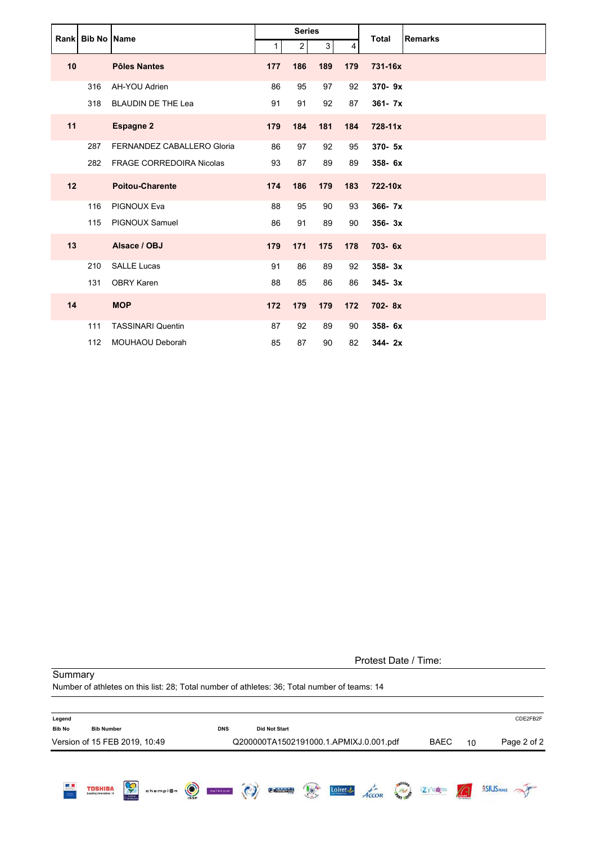|    | Rank Bib No Name |                                   |              | <b>Series</b>  |                |                | <b>Total</b> | <b>Remarks</b> |
|----|------------------|-----------------------------------|--------------|----------------|----------------|----------------|--------------|----------------|
|    |                  |                                   | $\mathbf{1}$ | $\overline{2}$ | $\mathfrak{S}$ | $\overline{4}$ |              |                |
| 10 |                  | <b>Pôles Nantes</b>               | 177          | 186            | 189            | 179            | 731-16x      |                |
|    | 316              | AH-YOU Adrien                     | 86           | 95             | 97             | 92             | 370-9x       |                |
|    | 318              | <b>BLAUDIN DE THE Lea</b>         | 91           | 91             | 92             | 87             | $361 - 7x$   |                |
| 11 |                  | <b>Espagne 2</b>                  | 179          | 184            | 181            | 184            | 728-11x      |                |
|    | 287              | <b>FERNANDEZ CABALLERO Gloria</b> | 86           | 97             | 92             | 95             | $370 - 5x$   |                |
|    | 282              | <b>FRAGE CORREDOIRA Nicolas</b>   | 93           | 87             | 89             | 89             | 358-6x       |                |
| 12 |                  | <b>Poitou-Charente</b>            | 174          | 186            | 179            | 183            | 722-10x      |                |
|    | 116              | <b>PIGNOUX Eva</b>                | 88           | 95             | 90             | 93             | 366- 7x      |                |
|    | 115              | PIGNOUX Samuel                    | 86           | 91             | 89             | 90             | $356 - 3x$   |                |
| 13 |                  | Alsace / OBJ                      | 179          | 171            | 175            | 178            | 703-6x       |                |
|    | 210              | <b>SALLE Lucas</b>                | 91           | 86             | 89             | 92             | $358 - 3x$   |                |
|    | 131              | <b>OBRY Karen</b>                 | 88           | 85             | 86             | 86             | $345 - 3x$   |                |
| 14 |                  | <b>MOP</b>                        | 172          | 179            | 179            | 172            | 702-8x       |                |
|    | 111              | <b>TASSINARI Quentin</b>          | 87           | 92             | 89             | 90             | 358-6x       |                |
|    | 112              | <b>MOUHAOU Deborah</b>            | 85           | 87             | 90             | 82             | $344 - 2x$   |                |

Protest Date / Time:

#### **Summary**

Number of athletes on this list: 28; Total number of athletes: 36; Total number of teams: 14

| Legend        |                               |                         |          |         |            |         |                                        |                      |                             |      |             |             |              | CDE2FB2F            |
|---------------|-------------------------------|-------------------------|----------|---------|------------|---------|----------------------------------------|----------------------|-----------------------------|------|-------------|-------------|--------------|---------------------|
| <b>Bib No</b> | <b>Bib Number</b>             |                         |          |         | <b>DNS</b> |         | <b>Did Not Start</b>                   |                      |                             |      |             |             |              |                     |
|               | Version of 15 FEB 2019, 10:49 |                         |          |         |            |         | Q200000TA1502191000.1.APMIXJ.0.001.pdf |                      |                             |      |             | <b>BAEC</b> | 10           | Page 2 of 2         |
| 縣<br>$=$      | <b>TOSHIBA</b>                | Ş<br>Centre<br>Valdeton | champi@n | $\odot$ | PATAPAIN   | $\odot$ | $O(\frac{1}{\sqrt{2}})$                | $\frac{1}{\sqrt{2}}$ | Loiret $\sqrt{\phantom{a}}$ | 400R | <b>ANTI</b> | izy'ogm     | $\mathbb{C}$ | <b>BSIUS FRANCE</b> |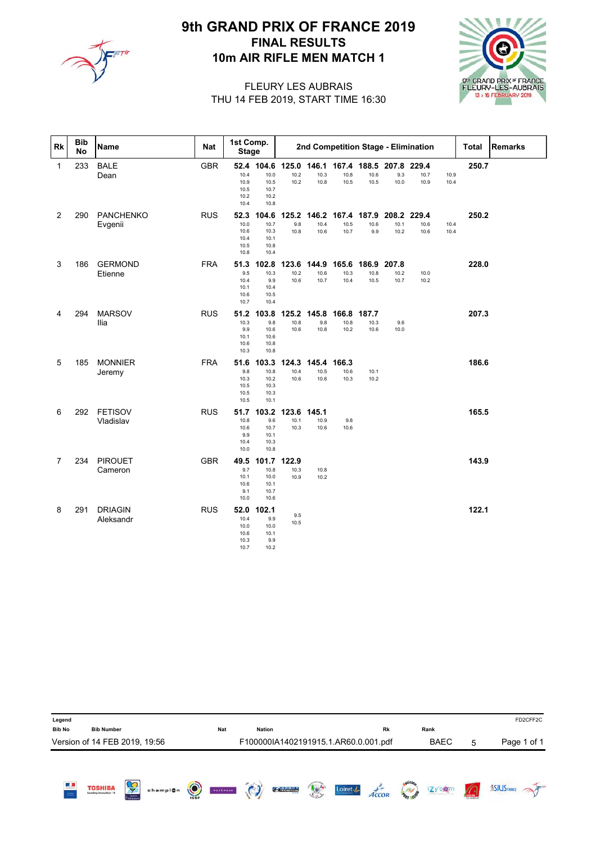

# 10m AIR RIFLE MEN MATCH 1 FINAL RESULTS 9th GRAND PRIX OF FRANCE 2019



 $\prod$ 

#### THU 14 FEB 2019, START TIME 16:30 FLEURY LES AUBRAIS

| <b>Rk</b> | <b>Bib</b><br>No | Name                        | <b>Nat</b> | 1st Comp.<br><b>Stage</b>                    |                                               |                                        |                                   |                       |                       |                                        | 2nd Competition Stage - Elimination |              | <b>Total</b> | <b>Remarks</b> |
|-----------|------------------|-----------------------------|------------|----------------------------------------------|-----------------------------------------------|----------------------------------------|-----------------------------------|-----------------------|-----------------------|----------------------------------------|-------------------------------------|--------------|--------------|----------------|
| 1         | 233              | <b>BALE</b><br>Dean         | <b>GBR</b> | 10.4<br>10.9<br>10.5<br>10.2<br>10.4         | 10.0<br>10.5<br>10.7<br>10.2<br>10.8          | 52.4 104.6 125.0 146.1<br>10.2<br>10.2 | 10.3<br>10.8                      | 10.8<br>10.5          | 10.6<br>10.5          | 167.4 188.5 207.8 229.4<br>9.3<br>10.0 | 10.7<br>10.9                        | 10.9<br>10.4 | 250.7        |                |
| 2         | 290              | <b>PANCHENKO</b><br>Evgenii | <b>RUS</b> | 52.3<br>10.0<br>10.6<br>10.4<br>10.5<br>10.8 | 104.6<br>10.7<br>10.3<br>10.1<br>10.8<br>10.4 | 125.2<br>9.8<br>10.8                   | 146.2<br>10.4<br>10.6             | 167.4<br>10.5<br>10.7 | 187.9<br>10.6<br>9.9  | 208.2<br>10.1<br>10.2                  | 229.4<br>10.6<br>10.6               | 10.4<br>10.4 | 250.2        |                |
| 3         | 186              | <b>GERMOND</b><br>Etienne   | <b>FRA</b> | 51.3<br>9.5<br>10.4<br>10.1<br>10.6<br>10.7  | 102.8<br>10.3<br>9.9<br>10.4<br>10.5<br>10.4  | 10.2<br>10.6                           | 123.6 144.9<br>10.6<br>10.7       | 165.6<br>10.3<br>10.4 | 186.9<br>10.8<br>10.5 | 207.8<br>10.2<br>10.7                  | 10.0<br>10.2                        |              | 228.0        |                |
| 4         | 294              | <b>MARSOV</b><br>Ilia       | <b>RUS</b> | 51.2<br>10.3<br>9.9<br>10.1<br>10.6<br>10.3  | 103.8<br>9.8<br>10.6<br>10.6<br>10.8<br>10.8  | 125.2<br>10.8<br>10.6                  | 145.8<br>9.8<br>10.8              | 166.8<br>10.8<br>10.2 | 187.7<br>10.3<br>10.6 | 9.6<br>10.0                            |                                     |              | 207.3        |                |
| 5         | 185              | <b>MONNIER</b><br>Jeremy    | <b>FRA</b> | 51.6<br>9.8<br>10.3<br>10.5<br>10.5<br>10.5  | 103.3<br>10.8<br>10.2<br>10.3<br>10.3<br>10.1 | 10.4<br>10.6                           | 124.3 145.4 166.3<br>10.5<br>10.6 | 10.6<br>10.3          | 10.1<br>10.2          |                                        |                                     |              | 186.6        |                |
| 6         |                  | 292 FETISOV<br>Vladislav    | <b>RUS</b> | 51.7<br>10.8<br>10.6<br>9.9<br>10.4<br>10.0  | 103.2<br>9.6<br>10.7<br>10.1<br>10.3<br>10.8  | 123.6<br>10.1<br>10.3                  | 145.1<br>10.9<br>10.6             | 9.8<br>10.6           |                       |                                        |                                     |              | 165.5        |                |
| 7         | 234              | <b>PIROUET</b><br>Cameron   | <b>GBR</b> | 49.5<br>9.7<br>10.1<br>10.6<br>9.1<br>10.0   | 101.7<br>10.8<br>10.0<br>10.1<br>10.7<br>10.6 | 122.9<br>10.3<br>10.9                  | 10.8<br>10.2                      |                       |                       |                                        |                                     |              | 143.9        |                |
| 8         | 291              | <b>DRIAGIN</b><br>Aleksandr | <b>RUS</b> | 52.0<br>10.4<br>10.0<br>10.6<br>10.3<br>10.7 | 102.1<br>9.9<br>10.0<br>10.1<br>9.9<br>10.2   | 9.5<br>10.5                            |                                   |                       |                       |                                        |                                     |              | 122.1        |                |

| Legend              |                               |                              |          |            |            |               |                                      |    |                    |                   |                  |             |                 | FD2CFF2C            |
|---------------------|-------------------------------|------------------------------|----------|------------|------------|---------------|--------------------------------------|----|--------------------|-------------------|------------------|-------------|-----------------|---------------------|
| <b>Bib No</b>       | <b>Bib Number</b>             |                              |          |            | <b>Nat</b> | <b>Nation</b> |                                      |    |                    | Rk                |                  | Rank        |                 |                     |
|                     | Version of 14 FEB 2019, 19:56 |                              |          |            |            |               | F100000IA1402191915.1.AR60.0.001.pdf |    |                    |                   |                  | <b>BAEC</b> | 5               | Page 1 of 1         |
| 医具<br>$\frac{1}{2}$ | <b>TOSHIBA</b>                | Ş<br>Centre<br>EVal de Loire | champion | $\bigodot$ | PATAPAIN   | $\odot$       | <b>COPOSITION</b>                    | 10 | Loiret $\sqrt{\ }$ | A <sub>CCOR</sub> | <b>BAT ISIDE</b> | izy'ogm     | $\sqrt{\Omega}$ | <b>ASIUS FRANCE</b> |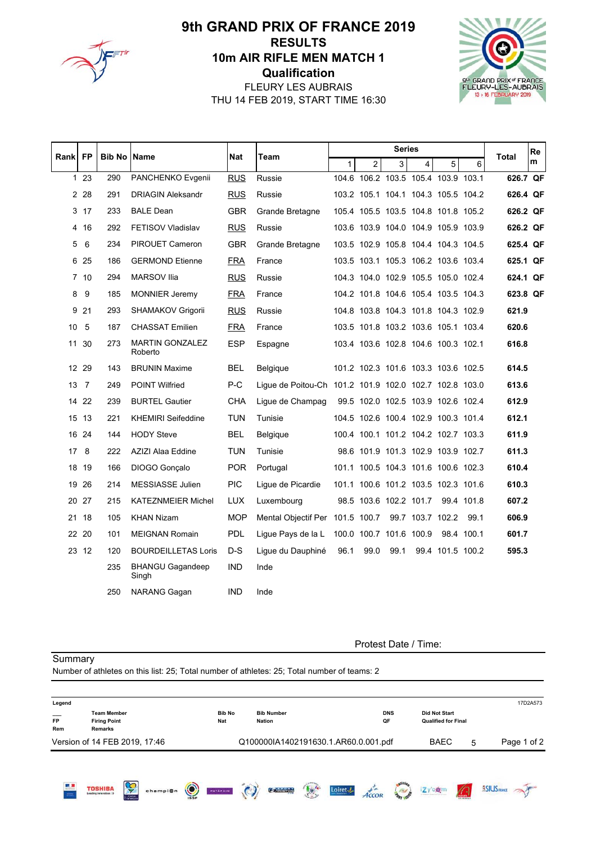

# **Qualification** 10m AIR RIFLE MEN MATCH 1 RESULTS 9th GRAND PRIX OF FRANCE 2019

g<sup>th</sup> GRAND PRIX® FRAN<br>FLEURY-LES-AUBR/  $13,$ 

THU 14 FEB 2019, START TIME 16:30 FLEURY LES AUBRAIS

|      | FP             |                     |                                   |            |                                                        |      |                | <b>Series</b>                       |   |                  |            | Re         |
|------|----------------|---------------------|-----------------------------------|------------|--------------------------------------------------------|------|----------------|-------------------------------------|---|------------------|------------|------------|
| Rank |                | <b>Bib No IName</b> |                                   | Nat        | Team                                                   | 1    | 2 <sup>1</sup> | 3                                   | 4 | 5                | 6          | Total<br>m |
|      | 123            | 290                 | PANCHENKO Evgenii                 | <b>RUS</b> | Russie                                                 |      |                | 104.6 106.2 103.5 105.4 103.9 103.1 |   |                  |            | 626.7 QF   |
|      | 2 28           | 291                 | <b>DRIAGIN Aleksandr</b>          | <b>RUS</b> | Russie                                                 |      |                | 103.2 105.1 104.1 104.3 105.5 104.2 |   |                  |            | 626.4 QF   |
|      | 3 17           | 233                 | <b>BALE Dean</b>                  | <b>GBR</b> | Grande Bretagne                                        |      |                | 105.4 105.5 103.5 104.8 101.8 105.2 |   |                  |            | 626.2 QF   |
| 4    | -16            | 292                 | <b>FETISOV Vladislav</b>          | <b>RUS</b> | Russie                                                 |      |                | 103.6 103.9 104.0 104.9 105.9 103.9 |   |                  |            | 626.2 QF   |
| 5    | 6              | 234                 | PIROUET Cameron                   | <b>GBR</b> | Grande Bretagne                                        |      |                | 103.5 102.9 105.8 104.4 104.3 104.5 |   |                  |            | 625.4 QF   |
|      | 6 25           | 186                 | <b>GERMOND Etienne</b>            | FRA        | France                                                 |      |                | 103.5 103.1 105.3 106.2 103.6 103.4 |   |                  |            | 625.1 QF   |
|      | 7 10           | 294                 | <b>MARSOV Ilia</b>                | <b>RUS</b> | Russie                                                 |      |                | 104.3 104.0 102.9 105.5 105.0 102.4 |   |                  |            | 624.1 QF   |
| 8    | 9              | 185                 | <b>MONNIER Jeremy</b>             | <b>FRA</b> | France                                                 |      |                | 104.2 101.8 104.6 105.4 103.5 104.3 |   |                  |            | 623.8 QF   |
| 9    | 21             | 293                 | SHAMAKOV Grigorii                 | <b>RUS</b> | Russie                                                 |      |                | 104.8 103.8 104.3 101.8 104.3 102.9 |   |                  |            | 621.9      |
| 10   | 5              | 187                 | <b>CHASSAT Emilien</b>            | <b>FRA</b> | France                                                 |      |                | 103.5 101.8 103.2 103.6 105.1 103.4 |   |                  |            | 620.6      |
|      | 11 30          | 273                 | <b>MARTIN GONZALEZ</b><br>Roberto | <b>ESP</b> | Espagne                                                |      |                | 103.4 103.6 102.8 104.6 100.3 102.1 |   |                  |            | 616.8      |
|      | 12 29          | 143                 | <b>BRUNIN Maxime</b>              | <b>BEL</b> | <b>Belgique</b>                                        |      |                | 101.2 102.3 101.6 103.3 103.6 102.5 |   |                  |            | 614.5      |
| 13   | $\overline{7}$ | 249                 | <b>POINT Wilfried</b>             | P-C        | Ligue de Poitou-Ch 101.2 101.9 102.0 102.7 102.8 103.0 |      |                |                                     |   |                  |            | 613.6      |
| 14   | 22             | 239                 | <b>BURTEL Gautier</b>             | <b>CHA</b> | Lique de Champag                                       |      |                | 99.5 102.0 102.5 103.9 102.6 102.4  |   |                  |            | 612.9      |
|      | 15 13          | 221                 | <b>KHEMIRI Seifeddine</b>         | <b>TUN</b> | Tunisie                                                |      |                | 104.5 102.6 100.4 102.9 100.3 101.4 |   |                  |            | 612.1      |
|      | 16 24          | 144                 | <b>HODY Steve</b>                 | <b>BEL</b> | <b>Belgique</b>                                        |      |                | 100.4 100.1 101.2 104.2 102.7 103.3 |   |                  |            | 611.9      |
| 17   | 8              | 222                 | AZIZI Alaa Eddine                 | TUN        | Tunisie                                                |      |                | 98.6 101.9 101.3 102.9 103.9 102.7  |   |                  |            | 611.3      |
| 18   | 19             | 166                 | DIOGO Gonçalo                     | <b>POR</b> | Portugal                                               |      |                | 101.1 100.5 104.3 101.6 100.6 102.3 |   |                  |            | 610.4      |
|      | 19 26          | 214                 | MESSIASSE Julien                  | <b>PIC</b> | Lique de Picardie                                      |      |                | 101.1 100.6 101.2 103.5 102.3 101.6 |   |                  |            | 610.3      |
|      | 20 27          | 215                 | <b>KATEZNMEIER Michel</b>         | <b>LUX</b> | Luxembourg                                             |      |                | 98.5 103.6 102.2 101.7              |   |                  | 99.4 101.8 | 607.2      |
|      | 21 18          | 105                 | <b>KHAN Nizam</b>                 | <b>MOP</b> | Mental Objectif Per 101.5 100.7                        |      |                |                                     |   | 99.7 103.7 102.2 | 99.1       | 606.9      |
|      | 22 20          | 101                 | <b>MEIGNAN Romain</b>             | <b>PDL</b> | Ligue Pays de la L                                     |      |                | 100.0 100.7 101.6 100.9             |   |                  | 98.4 100.1 | 601.7      |
|      | 23 12          | 120                 | <b>BOURDEILLETAS Loris</b>        | D-S        | Ligue du Dauphiné                                      | 96.1 | 99.0           | 99.1                                |   | 99.4 101.5 100.2 |            | 595.3      |
|      |                | 235                 | <b>BHANGU Gagandeep</b><br>Singh  | <b>IND</b> | Inde                                                   |      |                |                                     |   |                  |            |            |
|      |                | 250                 | <b>NARANG Gagan</b>               | <b>IND</b> | Inde                                                   |      |                |                                     |   |                  |            |            |

**Summary** 

Number of athletes on this list: 25; Total number of athletes: 25; Total number of teams: 2

| Legend<br><b>FP</b><br><b>Rem</b> | <b>Team Member</b><br><b>Firing Point</b><br>Remarks |                                        |         | <b>Bib No</b><br><b>Nat</b> |                     | <b>Bib Number</b><br>Nation          |                      |                             | QF                              | <b>DNS</b> | <b>Did Not Start</b><br><b>Qualified for Final</b> |              | 17D2A573            |  |
|-----------------------------------|------------------------------------------------------|----------------------------------------|---------|-----------------------------|---------------------|--------------------------------------|----------------------|-----------------------------|---------------------------------|------------|----------------------------------------------------|--------------|---------------------|--|
|                                   |                                                      | Version of 14 FEB 2019, 17:46          |         |                             |                     | Q100000IA1402191630.1.AR60.0.001.pdf |                      |                             |                                 |            | <b>BAEC</b>                                        | 5            | Page 1 of 2         |  |
| H.<br>$=$                         | <b>TOSHIBA</b><br><b>Leading Innovation 39</b>       | Ş<br>champi@n<br>Centre<br>Natide Loir | $\odot$ | PATAPAIN                    | $\ddot{\mathbf{c}}$ | O <sub>2</sub>                       | $\frac{1}{\sqrt{2}}$ | Loiret $\sqrt{\phantom{a}}$ | $\frac{t^{\frac{1}{2}}}{4CCOR}$ | 131        | izy'ogm                                            | $\mathbb{C}$ | <b>SSIUS FRANCE</b> |  |

Protest Date / Time: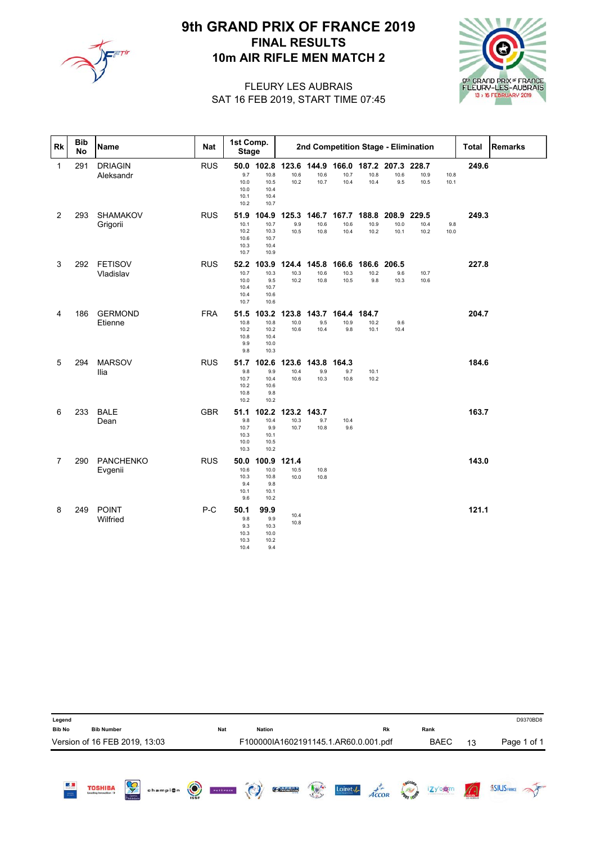

# 10m AIR RIFLE MEN MATCH 2 FINAL RESULTS 9th GRAND PRIX OF FRANCE 2019



|<br>|

#### SAT 16 FEB 2019, START TIME 07:45 FLEURY LES AUBRAIS

| <b>Rk</b>      | <b>Bib</b><br>No | <b>Name</b>                 | <b>Nat</b> | 1st Comp.<br><b>Stage</b>                    |                                               |                             |                                   |                                                                |                       |                       | 2nd Competition Stage - Elimination |              | <b>Total</b> | Remarks |
|----------------|------------------|-----------------------------|------------|----------------------------------------------|-----------------------------------------------|-----------------------------|-----------------------------------|----------------------------------------------------------------|-----------------------|-----------------------|-------------------------------------|--------------|--------------|---------|
| $\mathbf{1}$   | 291              | <b>DRIAGIN</b><br>Aleksandr | <b>RUS</b> | 9.7<br>10.0<br>10.0<br>10.1<br>10.2          | 10.8<br>10.5<br>10.4<br>10.4<br>10.7          | 10.6<br>10.2                | 10.6<br>10.7                      | 50.0 102.8 123.6 144.9 166.0 187.2 207.3 228.7<br>10.7<br>10.4 | 10.8<br>10.4          | 10.6<br>9.5           | 10.9<br>10.5                        | 10.8<br>10.1 | 249.6        |         |
| $\overline{c}$ | 293              | <b>SHAMAKOV</b><br>Grigorii | <b>RUS</b> | 51.9<br>10.1<br>10.2<br>10.6<br>10.3<br>10.7 | 104.9<br>10.7<br>10.3<br>10.7<br>10.4<br>10.9 | 125.3<br>9.9<br>10.5        | 146.7<br>10.6<br>10.8             | 167.7<br>10.6<br>10.4                                          | 188.8<br>10.9<br>10.2 | 208.9<br>10.0<br>10.1 | 229.5<br>10.4<br>10.2               | 9.8<br>10.0  | 249.3        |         |
| 3              | 292              | <b>FETISOV</b><br>Vladislav | <b>RUS</b> | 52.2<br>10.7<br>10.0<br>10.4<br>10.4<br>10.7 | 103.9<br>10.3<br>9.5<br>10.7<br>10.6<br>10.6  | 10.3<br>10.2                | 124.4 145.8 166.6<br>10.6<br>10.8 | 10.3<br>10.5                                                   | 186.6<br>10.2<br>9.8  | 206.5<br>9.6<br>10.3  | 10.7<br>10.6                        |              | 227.8        |         |
| 4              | 186              | <b>GERMOND</b><br>Etienne   | <b>FRA</b> | 51.5<br>10.8<br>10.2<br>10.8<br>9.9<br>9.8   | 103.2<br>10.8<br>10.2<br>10.4<br>10.0<br>10.3 | 123.8<br>10.0<br>10.6       | 143.7<br>9.5<br>10.4              | 164.4<br>10.9<br>9.8                                           | 184.7<br>10.2<br>10.1 | 9.6<br>10.4           |                                     |              | 204.7        |         |
| 5              | 294              | <b>MARSOV</b><br>Ilia       | <b>RUS</b> | 51.7<br>9.8<br>10.7<br>10.2<br>10.8<br>10.2  | 102.6<br>9.9<br>10.4<br>10.6<br>9.8<br>10.2   | 123.6<br>10.4<br>10.6       | 143.8<br>9.9<br>10.3              | 164.3<br>9.7<br>10.8                                           | 10.1<br>10.2          |                       |                                     |              | 184.6        |         |
| 6              | 233              | <b>BALE</b><br>Dean         | <b>GBR</b> | 51.1<br>9.8<br>10.7<br>10.3<br>10.0<br>10.3  | 102.2<br>10.4<br>9.9<br>10.1<br>10.5<br>10.2  | 123.2 143.7<br>10.3<br>10.7 | 9.7<br>10.8                       | 10.4<br>9.6                                                    |                       |                       |                                     |              | 163.7        |         |
| $\overline{7}$ | 290              | <b>PANCHENKO</b><br>Evgenii | <b>RUS</b> | 50.0<br>10.6<br>10.3<br>9.4<br>10.1<br>9.6   | 100.9<br>10.0<br>10.8<br>9.8<br>10.1<br>10.2  | 121.4<br>10.5<br>10.0       | 10.8<br>10.8                      |                                                                |                       |                       |                                     |              | 143.0        |         |
| 8              | 249              | <b>POINT</b><br>Wilfried    | $P-C$      | 50.1<br>9.8<br>9.3<br>10.3<br>10.3<br>10.4   | 99.9<br>9.9<br>10.3<br>10.0<br>10.2<br>9.4    | 10.4<br>10.8                |                                   |                                                                |                       |                       |                                     |              | 121.1        |         |

| Legend             |                               |                             |          |            |            |               |                                      |                                                                                                                                                                                                                                                                                                                                                     |                     |              |                  |             |                   | D9370BD8            |
|--------------------|-------------------------------|-----------------------------|----------|------------|------------|---------------|--------------------------------------|-----------------------------------------------------------------------------------------------------------------------------------------------------------------------------------------------------------------------------------------------------------------------------------------------------------------------------------------------------|---------------------|--------------|------------------|-------------|-------------------|---------------------|
| <b>Bib No</b>      | <b>Bib Number</b>             |                             |          |            | <b>Nat</b> | <b>Nation</b> |                                      |                                                                                                                                                                                                                                                                                                                                                     |                     | Rk           |                  | Rank        |                   |                     |
|                    | Version of 16 FEB 2019, 13:03 |                             |          |            |            |               | F100000IA1602191145.1.AR60.0.001.pdf |                                                                                                                                                                                                                                                                                                                                                     |                     |              |                  | <b>BAEC</b> | 13                | Page 1 of 1         |
| K<br>$\frac{1}{2}$ | <b>TOSHIBA</b>                | Ş<br>Centre<br>Val de Loire | champi@n | $\bigcirc$ | PATAPAIN   | $\odot$       | <b>Opesition</b>                     | $\begin{picture}(120,10) \put(0,0){\line(1,0){15}} \put(15,0){\line(1,0){15}} \put(15,0){\line(1,0){15}} \put(15,0){\line(1,0){15}} \put(15,0){\line(1,0){15}} \put(15,0){\line(1,0){15}} \put(15,0){\line(1,0){15}} \put(15,0){\line(1,0){15}} \put(15,0){\line(1,0){15}} \put(15,0){\line(1,0){15}} \put(15,0){\line(1,0){15}} \put(15,0){\line($ | Loiret <sub>-</sub> | $\vec{ACOR}$ | <b>BAT ISI</b> S | izy'egm     | $n_{\text{FURY}}$ | <b>ASIUS FRANCE</b> |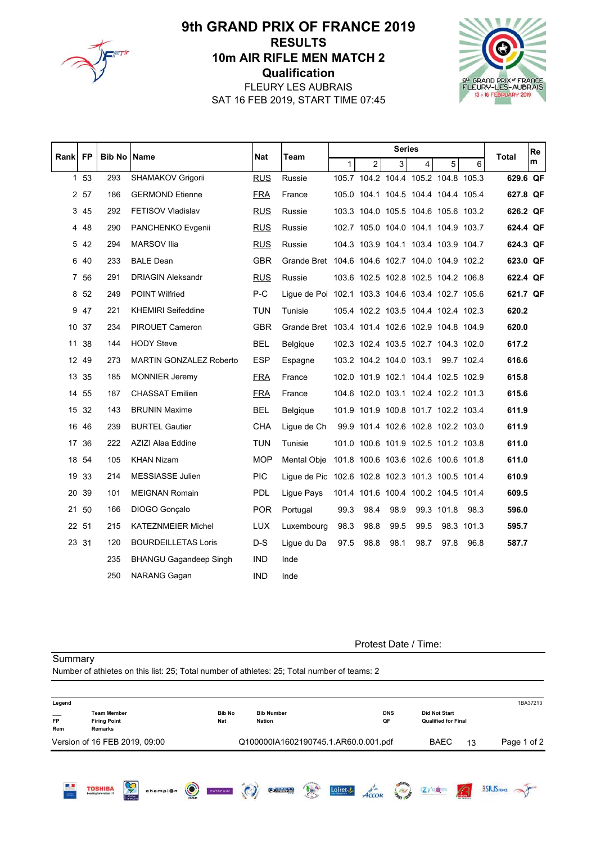

# **Qualification** 10m AIR RIFLE MEN MATCH 2 RESULTS 9th GRAND PRIX OF FRANCE 2019

9th GRAND PRIX of FRANC<br>FLEURY-LES-AUBRAI  $13,$ 

SAT 16 FEB 2019, START TIME 07:45 FLEURY LES AUBRAIS

| Rank FP |       | <b>Bib No Name</b> |                                | Nat        | Team                                             |              |                         | <b>Series</b> |      |                                     |            | Re<br>Total |
|---------|-------|--------------------|--------------------------------|------------|--------------------------------------------------|--------------|-------------------------|---------------|------|-------------------------------------|------------|-------------|
|         |       |                    |                                |            |                                                  | $\mathbf{1}$ | $\overline{2}$          | 3             | 4    | 5                                   | 6          | m           |
|         | 1 53  | 293                | SHAMAKOV Grigorii              | <b>RUS</b> | Russie                                           |              |                         |               |      | 105.7 104.2 104.4 105.2 104.8 105.3 |            | 629.6 QF    |
|         | 2 57  | 186                | <b>GERMOND Etienne</b>         | <b>FRA</b> | France                                           |              |                         |               |      | 105.0 104.1 104.5 104.4 104.4 105.4 |            | 627.8 QF    |
|         | 3 45  | 292                | FETISOV Vladislav              | <b>RUS</b> | Russie                                           |              |                         |               |      | 103.3 104.0 105.5 104.6 105.6 103.2 |            | 626.2 QF    |
|         | 4 48  | 290                | PANCHENKO Evgenii              | <b>RUS</b> | Russie                                           |              |                         |               |      | 102.7 105.0 104.0 104.1 104.9 103.7 |            | 624.4 QF    |
|         | 5 42  | 294                | <b>MARSOV Ilia</b>             | <b>RUS</b> | Russie                                           |              |                         |               |      | 104.3 103.9 104.1 103.4 103.9 104.7 |            | 624.3 QF    |
| 6       | 40    | 233                | <b>BALE Dean</b>               | <b>GBR</b> | Grande Bret 104.6 104.6 102.7 104.0 104.9 102.2  |              |                         |               |      |                                     |            | 623.0 QF    |
|         | 7 56  | 291                | <b>DRIAGIN Aleksandr</b>       | <b>RUS</b> | Russie                                           |              |                         |               |      | 103.6 102.5 102.8 102.5 104.2 106.8 |            | 622.4 QF    |
| 8       | 52    | 249                | <b>POINT Wilfried</b>          | P-C        | Ligue de Poi 102.1 103.3 104.6 103.4 102.7 105.6 |              |                         |               |      |                                     |            | 621.7 QF    |
|         | 9 47  | 221                | <b>KHEMIRI Seifeddine</b>      | <b>TUN</b> | Tunisie                                          |              |                         |               |      | 105.4 102.2 103.5 104.4 102.4 102.3 |            | 620.2       |
|         | 10 37 | 234                | PIROUET Cameron                | <b>GBR</b> | Grande Bret 103.4 101.4 102.6 102.9 104.8 104.9  |              |                         |               |      |                                     |            | 620.0       |
|         | 11 38 | 144                | <b>HODY Steve</b>              | <b>BEL</b> | Belgique                                         |              |                         |               |      | 102.3 102.4 103.5 102.7 104.3 102.0 |            | 617.2       |
|         | 12 49 | 273                | <b>MARTIN GONZALEZ Roberto</b> | <b>ESP</b> | Espagne                                          |              | 103.2 104.2 104.0 103.1 |               |      |                                     | 99.7 102.4 | 616.6       |
| 13      | 35    | 185                | <b>MONNIER Jeremy</b>          | <b>FRA</b> | France                                           |              |                         |               |      | 102.0 101.9 102.1 104.4 102.5 102.9 |            | 615.8       |
|         | 14 55 | 187                | <b>CHASSAT Emilien</b>         | <b>FRA</b> | France                                           |              |                         |               |      | 104.6 102.0 103.1 102.4 102.2 101.3 |            | 615.6       |
|         | 15 32 | 143                | <b>BRUNIN Maxime</b>           | <b>BEL</b> | Belgique                                         |              |                         |               |      | 101.9 101.9 100.8 101.7 102.2 103.4 |            | 611.9       |
|         | 16 46 | 239                | <b>BURTEL Gautier</b>          | CHA        | Lique de Ch                                      |              |                         |               |      | 99.9 101.4 102.6 102.8 102.2 103.0  |            | 611.9       |
|         | 17 36 | 222                | AZIZI Alaa Eddine              | <b>TUN</b> | Tunisie                                          |              |                         |               |      | 101.0 100.6 101.9 102.5 101.2 103.8 |            | 611.0       |
|         | 18 54 | 105                | <b>KHAN Nizam</b>              | MOP        | Mental Obje 101.8 100.6 103.6 102.6 100.6 101.8  |              |                         |               |      |                                     |            | 611.0       |
|         | 19 33 | 214                | MESSIASSE Julien               | <b>PIC</b> | Ligue de Pic 102.6 102.8 102.3 101.3 100.5 101.4 |              |                         |               |      |                                     |            | 610.9       |
|         | 20 39 | 101                | <b>MEIGNAN Romain</b>          | <b>PDL</b> | Lique Pays                                       |              |                         |               |      | 101.4 101.6 100.4 100.2 104.5 101.4 |            | 609.5       |
|         | 21 50 | 166                | DIOGO Gonçalo                  | <b>POR</b> | Portugal                                         | 99.3         | 98.4                    | 98.9          |      | 99.3 101.8                          | 98.3       | 596.0       |
|         | 22 51 | 215                | <b>KATEZNMEIER Michel</b>      | <b>LUX</b> | Luxembourg                                       | 98.3         | 98.8                    | 99.5          | 99.5 |                                     | 98.3 101.3 | 595.7       |
|         | 23 31 | 120                | <b>BOURDEILLETAS Loris</b>     | D-S        | Ligue du Da                                      | 97.5         | 98.8                    | 98.1          | 98.7 | 97.8                                | 96.8       | 587.7       |
|         |       | 235                | <b>BHANGU Gagandeep Singh</b>  | <b>IND</b> | Inde                                             |              |                         |               |      |                                     |            |             |
|         |       | 250                | NARANG Gagan                   | <b>IND</b> | Inde                                             |              |                         |               |      |                                     |            |             |

**Summary** 

Protest Date / Time:

Number of athletes on this list: 25; Total number of athletes: 25; Total number of teams: 2 Legend 1BA37213 \_\_\_ Team Member Bib No Bib Number DNS Did Not Start FP Firing Point Nat Nation QF Qualified for Final Rem Remarks Version of 16 FEB 2019, 09:00 Q100000IA1602190745.1.AR60.0.001.pdf BAEC 13 Page 1 of 2Loiret / Accor **TOSHIBA SSIUS FRANCE** champion **O** PATAPAIN  $O<sub>k</sub>$  and  $O<sub>k</sub>$  $\frac{1}{\sqrt{2}}$ izy ogm  $\mathscr{N}$  $\sqrt{C}$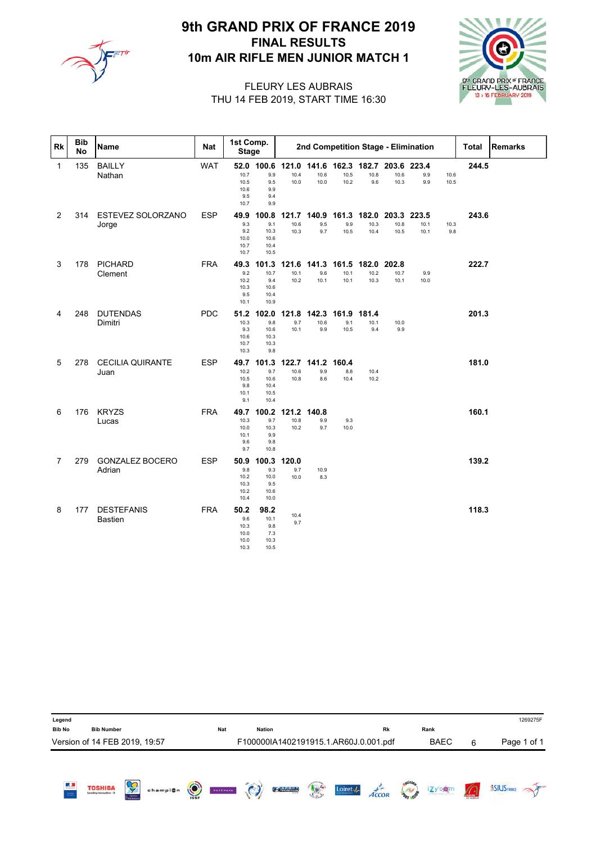

# 10m AIR RIFLE MEN JUNIOR MATCH 1 FINAL RESULTS 9th GRAND PRIX OF FRANCE 2019



#### THU 14 FEB 2019, START TIME 16:30 FLEURY LES AUBRAIS

| <b>Rk</b>      | <b>Bib</b><br>No | <b>Name</b>                         | <b>Nat</b> | 1st Comp.<br><b>Stage</b>                   |                                              |                             |                      |                                               |                       |                       | 2nd Competition Stage - Elimination |              | Total | <b>Remarks</b> |
|----------------|------------------|-------------------------------------|------------|---------------------------------------------|----------------------------------------------|-----------------------------|----------------------|-----------------------------------------------|-----------------------|-----------------------|-------------------------------------|--------------|-------|----------------|
| 1              | 135              | <b>BAILLY</b><br>Nathan             | <b>WAT</b> | 52.0<br>10.7<br>10.5<br>10.6<br>9.5<br>10.7 | 100.6<br>9.9<br>9.5<br>9.9<br>9.4<br>9.9     | 10.4<br>10.0                | 10.6<br>10.0         | 121.0 141.6 162.3 182.7 203.6<br>10.5<br>10.2 | 10.8<br>9.6           | 10.6<br>10.3          | 223.4<br>9.9<br>9.9                 | 10.6<br>10.5 | 244.5 |                |
| $\overline{2}$ | 314              | ESTEVEZ SOLORZANO<br>Jorge          | <b>ESP</b> | 49.9<br>9.3<br>9.2<br>10.0<br>10.7<br>10.7  | 100.8<br>9.1<br>10.3<br>10.6<br>10.4<br>10.5 | 121.7<br>10.6<br>10.3       | 140.9<br>9.5<br>9.7  | 161.3<br>9.9<br>10.5                          | 182.0<br>10.3<br>10.4 | 203.3<br>10.8<br>10.5 | 223.5<br>10.1<br>10.1               | 10.3<br>9.8  | 243.6 |                |
| 3              | 178              | <b>PICHARD</b><br>Clement           | <b>FRA</b> | 49.3<br>9.2<br>10.2<br>10.3<br>9.5<br>10.1  | 101.3<br>10.7<br>9.4<br>10.6<br>10.4<br>10.9 | 10.1<br>10.2                | 9.6<br>10.1          | 121.6 141.3 161.5 182.0 202.8<br>10.1<br>10.1 | 10.2<br>10.3          | 10.7<br>10.1          | 9.9<br>10.0                         |              | 222.7 |                |
| 4              | 248              | <b>DUTENDAS</b><br>Dimitri          | <b>PDC</b> | 51.2<br>10.3<br>9.3<br>10.6<br>10.7<br>10.3 | 102.0<br>9.8<br>10.6<br>10.3<br>10.3<br>9.8  | 121.8<br>9.7<br>10.1        | 142.3<br>10.6<br>9.9 | 161.9<br>9.1<br>10.5                          | 181.4<br>10.1<br>9.4  | 10.0<br>9.9           |                                     |              | 201.3 |                |
| 5              | 278              | <b>CECILIA QUIRANTE</b><br>Juan     | <b>ESP</b> | 49.7<br>10.2<br>10.5<br>9.8<br>10.1<br>9.1  | 101.3<br>9.7<br>10.6<br>10.4<br>10.5<br>10.4 | 122.7<br>10.6<br>10.8       | 141.2<br>9.9<br>8.6  | 160.4<br>8.8<br>10.4                          | 10.4<br>10.2          |                       |                                     |              | 181.0 |                |
| 6              | 176              | <b>KRYZS</b><br>Lucas               | <b>FRA</b> | 49.7<br>10.3<br>10.0<br>10.1<br>9.6<br>9.7  | 100.2<br>9.7<br>10.3<br>9.9<br>9.8<br>10.8   | 121.2 140.8<br>10.8<br>10.2 | 9.9<br>9.7           | 9.3<br>10.0                                   |                       |                       |                                     |              | 160.1 |                |
| $\overline{7}$ | 279              | <b>GONZALEZ BOCERO</b><br>Adrian    | <b>ESP</b> | 50.9<br>9.8<br>10.2<br>10.3<br>10.2<br>10.4 | 100.3<br>9.3<br>10.0<br>9.5<br>10.6<br>10.0  | 120.0<br>9.7<br>10.0        | 10.9<br>8.3          |                                               |                       |                       |                                     |              | 139.2 |                |
| 8              | 177              | <b>DESTEFANIS</b><br><b>Bastien</b> | <b>FRA</b> | 50.2<br>9.6<br>10.3<br>10.0<br>10.0<br>10.3 | 98.2<br>10.1<br>9.8<br>7.3<br>10.3<br>10.5   | 10.4<br>9.7                 |                      |                                               |                       |                       |                                     |              | 118.3 |                |

| Legend              |                               |                           |          |                        |            |               |                                       |    |                    |                   |                 |             |                 | 1269275F            |
|---------------------|-------------------------------|---------------------------|----------|------------------------|------------|---------------|---------------------------------------|----|--------------------|-------------------|-----------------|-------------|-----------------|---------------------|
| <b>Bib No</b>       | <b>Bib Number</b>             |                           |          |                        | <b>Nat</b> | <b>Nation</b> |                                       |    |                    | Rk                |                 | Rank        |                 |                     |
|                     | Version of 14 FEB 2019, 19:57 |                           |          |                        |            |               | F100000IA1402191915.1.AR60J.0.001.pdf |    |                    |                   |                 | <b>BAEC</b> | 6               | Page 1 of 1         |
| E.<br>$\frac{1}{2}$ | <b>TOSHIBA</b>                | Ş<br>Centre<br>Natidation | champion | $\odot$<br><b>ISSF</b> | PATĂPAIN   | $\odot$       | <b>OBOSHOW</b>                        | 10 | Loiret $\sqrt{\ }$ | A <sub>CCOR</sub> | <b>BAT ISIS</b> | izy'e@m     | $\sqrt{\Omega}$ | <b>ASIUS FRANCE</b> |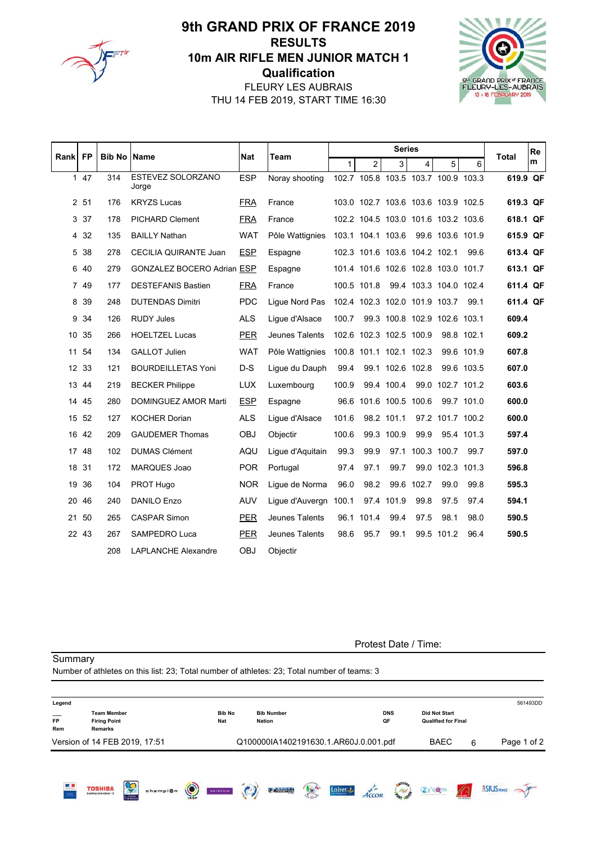

# **Qualification** 10m AIR RIFLE MEN JUNIOR MATCH 1 RESULTS 9th GRAND PRIX OF FRANCE 2019

gth GRAND PRIX of FRANC<br>FLEURY-LES-AUBRAI  $13 \tImes 16$  F

THU 14 FEB 2019, START TIME 16:30 FLEURY LES AUBRAIS

| Rank | <b>FP</b> | <b>Bib No Name</b> |                              | <b>Nat</b> | Team             |              |                | <b>Series</b>                 |            |                                     |            | <b>Total</b> | Re |
|------|-----------|--------------------|------------------------------|------------|------------------|--------------|----------------|-------------------------------|------------|-------------------------------------|------------|--------------|----|
|      |           |                    |                              |            |                  | $\mathbf{1}$ | 2 <sup>1</sup> | 3                             | 4          | 5                                   | 6          |              | m  |
|      | $147$     | 314                | ESTEVEZ SOLORZANO<br>Jorge   | <b>ESP</b> | Noray shooting   |              |                |                               |            | 102.7 105.8 103.5 103.7 100.9 103.3 |            | 619.9 QF     |    |
|      | 2 51      | 176                | <b>KRYZS Lucas</b>           | <b>FRA</b> | France           |              |                |                               |            | 103.0 102.7 103.6 103.6 103.9 102.5 |            | 619.3 QF     |    |
|      | 3 37      | 178                | PICHARD Clement              | <b>FRA</b> | France           |              |                |                               |            | 102.2 104.5 103.0 101.6 103.2 103.6 |            | 618.1 QF     |    |
| 4    | -32       | 135                | <b>BAILLY Nathan</b>         | <b>WAT</b> | Pôle Wattignies  |              |                |                               |            | 103.1 104.1 103.6 99.6 103.6 101.9  |            | 615.9 QF     |    |
| 5    | 38        | 278                | <b>CECILIA QUIRANTE Juan</b> | <b>ESP</b> | Espagne          |              |                | 102.3 101.6 103.6 104.2 102.1 |            |                                     | 99.6       | 613.4 QF     |    |
| 6    | 40        | 279                | GONZALEZ BOCERO Adrian ESP   |            | Espagne          |              |                |                               |            | 101.4 101.6 102.6 102.8 103.0 101.7 |            | 613.1 QF     |    |
|      | 7 49      | 177                | <b>DESTEFANIS Bastien</b>    | <b>FRA</b> | France           |              | 100.5 101.8    |                               |            | 99.4 103.3 104.0 102.4              |            | 611.4 QF     |    |
| 8    | 39        | 248                | <b>DUTENDAS Dimitri</b>      | <b>PDC</b> | Ligue Nord Pas   |              |                | 102.4 102.3 102.0 101.9 103.7 |            |                                     | 99.1       | 611.4 QF     |    |
| 9    | 34        | 126                | <b>RUDY Jules</b>            | <b>ALS</b> | Ligue d'Alsace   | 100.7        |                |                               |            | 99.3 100.8 102.9 102.6 103.1        |            | 609.4        |    |
| 10   | 35        | 266                | <b>HOELTZEL Lucas</b>        | <b>PER</b> | Jeunes Talents   |              |                | 102.6 102.3 102.5 100.9       |            |                                     | 98.8 102.1 | 609.2        |    |
| 11   | 54        | 134                | <b>GALLOT Julien</b>         | <b>WAT</b> | Pôle Wattignies  |              |                | 100.8 101.1 102.1 102.3       |            |                                     | 99.6 101.9 | 607.8        |    |
|      | 12 33     | 121                | <b>BOURDEILLETAS Yoni</b>    | $D-S$      | Lique du Dauph   | 99.4         |                | 99.1 102.6 102.8              |            |                                     | 99.6 103.5 | 607.0        |    |
|      | 13 44     | 219                | <b>BECKER Philippe</b>       | <b>LUX</b> | Luxembourg       | 100.9        |                | 99.4 100.4                    |            | 99.0 102.7 101.2                    |            | 603.6        |    |
| 14   | 45        | 280                | DOMINGUEZ AMOR Marti         | <b>ESP</b> | Espagne          |              |                | 96.6 101.6 100.5 100.6        |            |                                     | 99.7 101.0 | 600.0        |    |
|      | 15 52     | 127                | <b>KOCHER Dorian</b>         | <b>ALS</b> | Lique d'Alsace   | 101.6        |                | 98.2 101.1                    |            | 97.2 101.7 100.2                    |            | 600.0        |    |
|      | 16 42     | 209                | <b>GAUDEMER Thomas</b>       | <b>OBJ</b> | Objectir         | 100.6        |                | 99.3 100.9                    | 99.9       |                                     | 95.4 101.3 | 597.4        |    |
|      | 17 48     | 102                | <b>DUMAS Clément</b>         | AQU        | Ligue d'Aquitain | 99.3         | 99.9           | 97.1                          |            | 100.3 100.7                         | 99.7       | 597.0        |    |
|      | 18 31     | 172                | MARQUES Joao                 | <b>POR</b> | Portugal         | 97.4         | 97.1           | 99.7                          |            | 99.0 102.3 101.3                    |            | 596.8        |    |
|      | 19 36     | 104                | PROT Hugo                    | <b>NOR</b> | Ligue de Norma   | 96.0         | 98.2           |                               | 99.6 102.7 | 99.0                                | 99.8       | 595.3        |    |
|      | 20 46     | 240                | DANILO Enzo                  | <b>AUV</b> | Lique d'Auvergn  | 100.1        |                | 97.4 101.9                    | 99.8       | 97.5                                | 97.4       | 594.1        |    |
| 21   | 50        | 265                | <b>CASPAR Simon</b>          | <b>PER</b> | Jeunes Talents   | 96.1         | 101.4          | 99.4                          | 97.5       | 98.1                                | 98.0       | 590.5        |    |
|      | 22 43     | 267                | SAMPEDRO Luca                | <b>PER</b> | Jeunes Talents   | 98.6         | 95.7           | 99.1                          |            | 99.5 101.2                          | 96.4       | 590.5        |    |
|      |           | 208                | <b>LAPLANCHE Alexandre</b>   | <b>OBJ</b> | Objectir         |              |                |                               |            |                                     |            |              |    |

Protest Date / Time:

**Summary** Number of athletes on this list: 23; Total number of athletes: 23; Total number of teams: 3 Legend 561493DD \_\_\_ Team Member Bib No Bib Number DNS Did Not Start \_\_\_ Team Member Bib No Bib Number Did Not Start<br>FP Firing Point Nat Nation QF Qualified for Final Rem Remarks Version of 14 FEB 2019, 17:51 Q100000IA1402191630.1.AR60J.0.001.pdf BAEC 6 Page 1 of 2Loiret / Accor Manus **TOSHIBA** izy'e**g**m **SSILIS FRANCE** champion **O** PATAPAIN  $O$  becomes  $\frac{1}{\sqrt{2}}$  $\cdot$   $\odot$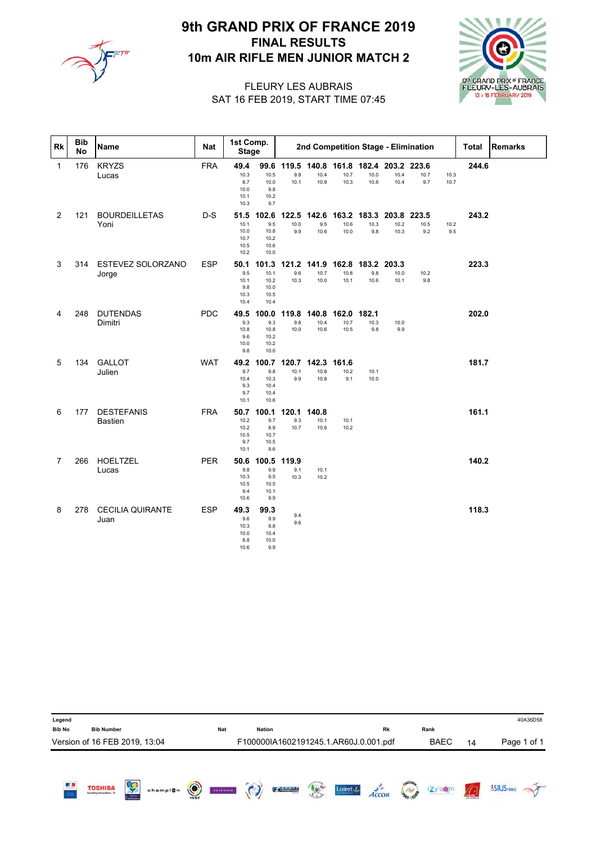

# 10m AIR RIFLE MEN JUNIOR MATCH 2 FINAL RESULTS 9th GRAND PRIX OF FRANCE 2019



#### SAT 16 FEB 2019, START TIME 07:45 FLEURY LES AUBRAIS

| <b>Rk</b>      | <b>Bib</b><br>No | <b>Name</b>                         | <b>Nat</b> | 1st Comp.<br><b>Stage</b>                    |                                               |                      |                                   |                                               |                            |                       | 2nd Competition Stage - Elimination |              | Total | <b>Remarks</b> |
|----------------|------------------|-------------------------------------|------------|----------------------------------------------|-----------------------------------------------|----------------------|-----------------------------------|-----------------------------------------------|----------------------------|-----------------------|-------------------------------------|--------------|-------|----------------|
| $\mathbf{1}$   | 176              | <b>KRYZS</b><br>Lucas               | <b>FRA</b> | 49.4<br>10.3<br>8.7<br>10.0<br>10.1<br>10.3  | 99.6<br>10.5<br>10.0<br>9.8<br>10.2<br>9.7    | 119.5<br>9.8<br>10.1 | 10.4<br>10.9                      | 140.8 161.8 182.4 203.2 223.6<br>10.7<br>10.3 | 10.0<br>10.6               | 10.4<br>10.4          | 10.7<br>9.7                         | 10.3<br>10.7 | 244.6 |                |
| 2              | 121              | <b>BOURDEILLETAS</b><br>Yoni        | $D-S$      | 51.5<br>10.1<br>10.0<br>10.7<br>10.5<br>10.2 | 102.6<br>9.5<br>10.8<br>10.2<br>10.6<br>10.0  | 122.5<br>10.0<br>9.9 | 142.6<br>9.5<br>10.6              | 163.2<br>10.6<br>10.0                         | 183.3<br>10.3<br>9.8       | 203.8<br>10.2<br>10.3 | 223.5<br>10.5<br>9.2                | 10.2<br>9.5  | 243.2 |                |
| 3              | 314              | ESTEVEZ SOLORZANO<br>Jorge          | <b>ESP</b> | 50.1<br>9.5<br>10.1<br>9.8<br>10.3<br>10.4   | 101.3<br>10.1<br>10.2<br>10.0<br>10.5<br>10.4 | 9.6<br>10.3          | 121.2 141.9 162.8<br>10.7<br>10.0 | 10.8<br>10.1                                  | 183.2 203.3<br>9.8<br>10.6 | 10.0<br>10.1          | 10.2<br>9.8                         |              | 223.3 |                |
| 4              | 248              | <b>DUTENDAS</b><br>Dimitri          | <b>PDC</b> | 49.5<br>9.3<br>10.8<br>9.6<br>10.0<br>9.8    | 100.0<br>9.3<br>10.8<br>10.2<br>10.2<br>10.0  | 119.8<br>9.8<br>10.0 | 140.8<br>10.4<br>10.6             | 162.0<br>10.7<br>10.5                         | 182.1<br>10.3<br>9.8       | 10.0<br>9.9           |                                     |              | 202.0 |                |
| 5              | 134              | <b>GALLOT</b><br>Julien             | <b>WAT</b> | 49.2<br>9.7<br>10.4<br>9.3<br>9.7<br>10.1    | 100.7<br>9.8<br>10.3<br>10.4<br>10.4<br>10.6  | 120.7<br>10.1<br>9.9 | 142.3 161.6<br>10.8<br>10.8       | 10.2<br>9.1                                   | 10.1<br>10.0               |                       |                                     |              | 181.7 |                |
| 6              | 177              | <b>DESTEFANIS</b><br><b>Bastien</b> | <b>FRA</b> | 50.7<br>10.2<br>10.2<br>10.5<br>9.7<br>10.1  | 100.1<br>9.7<br>8.9<br>10.7<br>10.5<br>9.6    | 120.1<br>9.3<br>10.7 | 140.8<br>10.1<br>10.6             | 10.1<br>10.2                                  |                            |                       |                                     |              | 161.1 |                |
| $\overline{7}$ | 266              | <b>HOELTZEL</b><br>Lucas            | <b>PER</b> | 50.6<br>9.8<br>10.3<br>10.5<br>9.4<br>10.6   | 100.5<br>9.9<br>9.5<br>10.5<br>10.1<br>9.9    | 119.9<br>9.1<br>10.3 | 10.1<br>10.2                      |                                               |                            |                       |                                     |              | 140.2 |                |
| 8              | 278              | <b>CECILIA QUIRANTE</b><br>Juan     | <b>ESP</b> | 49.3<br>9.6<br>10.3<br>10.0<br>8.8<br>10.6   | 99.3<br>9.9<br>9.8<br>10.4<br>10.0<br>9.9     | 9.4<br>9.6           |                                   |                                               |                            |                       |                                     |              | 118.3 |                |

| Legend             |                               |                           |          |         |            |               |                                       |                      |                             |                              |                |             |                 | 40A36D58            |
|--------------------|-------------------------------|---------------------------|----------|---------|------------|---------------|---------------------------------------|----------------------|-----------------------------|------------------------------|----------------|-------------|-----------------|---------------------|
| <b>Bib No</b>      | <b>Bib Number</b>             |                           |          |         | <b>Nat</b> | <b>Nation</b> |                                       |                      |                             | Rk                           |                | Rank        |                 |                     |
|                    | Version of 16 FEB 2019, 13:04 |                           |          |         |            |               | F100000IA1602191245.1.AR60J.0.001.pdf |                      |                             |                              |                | <b>BAEC</b> | 14              | Page 1 of 1         |
| 區<br>$\frac{1}{2}$ | <b>TOSHIBA</b>                | Ş<br>Centre<br>Voldetoire | champi@n | $\odot$ | PATÁPAIN   | $\odot$       | <b>OPOSITION</b>                      | $\frac{1}{\sqrt{2}}$ | Loiret $\sqrt{\phantom{a}}$ | $A\stackrel{p}{\text{CCOR}}$ | <b>AMISTOR</b> | izy'ogm     | $\sqrt{\Omega}$ | <b>ASIUS FRANCE</b> |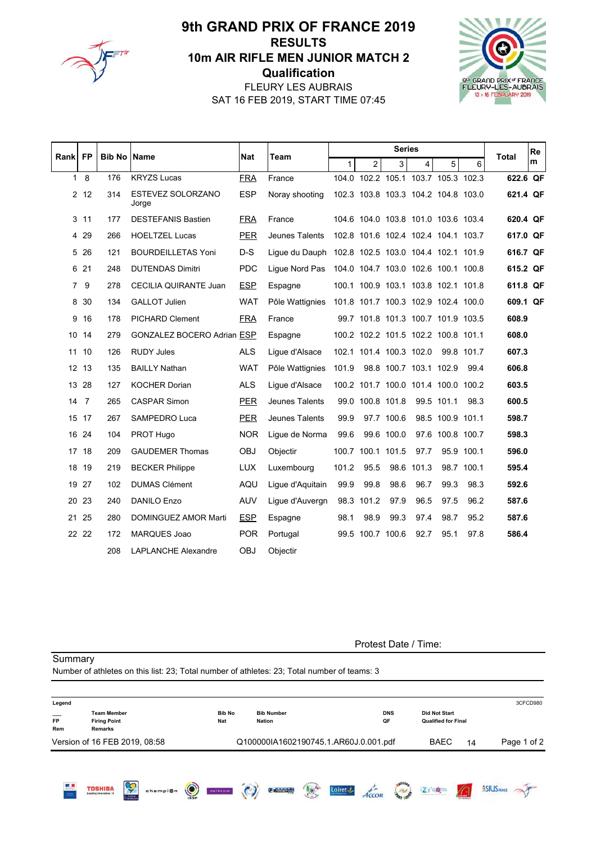

# **Qualification** 10m AIR RIFLE MEN JUNIOR MATCH 2 RESULTS 9th GRAND PRIX OF FRANCE 2019



SAT 16 FEB 2019, START TIME 07:45 FLEURY LES AUBRAIS

| <b>Rankl FP</b> |                | <b>Bib No IName</b> |                                   | <b>Nat</b> | Team                                               |              |                   | <b>Series</b>          |            |                                     |            | Total    | Re |
|-----------------|----------------|---------------------|-----------------------------------|------------|----------------------------------------------------|--------------|-------------------|------------------------|------------|-------------------------------------|------------|----------|----|
|                 |                |                     |                                   |            |                                                    | $\mathbf{1}$ | $\overline{2}$    | 3                      | 4          | 5                                   | 6          |          | m  |
|                 | 18             | 176                 | <b>KRYZS Lucas</b>                | <b>FRA</b> | France                                             |              |                   |                        |            | 104.0 102.2 105.1 103.7 105.3 102.3 |            | 622.6 QF |    |
|                 | 2 12           | 314                 | ESTEVEZ SOLORZANO<br>Jorge        | <b>ESP</b> | Noray shooting                                     |              |                   |                        |            | 102.3 103.8 103.3 104.2 104.8 103.0 |            | 621.4 QF |    |
|                 | $3 \t11$       | 177                 | <b>DESTEFANIS Bastien</b>         | <b>FRA</b> | France                                             |              |                   |                        |            | 104.6 104.0 103.8 101.0 103.6 103.4 |            | 620.4 QF |    |
|                 | 4 29           | 266                 | <b>HOELTZEL Lucas</b>             | <b>PER</b> | Jeunes Talents                                     |              |                   |                        |            | 102.8 101.6 102.4 102.4 104.1 103.7 |            | 617.0 QF |    |
|                 | 5 26           | 121                 | <b>BOURDEILLETAS Yoni</b>         | $D-S$      | Lique du Dauph 102.8 102.5 103.0 104.4 102.1 101.9 |              |                   |                        |            |                                     |            | 616.7 QF |    |
| 6               | 21             | 248                 | <b>DUTENDAS Dimitri</b>           | <b>PDC</b> | Lique Nord Pas                                     |              |                   |                        |            | 104.0 104.7 103.0 102.6 100.1 100.8 |            | 615.2 QF |    |
| 7               | 9              | 278                 | CECILIA QUIRANTE Juan             | <b>ESP</b> | Espagne                                            |              |                   |                        |            | 100.1 100.9 103.1 103.8 102.1 101.8 |            | 611.8 QF |    |
| 8               | 30             | 134                 | <b>GALLOT Julien</b>              | <b>WAT</b> | Pôle Wattignies                                    |              |                   |                        |            | 101.8 101.7 100.3 102.9 102.4 100.0 |            | 609.1 QF |    |
| 9               | 16             | 178                 | PICHARD Clement                   | <b>FRA</b> | France                                             |              |                   |                        |            | 99.7 101.8 101.3 100.7 101.9 103.5  |            | 608.9    |    |
| 10              | 14             | 279                 | <b>GONZALEZ BOCERO Adrian ESP</b> |            | Espagne                                            |              |                   |                        |            | 100.2 102.2 101.5 102.2 100.8 101.1 |            | 608.0    |    |
| 11              | 10             | 126                 | <b>RUDY Jules</b>                 | <b>ALS</b> | Lique d'Alsace                                     |              |                   |                        |            | 102.1 101.4 100.3 102.0 99.8 101.7  |            | 607.3    |    |
|                 | 12 13          | 135                 | <b>BAILLY Nathan</b>              | WAT        | Pôle Wattignies                                    | 101.9        |                   | 98.8 100.7 103.1 102.9 |            |                                     | 99.4       | 606.8    |    |
|                 | 13 28          | 127                 | <b>KOCHER Dorian</b>              | <b>ALS</b> | Lique d'Alsace                                     |              |                   |                        |            | 100.2 101.7 100.0 101.4 100.0 100.2 |            | 603.5    |    |
| 14              | $\overline{7}$ | 265                 | <b>CASPAR Simon</b>               | <b>PER</b> | Jeunes Talents                                     |              | 99.0 100.8 101.8  |                        |            | 99.5 101.1                          | 98.3       | 600.5    |    |
|                 | 15 17          | 267                 | SAMPEDRO Luca                     | <b>PER</b> | Jeunes Talents                                     | 99.9         |                   | 97.7 100.6             |            | 98.5 100.9 101.1                    |            | 598.7    |    |
|                 | 16 24          | 104                 | PROT Hugo                         | <b>NOR</b> | Lique de Norma                                     | 99.6         |                   | 99.6 100.0             |            | 97.6 100.8 100.7                    |            | 598.3    |    |
|                 | 17 18          | 209                 | <b>GAUDEMER Thomas</b>            | <b>OBJ</b> | Objectir                                           |              | 100.7 100.1 101.5 |                        | 97.7       |                                     | 95.9 100.1 | 596.0    |    |
| 18              | 19             | 219                 | <b>BECKER Philippe</b>            | <b>LUX</b> | Luxembourg                                         | 101.2        | 95.5              |                        | 98.6 101.3 |                                     | 98.7 100.1 | 595.4    |    |
| 19              | 27             | 102                 | <b>DUMAS Clément</b>              | AQU        | Ligue d'Aquitain                                   | 99.9         | 99.8              | 98.6                   | 96.7       | 99.3                                | 98.3       | 592.6    |    |
| 20              | 23             | 240                 | DANILO Enzo                       | <b>AUV</b> | Lique d'Auvergn                                    |              | 98.3 101.2        | 97.9                   | 96.5       | 97.5                                | 96.2       | 587.6    |    |
| 21              | 25             | 280                 | DOMINGUEZ AMOR Marti              | <b>ESP</b> | Espagne                                            | 98.1         | 98.9              | 99.3                   | 97.4       | 98.7                                | 95.2       | 587.6    |    |
|                 | 22 22          | 172                 | MARQUES Joao                      | <b>POR</b> | Portugal                                           |              | 99.5 100.7 100.6  |                        | 92.7       | 95.1                                | 97.8       | 586.4    |    |
|                 |                | 208                 | <b>LAPLANCHE Alexandre</b>        | <b>OBJ</b> | Objectir                                           |              |                   |                        |            |                                     |            |          |    |

Protest Date / Time:

**Summary** Number of athletes on this list: 23; Total number of athletes: 23; Total number of teams: 3 Legend 3CFCD980 \_\_\_ Team Member Bib No Bib Number DNS Did Not Start FP Firing Point Nat Nation QF Qualified for Final Rem Remarks Version of 16 FEB 2019, 08:58 Q100000IA1602190745.1.AR60J.0.001.pdf BAEC 14 Page 1 of 2Loiret / Accor Manus **TOSHIBA** izy'ogm **SSIUS FRANCE** champion **O Observed**  $\frac{1}{\sqrt{2}}$  $\sqrt{C}$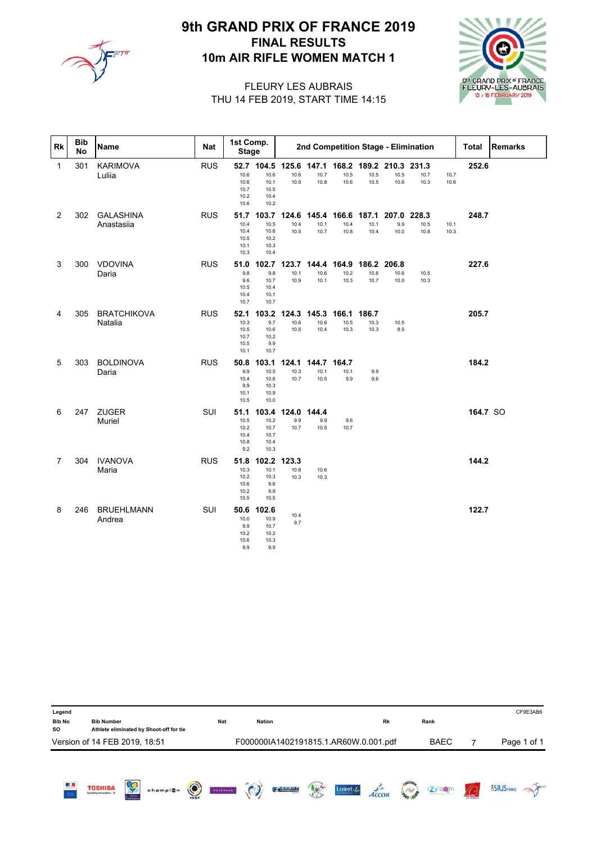

# 10m AIR RIFLE WOMEN MATCH 1 FINAL RESULTS 9th GRAND PRIX OF FRANCE 2019



#### THU 14 FEB 2019, START TIME 14:15 FLEURY LES AUBRAIS

| <b>Rk</b>      | <b>Bib</b><br>No | Name                           | <b>Nat</b> | 1st Comp.<br><b>Stage</b>                    |                                                    |                       |                       |                                               |                       |                             | 2nd Competition Stage - Elimination |              | <b>Total</b> | <b>Remarks</b> |
|----------------|------------------|--------------------------------|------------|----------------------------------------------|----------------------------------------------------|-----------------------|-----------------------|-----------------------------------------------|-----------------------|-----------------------------|-------------------------------------|--------------|--------------|----------------|
| 1              | 301              | <b>KARIMOVA</b><br>Luliia      | <b>RUS</b> | 10.6<br>10.6<br>10.7<br>10.2<br>10.6         | 52.7 104.5<br>10.6<br>10.1<br>10.5<br>10.4<br>10.2 | 125.6<br>10.6<br>10.5 | 10.7<br>10.8          | 147.1 168.2 189.2 210.3 231.3<br>10.5<br>10.6 | 10.5<br>10.5          | 10.5<br>10.6                | 10.7<br>10.3                        | 10.7<br>10.6 | 252.6        |                |
| $\overline{2}$ | 302              | <b>GALASHINA</b><br>Anastasiia | <b>RUS</b> | 51.7<br>10.4<br>10.4<br>10.5<br>10.1<br>10.3 | 103.7<br>10.5<br>10.6<br>10.2<br>10.3<br>10.4      | 124.6<br>10.4<br>10.5 | 145.4<br>10.1<br>10.7 | 166.6<br>10.4<br>10.8                         | 187.1<br>10.1<br>10.4 | 207.0<br>9.9<br>10.0        | 228.3<br>10.5<br>10.8               | 10.1<br>10.3 | 248.7        |                |
| 3              | 300              | <b>VDOVINA</b><br>Daria        | <b>RUS</b> | 51.0<br>9.8<br>9.6<br>10.5<br>10.4<br>10.7   | 102.7<br>9.8<br>10.7<br>10.4<br>10.1<br>10.7       | 123.7<br>10.1<br>10.9 | 10.6<br>10.1          | 144.4 164.9<br>10.2<br>10.3                   | 10.6<br>10.7          | 186.2 206.8<br>10.6<br>10.0 | 10.5<br>10.3                        |              | 227.6        |                |
| 4              | 305              | <b>BRATCHIKOVA</b><br>Natalia  | <b>RUS</b> | 52.1<br>10.3<br>10.5<br>10.7<br>10.5<br>10.1 | 103.2<br>9.7<br>10.6<br>10.2<br>9.9<br>10.7        | 124.3<br>10.6<br>10.5 | 145.3<br>10.6<br>10.4 | 166.1<br>10.5<br>10.3                         | 186.7<br>10.3<br>10.3 | 10.5<br>8.5                 |                                     |              | 205.7        |                |
| 5              | 303              | <b>BOLDINOVA</b><br>Daria      | <b>RUS</b> | 50.8<br>9.9<br>10.4<br>9.9<br>10.1<br>10.5   | 103.1<br>10.5<br>10.6<br>10.3<br>10.9<br>10.0      | 124.1<br>10.3<br>10.7 | 144.7<br>10.1<br>10.5 | 164.7<br>10.1<br>9.9                          | 9.9<br>9.6            |                             |                                     |              | 184.2        |                |
| 6              | 247              | <b>ZUGER</b><br>Muriel         | SUI        | 51.1<br>10.5<br>10.2<br>10.4<br>10.8<br>9.2  | 103.4<br>10.2<br>10.7<br>10.7<br>10.4<br>10.3      | 124.0<br>9.9<br>10.7  | 144.4<br>9.9<br>10.5  | 9.6<br>10.7                                   |                       |                             |                                     |              | 164.7 SO     |                |
| $\overline{7}$ | 304              | <b>IVANOVA</b><br>Maria        | <b>RUS</b> | 51.8<br>10.3<br>10.2<br>10.6<br>10.2<br>10.5 | 102.2<br>10.1<br>10.3<br>9.6<br>9.9<br>10.5        | 123.3<br>10.8<br>10.3 | 10.6<br>10.3          |                                               |                       |                             |                                     |              | 144.2        |                |
| 8              | 246              | <b>BRUEHLMANN</b><br>Andrea    | SUI        | 50.6<br>10.0<br>9.9<br>10.2<br>10.6<br>9.9   | 102.6<br>10.9<br>10.7<br>10.2<br>10.3<br>9.9       | 10.4<br>9.7           |                       |                                               |                       |                             |                                     |              | 122.7        |                |

| Legend<br><b>Bib No</b><br><b>SO</b> | <b>Bib Number</b>                    |                           | Athlete eliminated by Shoot-off for tie |         | <b>Nat</b> | <b>Nation</b> |                                       |                      |                     | <b>Rk</b>             |                  | Rank        |                     | CF9E3AB6    |
|--------------------------------------|--------------------------------------|---------------------------|-----------------------------------------|---------|------------|---------------|---------------------------------------|----------------------|---------------------|-----------------------|------------------|-------------|---------------------|-------------|
| Version of 14 FEB 2019, 18:51        |                                      |                           |                                         |         |            |               | F000000IA1402191815.1.AR60W.0.001.pdf |                      |                     |                       |                  | <b>BAEC</b> |                     | Page 1 of 1 |
| 医具<br>$\frac{1}{2}$                  | <b>TOSHIBA</b><br>Leading Innovation | Ş<br>Centre<br>Everdetoir | champion                                | $\odot$ | PATAPAIN   |               | <b>COPOSITION</b>                     | $\frac{1}{\sqrt{2}}$ | Loiret <sub>V</sub> | $A\stackrel{p}{CCOR}$ | <b>BAT ISI</b> S | izy'egm     | <b>ASIUS FRANCE</b> |             |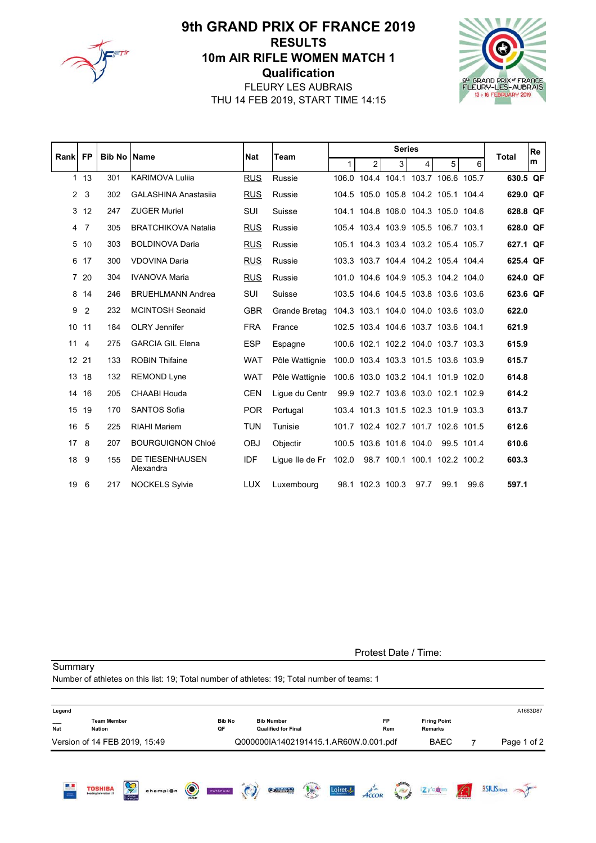

# **Qualification** 10m AIR RIFLE WOMEN MATCH 1 RESULTS 9th GRAND PRIX OF FRANCE 2019

THU 14 FEB 2019, START TIME 14:15 FLEURY LES AUBRAIS



| Rankl FP       |                 | <b>Bib No IName</b> |                                     | Nat        | Team            |       |   | <b>Series</b>           |      |                                     |            | <b>Total</b> | Re |
|----------------|-----------------|---------------------|-------------------------------------|------------|-----------------|-------|---|-------------------------|------|-------------------------------------|------------|--------------|----|
|                |                 |                     |                                     |            |                 | 1     | 2 | $\overline{3}$          | 4    | 5                                   | 6          |              | m  |
|                | 1 <sub>13</sub> | 301                 | <b>KARIMOVA Lulija</b>              | <b>RUS</b> | Russie          |       |   |                         |      | 106.0 104.4 104.1 103.7 106.6 105.7 |            | 630.5 QF     |    |
| $\overline{2}$ | 3               | 302                 | <b>GALASHINA Anastasija</b>         | <b>RUS</b> | Russie          |       |   |                         |      | 104.5 105.0 105.8 104.2 105.1 104.4 |            | 629.0 QF     |    |
| 3              | 12              | 247                 | <b>ZUGER Muriel</b>                 | <b>SUI</b> | Suisse          |       |   |                         |      | 104.1 104.8 106.0 104.3 105.0 104.6 |            | 628.8 QF     |    |
| $\overline{4}$ | $\overline{7}$  | 305                 | <b>BRATCHIKOVA Natalia</b>          | <b>RUS</b> | Russie          |       |   |                         |      | 105.4 103.4 103.9 105.5 106.7 103.1 |            | 628.0 QF     |    |
| 5              | 10              | 303                 | <b>BOLDINOVA Daria</b>              | <b>RUS</b> | Russie          |       |   |                         |      | 105.1 104.3 103.4 103.2 105.4 105.7 |            | 627.1 QF     |    |
|                | 6 17            | 300                 | <b>VDOVINA Daria</b>                | <b>RUS</b> | Russie          |       |   |                         |      | 103.3 103.7 104.4 104.2 105.4 104.4 |            | 625.4 QF     |    |
|                | 7 20            | 304                 | <b>IVANOVA Maria</b>                | <b>RUS</b> | Russie          |       |   |                         |      | 101.0 104.6 104.9 105.3 104.2 104.0 |            | 624.0 QF     |    |
| 8              | 14              | 246                 | <b>BRUEHLMANN Andrea</b>            | <b>SUI</b> | Suisse          |       |   |                         |      | 103.5 104.6 104.5 103.8 103.6 103.6 |            | 623.6 QF     |    |
| 9              | $\overline{2}$  | 232                 | <b>MCINTOSH Seonaid</b>             | <b>GBR</b> | Grande Bretag   |       |   |                         |      | 104.3 103.1 104.0 104.0 103.6 103.0 |            | 622.0        |    |
|                | 10 11           | 184                 | <b>OLRY Jennifer</b>                | <b>FRA</b> | France          |       |   |                         |      | 102.5 103.4 104.6 103.7 103.6 104.1 |            | 621.9        |    |
| 11             | $\overline{4}$  | 275                 | <b>GARCIA GIL Elena</b>             | <b>ESP</b> | Espagne         |       |   |                         |      | 100.6 102.1 102.2 104.0 103.7 103.3 |            | 615.9        |    |
|                | 12 21           | 133                 | <b>ROBIN Thifaine</b>               | <b>WAT</b> | Pôle Wattignie  |       |   |                         |      | 100.0 103.4 103.3 101.5 103.6 103.9 |            | 615.7        |    |
|                | 13 18           | 132                 | <b>REMOND Lyne</b>                  | <b>WAT</b> | Pôle Wattignie  |       |   |                         |      | 100.6 103.0 103.2 104.1 101.9 102.0 |            | 614.8        |    |
|                | 14 16           | 205                 | CHAABI Houda                        | <b>CEN</b> | Lique du Centr  |       |   |                         |      | 99.9 102.7 103.6 103.0 102.1 102.9  |            | 614.2        |    |
|                | 15 19           | 170                 | <b>SANTOS Sofia</b>                 | <b>POR</b> | Portugal        |       |   |                         |      | 103.4 101.3 101.5 102.3 101.9 103.3 |            | 613.7        |    |
| 16             | - 5             | 225                 | <b>RIAHI Mariem</b>                 | <b>TUN</b> | Tunisie         |       |   |                         |      | 101.7 102.4 102.7 101.7 102.6 101.5 |            | 612.6        |    |
| 17             | 8               | 207                 | <b>BOURGUIGNON Chloé</b>            | <b>OBJ</b> | Objectir        |       |   | 100.5 103.6 101.6 104.0 |      |                                     | 99.5 101.4 | 610.6        |    |
| 18             | 9               | 155                 | <b>DE TIESENHAUSEN</b><br>Alexandra | <b>IDF</b> | Lique Ile de Fr | 102.0 |   |                         |      | 98.7 100.1 100.1 102.2 100.2        |            | 603.3        |    |
| 19             | 6               | 217                 | <b>NOCKELS Sylvie</b>               | <b>LUX</b> | Luxembourg      |       |   | 98.1 102.3 100.3        | 97.7 | 99.1                                | 99.6       | 597.1        |    |

Protest Date / Time:

**Summary** 

Number of athletes on this list: 19; Total number of athletes: 19; Total number of teams: 1

| Legend     |                                                |              |          |         |                     |                     |                                                 |                            |                             |           |     |                                           |                 | A1663D87            |
|------------|------------------------------------------------|--------------|----------|---------|---------------------|---------------------|-------------------------------------------------|----------------------------|-----------------------------|-----------|-----|-------------------------------------------|-----------------|---------------------|
| <b>Nat</b> | <b>Team Member</b><br>Nation                   |              |          |         | <b>Bib No</b><br>QF |                     | <b>Bib Number</b><br><b>Qualified for Final</b> |                            |                             | <b>FP</b> | Rem | <b>Firing Point</b><br><b>Remarks</b>     |                 |                     |
|            | Version of 14 FEB 2019, 15:49                  |              |          |         |                     |                     | Q000000IA1402191415.1.AR60W.0.001.pdf           |                            |                             |           |     | <b>BAEC</b>                               | 7               | Page 1 of 2         |
|            |                                                |              |          |         |                     |                     |                                                 |                            |                             |           |     |                                           |                 |                     |
| иJ.<br>$=$ | <b>TOSHIBA</b><br><b>Leading Innovation 39</b> | Ç<br>Centre- | champion | $\odot$ | <b>PATAPAIN</b>     | $\ddot{\mathbf{c}}$ | $O(\frac{1}{\sqrt{2}})$                         | $\left(\frac{1}{2}\right)$ | Loiret $\sqrt{\phantom{a}}$ | 400R      |     | izy com<br>a freezen betegn and technical | $\sqrt{\Omega}$ | <b>SSIUS FRANCE</b> |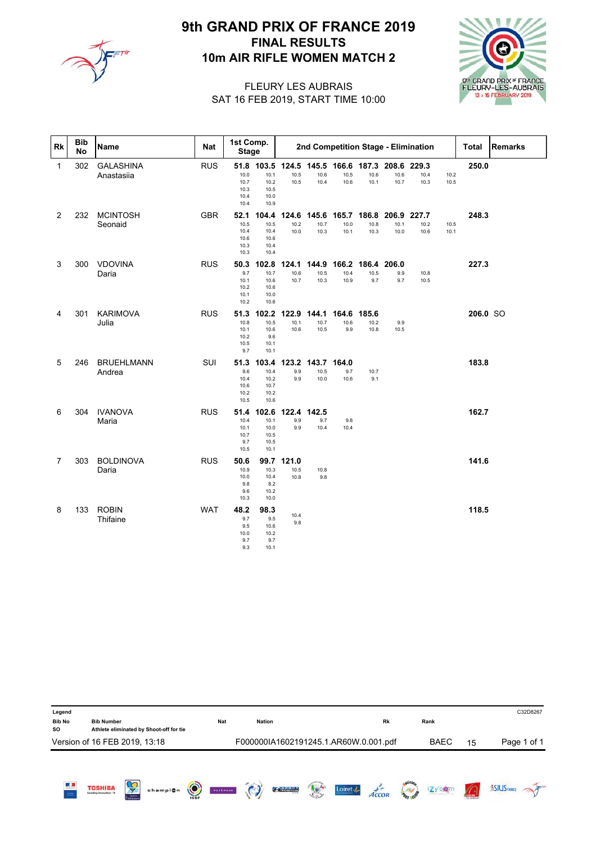

# 10m AIR RIFLE WOMEN MATCH 2 FINAL RESULTS 9th GRAND PRIX OF FRANCE 2019



 $\overline{\phantom{a}}$ 

#### SAT 16 FEB 2019, START TIME 10:00 FLEURY LES AUBRAIS

| <b>Rk</b>      | <b>Bib</b><br>No | Name                           | <b>Nat</b> | 1st Comp.<br><b>Stage</b>                    |                                                    |                            |                             |                                         |                       |                       | 2nd Competition Stage - Elimination |              | Total    | <b>Remarks</b> |
|----------------|------------------|--------------------------------|------------|----------------------------------------------|----------------------------------------------------|----------------------------|-----------------------------|-----------------------------------------|-----------------------|-----------------------|-------------------------------------|--------------|----------|----------------|
| 1              | 302              | <b>GALASHINA</b><br>Anastasiia | <b>RUS</b> | 10.0<br>10.7<br>10.3<br>10.4<br>10.4         | 51.8 103.5<br>10.1<br>10.2<br>10.5<br>10.0<br>10.9 | 124.5<br>10.5<br>10.5      | 10.6<br>10.4                | 145.5 166.6 187.3 208.6<br>10.5<br>10.6 | 10.6<br>10.1          | 10.6<br>10.7          | 229.3<br>10.4<br>10.3               | 10.2<br>10.5 | 250.0    |                |
| $\overline{2}$ | 232              | <b>MCINTOSH</b><br>Seonaid     | <b>GBR</b> | 52.1<br>10.5<br>10.4<br>10.6<br>10.3<br>10.3 | 104.4<br>10.5<br>10.4<br>10.6<br>10.4<br>10.4      | 124.6<br>10.2<br>10.0      | 145.6<br>10.7<br>10.3       | 165.7<br>10.0<br>10.1                   | 186.8<br>10.8<br>10.3 | 206.9<br>10.1<br>10.0 | 227.7<br>10.2<br>10.6               | 10.5<br>10.1 | 248.3    |                |
| 3              | 300              | <b>VDOVINA</b><br>Daria        | <b>RUS</b> | 50.3<br>9.7<br>10.1<br>10.2<br>10.1<br>10.2  | 102.8<br>10.7<br>10.6<br>10.6<br>10.0<br>10.6      | 124.1<br>10.6<br>10.7      | 10.5<br>10.3                | 144.9 166.2 186.4 206.0<br>10.4<br>10.9 | 10.5<br>9.7           | 9.9<br>9.7            | 10.8<br>10.5                        |              | 227.3    |                |
| 4              | 301              | <b>KARIMOVA</b><br>Julia       | <b>RUS</b> | 51.3<br>10.8<br>10.1<br>10.2<br>10.5<br>9.7  | 102.2<br>10.5<br>10.6<br>9.6<br>10.1<br>10.1       | 122.9<br>10.1<br>10.6      | 144.1<br>10.7<br>10.5       | 164.6<br>10.6<br>9.9                    | 185.6<br>10.2<br>10.8 | 9.9<br>10.5           |                                     |              | 206.0 SO |                |
| 5              | 246              | <b>BRUEHLMANN</b><br>Andrea    | SUI        | 51.3<br>9.6<br>10.4<br>10.6<br>10.2<br>10.5  | 103.4<br>10.4<br>10.2<br>10.7<br>10.2<br>10.6      | 123.2<br>9.9<br>9.9        | 143.7 164.0<br>10.5<br>10.0 | 9.7<br>10.6                             | 10.7<br>9.1           |                       |                                     |              | 183.8    |                |
| 6              | 304              | <b>IVANOVA</b><br>Maria        | <b>RUS</b> | 51.4<br>10.4<br>10.1<br>10.7<br>9.7<br>10.5  | 102.6<br>10.1<br>10.0<br>10.5<br>10.5<br>10.1      | 122.4<br>9.9<br>9.9        | 142.5<br>9.7<br>10.4        | 9.8<br>10.4                             |                       |                       |                                     |              | 162.7    |                |
| 7              | 303              | <b>BOLDINOVA</b><br>Daria      | <b>RUS</b> | 50.6<br>10.9<br>10.0<br>9.8<br>9.6<br>10.3   | 10.3<br>10.4<br>8.2<br>10.2<br>10.0                | 99.7 121.0<br>10.5<br>10.8 | 10.8<br>9.8                 |                                         |                       |                       |                                     |              | 141.6    |                |
| 8              | 133              | <b>ROBIN</b><br>Thifaine       | <b>WAT</b> | 48.2<br>9.7<br>9.5<br>10.0<br>9.7<br>9.3     | 98.3<br>9.5<br>10.6<br>10.2<br>9.7<br>10.1         | 10.4<br>9.8                |                             |                                         |                       |                       |                                     |              | 118.5    |                |

| Legend<br><b>Bib No</b><br><b>SO</b> | <b>Bib Number</b>                              |                             | Athlete eliminated by Shoot-off for tie |            | <b>Nat</b> | <b>Nation</b> |                                       |                                                                                                                                                                                                                                                                                                                                                     |                             | Rk           |                 | Rank                                            |        |                     | C32D8267    |
|--------------------------------------|------------------------------------------------|-----------------------------|-----------------------------------------|------------|------------|---------------|---------------------------------------|-----------------------------------------------------------------------------------------------------------------------------------------------------------------------------------------------------------------------------------------------------------------------------------------------------------------------------------------------------|-----------------------------|--------------|-----------------|-------------------------------------------------|--------|---------------------|-------------|
| Version of 16 FEB 2019, 13:18        |                                                |                             |                                         |            |            |               | F000000IA1602191245.1.AR60W.0.001.pdf |                                                                                                                                                                                                                                                                                                                                                     |                             |              |                 | <b>BAEC</b>                                     | 15     |                     | Page 1 of 1 |
| 医具<br>$\frac{1}{2}$                  | <b>TOSHIBA</b><br><b>Leading Innovation 20</b> | S<br>Centre<br>E Vol de Los | champi@n                                | $\bigcirc$ | PATAPAIN   |               | $\bigcirc$ boshion                    | $\begin{picture}(120,10) \put(0,0){\line(1,0){15}} \put(15,0){\line(1,0){15}} \put(15,0){\line(1,0){15}} \put(15,0){\line(1,0){15}} \put(15,0){\line(1,0){15}} \put(15,0){\line(1,0){15}} \put(15,0){\line(1,0){15}} \put(15,0){\line(1,0){15}} \put(15,0){\line(1,0){15}} \put(15,0){\line(1,0){15}} \put(15,0){\line(1,0){15}} \put(15,0){\line($ | Loiret $\sqrt{\phantom{a}}$ | $\vec{ACOR}$ | <b>ANTISTIC</b> | izy'e@m<br>a three is cutting you not be start- | FLEURY | <b>ASIUS FRANCE</b> |             |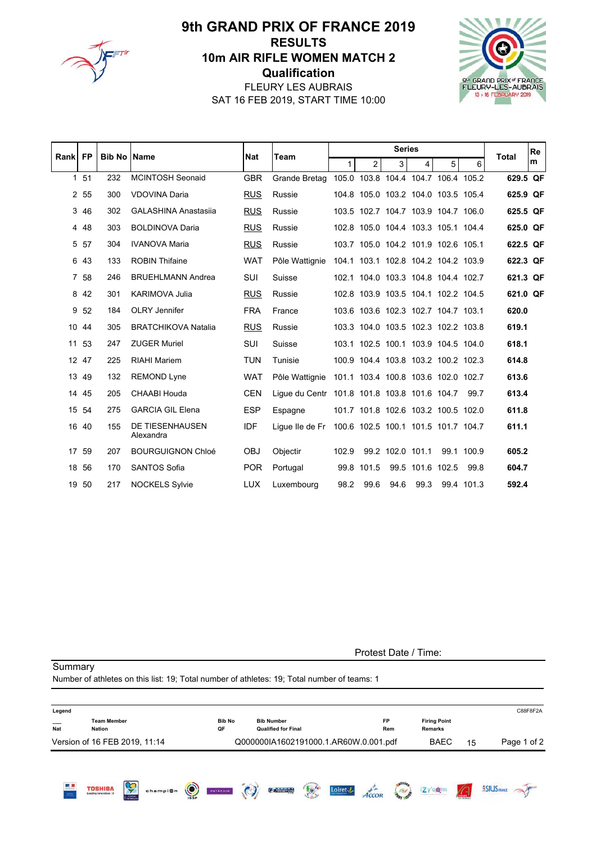

# **Qualification** 10m AIR RIFLE WOMEN MATCH 2 RESULTS 9th GRAND PRIX OF FRANCE 2019

9th GRAND PRIX of FRAN<br>FLEURY-LES-AUBR  $13 \tImes 16$  F

SAT 16 FEB 2019, START TIME 10:00 FLEURY LES AUBRAIS

| <b>Rankl FP</b> |       | <b>Bib No IName</b> |                              |            | <b>Team</b>     |                               |                                     | <b>Series</b>    |                  |                |            | <b>Total</b> | <b>Re</b> |
|-----------------|-------|---------------------|------------------------------|------------|-----------------|-------------------------------|-------------------------------------|------------------|------------------|----------------|------------|--------------|-----------|
|                 |       |                     |                              | Nat        |                 | 1                             | $\overline{2}$                      | 3                | 4                | 5 <sup>1</sup> | 6          |              | m         |
|                 | 1 51  | 232                 | <b>MCINTOSH Seonaid</b>      | <b>GBR</b> | Grande Bretag   |                               | 105.0 103.8 104.4 104.7 106.4 105.2 |                  |                  |                |            | 629.5 QF     |           |
|                 | 2 55  | 300                 | <b>VDOVINA Daria</b>         | <b>RUS</b> | Russie          |                               | 104.8 105.0 103.2 104.0 103.5 105.4 |                  |                  |                |            | 625.9 QF     |           |
|                 | 3 46  | 302                 | <b>GALASHINA Anastasija</b>  | <b>RUS</b> | Russie          |                               | 103.5 102.7 104.7 103.9 104.7 106.0 |                  |                  |                |            | 625.5 QF     |           |
|                 | 4 48  | 303                 | <b>BOLDINOVA Daria</b>       | <b>RUS</b> | Russie          |                               | 102.8 105.0 104.4 103.3 105.1 104.4 |                  |                  |                |            | 625.0 QF     |           |
|                 | 5 57  | 304                 | <b>IVANOVA Maria</b>         | <b>RUS</b> | Russie          |                               | 103.7 105.0 104.2 101.9 102.6 105.1 |                  |                  |                |            | 622.5 QF     |           |
|                 | 6 43  | 133                 | <b>ROBIN Thifaine</b>        | <b>WAT</b> | Pôle Wattignie  |                               | 104.1 103.1 102.8 104.2 104.2 103.9 |                  |                  |                |            | 622.3 QF     |           |
|                 | 7 58  | 246                 | <b>BRUEHLMANN Andrea</b>     | <b>SUI</b> | Suisse          |                               | 102.1 104.0 103.3 104.8 104.4 102.7 |                  |                  |                |            | 621.3 QF     |           |
|                 | 8 4 2 | 301                 | <b>KARIMOVA Julia</b>        | <b>RUS</b> | Russie          |                               | 102.8 103.9 103.5 104.1 102.2 104.5 |                  |                  |                |            | 621.0 QF     |           |
|                 | 9 52  | 184                 | <b>OLRY Jennifer</b>         | <b>FRA</b> | France          |                               | 103.6 103.6 102.3 102.7 104.7 103.1 |                  |                  |                |            | 620.0        |           |
|                 | 10 44 | 305                 | <b>BRATCHIKOVA Natalia</b>   | <b>RUS</b> | Russie          |                               | 103.3 104.0 103.5 102.3 102.2 103.8 |                  |                  |                |            | 619.1        |           |
|                 | 11 53 | 247                 | <b>ZUGER Muriel</b>          | SUI        | Suisse          |                               | 103.1 102.5 100.1 103.9 104.5 104.0 |                  |                  |                |            | 618.1        |           |
|                 | 12 47 | 225                 | <b>RIAHI Mariem</b>          | <b>TUN</b> | Tunisie         |                               | 100.9 104.4 103.8 103.2 100.2 102.3 |                  |                  |                |            | 614.8        |           |
|                 | 13 49 | 132                 | <b>REMOND Lyne</b>           | <b>WAT</b> | Pôle Wattignie  |                               | 101.1 103.4 100.8 103.6 102.0 102.7 |                  |                  |                |            | 613.6        |           |
|                 | 14 45 | 205                 | <b>CHAABI Houda</b>          | <b>CEN</b> | Lique du Centr  | 101.8 101.8 103.8 101.6 104.7 |                                     |                  |                  |                | 99.7       | 613.4        |           |
|                 | 15 54 | 275                 | <b>GARCIA GIL Elena</b>      | <b>ESP</b> | Espagne         |                               | 101.7 101.8 102.6 103.2 100.5 102.0 |                  |                  |                |            | 611.8        |           |
|                 | 16 40 | 155                 | DE TIESENHAUSEN<br>Alexandra | IDF        | Ligue Ile de Fr |                               | 100.6 102.5 100.1 101.5 101.7 104.7 |                  |                  |                |            | 611.1        |           |
|                 | 17 59 | 207                 | <b>BOURGUIGNON Chloé</b>     | <b>OBJ</b> | Objectir        | 102.9                         |                                     | 99.2 102.0 101.1 |                  |                | 99.1 100.9 | 605.2        |           |
|                 | 18 56 | 170                 | <b>SANTOS Sofia</b>          | <b>POR</b> | Portugal        |                               | 99.8 101.5                          |                  | 99.5 101.6 102.5 |                | 99.8       | 604.7        |           |
|                 | 19 50 | 217                 | <b>NOCKELS Sylvie</b>        | <b>LUX</b> | Luxembourg      | 98.2                          | 99.6                                | 94.6             | 99.3             |                | 99.4 101.3 | 592.4        |           |

**Summary** 

Protest Date / Time:

Number of athletes on this list: 19; Total number of athletes: 19; Total number of teams: 1

| Legend                        |                                                |                                       |          |         |                     |                                                 |                      |                             |                   |            |                                       |              | C88F8F2A            |
|-------------------------------|------------------------------------------------|---------------------------------------|----------|---------|---------------------|-------------------------------------------------|----------------------|-----------------------------|-------------------|------------|---------------------------------------|--------------|---------------------|
| Nat                           | <b>Team Member</b><br><b>Nation</b>            |                                       |          |         | <b>Bib No</b><br>QF | <b>Bib Number</b><br><b>Qualified for Final</b> |                      |                             | <b>FP</b>         | <b>Rem</b> | <b>Firing Point</b><br><b>Remarks</b> |              |                     |
| Version of 16 FEB 2019, 11:14 |                                                |                                       |          |         |                     | Q000000IA1602191000.1.AR60W.0.001.pdf           |                      |                             |                   |            | <b>BAEC</b>                           | 15           | Page 1 of 2         |
|                               |                                                |                                       |          |         |                     |                                                 |                      |                             |                   |            |                                       |              |                     |
| E.<br>$=$                     | <b>TOSHIBA</b><br><b>Leading Innovation 29</b> | $\mathbf{S}$<br>Centre-<br>Valdetoire | champion | $\odot$ | PATAPAIN            | O <sub>2</sub>                                  | $\frac{1}{\sqrt{2}}$ | Loiret $\sqrt{\phantom{a}}$ | $\frac{t}{4CCOR}$ | 134        | izy'ogm<br>a mission come and we will | <b>THEME</b> | <b>SSIUS FRANCE</b> |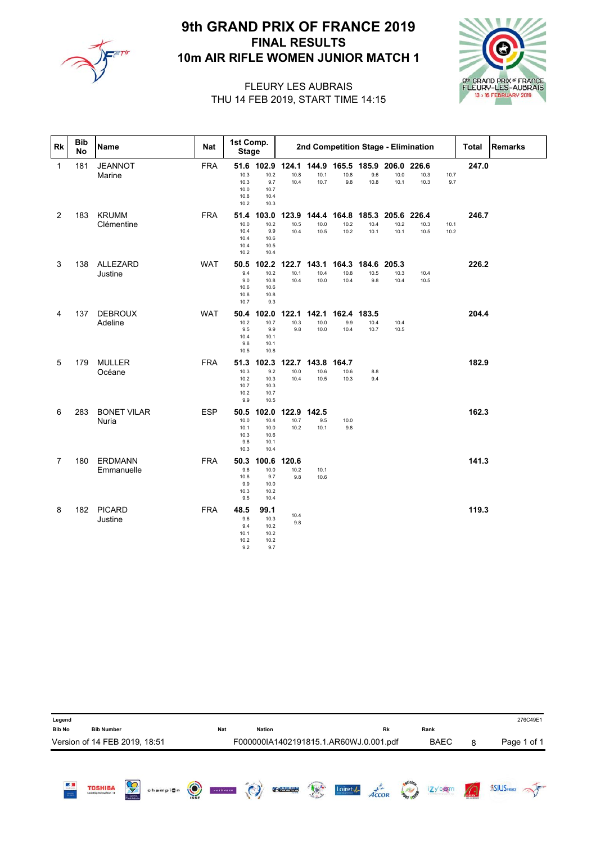

# 10m AIR RIFLE WOMEN JUNIOR MATCH 1 FINAL RESULTS 9th GRAND PRIX OF FRANCE 2019



#### THU 14 FEB 2019, START TIME 14:15 FLEURY LES AUBRAIS

| Rk             | <b>Bib</b><br>No | Name                         | Nat        | 1st Comp.<br><b>Stage</b>                    |                                               |                                  |                                   |                                  |                       |                       | 2nd Competition Stage - Elimination |              | <b>Total</b> | Remarks |
|----------------|------------------|------------------------------|------------|----------------------------------------------|-----------------------------------------------|----------------------------------|-----------------------------------|----------------------------------|-----------------------|-----------------------|-------------------------------------|--------------|--------------|---------|
| $\mathbf{1}$   | 181              | <b>JEANNOT</b><br>Marine     | <b>FRA</b> | 10.3<br>10.3<br>10.0<br>10.8<br>10.2         | 10.2<br>9.7<br>10.7<br>10.4<br>10.3           | 51.6 102.9 124.1<br>10.8<br>10.4 | 10.1<br>10.7                      | 144.9 165.5 185.9<br>10.8<br>9.8 | 9.6<br>10.8           | 206.0<br>10.0<br>10.1 | 226.6<br>10.3<br>10.3               | 10.7<br>9.7  | 247.0        |         |
| $\overline{2}$ | 183              | <b>KRUMM</b><br>Clémentine   | <b>FRA</b> | 51.4<br>10.0<br>10.4<br>10.4<br>10.4<br>10.2 | 103.0<br>10.2<br>9.9<br>10.6<br>10.5<br>10.4  | 123.9<br>10.5<br>10.4            | 144.4<br>10.0<br>10.5             | 164.8<br>10.2<br>10.2            | 185.3<br>10.4<br>10.1 | 205.6<br>10.2<br>10.1 | 226.4<br>10.3<br>10.5               | 10.1<br>10.2 | 246.7        |         |
| 3              | 138              | ALLEZARD<br>Justine          | <b>WAT</b> | 50.5<br>9.4<br>9.0<br>10.6<br>10.8<br>10.7   | 102.2<br>10.2<br>10.8<br>10.6<br>10.8<br>9.3  | 10.1<br>10.4                     | 122.7 143.1 164.3<br>10.4<br>10.0 | 10.8<br>10.4                     | 184.6<br>10.5<br>9.8  | 205.3<br>10.3<br>10.4 | 10.4<br>10.5                        |              | 226.2        |         |
| 4              | 137              | <b>DEBROUX</b><br>Adeline    | <b>WAT</b> | 50.4<br>10.2<br>9.5<br>10.4<br>9.8<br>10.5   | 102.0<br>10.7<br>9.9<br>10.1<br>10.1<br>10.8  | 122.1<br>10.3<br>9.8             | 142.1<br>10.0<br>10.0             | 162.4<br>9.9<br>10.4             | 183.5<br>10.4<br>10.7 | 10.4<br>10.5          |                                     |              | 204.4        |         |
| 5              | 179              | <b>MULLER</b><br>Océane      | <b>FRA</b> | 51.3<br>10.3<br>10.2<br>10.7<br>10.2<br>9.9  | 102.3<br>9.2<br>10.3<br>10.3<br>10.7<br>10.5  | 122.7<br>10.0<br>10.4            | 143.8 164.7<br>10.6<br>10.5       | 10.6<br>10.3                     | 8.8<br>9.4            |                       |                                     |              | 182.9        |         |
| 6              | 283              | <b>BONET VILAR</b><br>Nuria  | <b>ESP</b> | 50.5<br>10.0<br>10.1<br>10.3<br>9.8<br>10.3  | 102.0<br>10.4<br>10.0<br>10.6<br>10.1<br>10.4 | 122.9<br>10.7<br>10.2            | 142.5<br>9.5<br>10.1              | 10.0<br>9.8                      |                       |                       |                                     |              | 162.3        |         |
| $\overline{7}$ | 180              | <b>ERDMANN</b><br>Emmanuelle | <b>FRA</b> | 50.3<br>9.8<br>10.8<br>9.9<br>10.3<br>9.5    | 100.6<br>10.0<br>9.7<br>10.0<br>10.2<br>10.4  | 120.6<br>10.2<br>9.8             | 10.1<br>10.6                      |                                  |                       |                       |                                     |              | 141.3        |         |
| 8              | 182              | <b>PICARD</b><br>Justine     | <b>FRA</b> | 48.5<br>9.6<br>9.4<br>10.1<br>10.2<br>9.2    | 99.1<br>10.3<br>10.2<br>10.2<br>10.2<br>9.7   | 10.4<br>9.8                      |                                   |                                  |                       |                       |                                     |              | 119.3        |         |

| Legend<br><b>Bib No</b> | <b>Bib Number</b>             |                         |          |            | <b>Nat</b> | <b>Nation</b> |                                        |     |                    | Rk                    |                 | Rank        |                 |                     | 276C49E1    |
|-------------------------|-------------------------------|-------------------------|----------|------------|------------|---------------|----------------------------------------|-----|--------------------|-----------------------|-----------------|-------------|-----------------|---------------------|-------------|
|                         | Version of 14 FEB 2019, 18:51 |                         |          |            |            |               | F000000IA1402191815.1.AR60WJ.0.001.pdf |     |                    |                       |                 | <b>BAEC</b> | 8               |                     | Page 1 of 1 |
| 區<br>$\frac{1}{2}$      | <b>TOSHIBA</b>                | Ş<br>Centre<br>Voldetos | champion | $\bigodot$ | PATĂPAIN   | $\odot$       | <b>OPOSITION</b>                       | 104 | Loiret $\sqrt{\ }$ | $A\stackrel{t}{CCOR}$ | <b>AMERICAN</b> | izy'ogm     | $\sqrt{\Omega}$ | <b>ASIUS FRANCE</b> |             |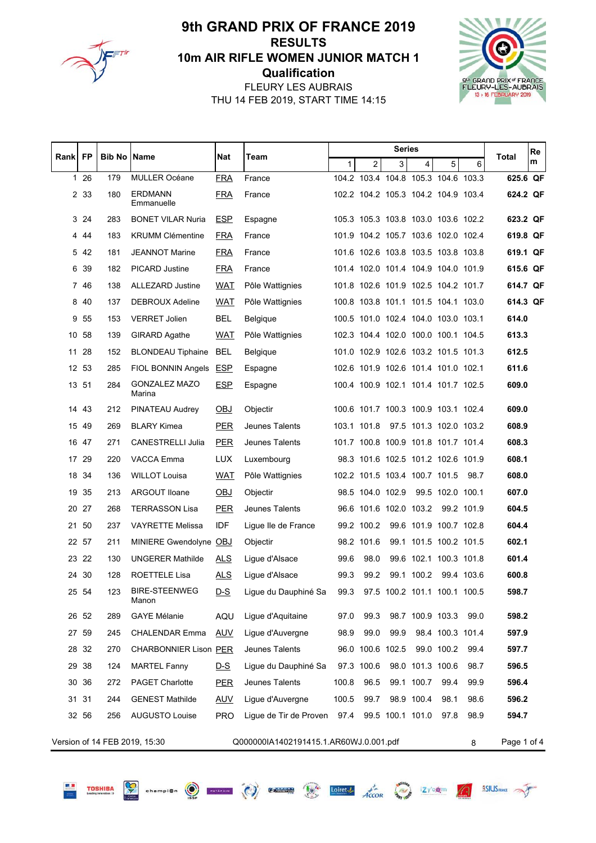

**TOSHIBA** 

#### FLEURY LES AUBRAIS **Qualification** 10m AIR RIFLE WOMEN JUNIOR MATCH 1 RESULTS 9th GRAND PRIX OF FRANCE 2019

THU 14 FEB 2019, START TIME 14:15



| Rank FP |       | <b>Bib No   Name</b> |                               | <b>Nat</b> | Team                                   |              |                                     | <b>Series</b>    |                        |                  |      | Re<br>Total |
|---------|-------|----------------------|-------------------------------|------------|----------------------------------------|--------------|-------------------------------------|------------------|------------------------|------------------|------|-------------|
|         |       |                      |                               |            |                                        | $\mathbf{1}$ | $\overline{2}$                      | 3                | 4                      | 5                | 6    | m           |
|         | 126   | 179                  | <b>MULLER Océane</b>          | <b>FRA</b> | France                                 |              | 104.2 103.4 104.8 105.3 104.6 103.3 |                  |                        |                  |      | 625.6 QF    |
|         | 2 33  | 180                  | <b>ERDMANN</b><br>Emmanuelle  | <u>FRA</u> | France                                 |              | 102.2 104.2 105.3 104.2 104.9 103.4 |                  |                        |                  |      | 624.2 QF    |
| 3       | 24    | 283                  | <b>BONET VILAR Nuria</b>      | <b>ESP</b> | Espagne                                |              | 105.3 105.3 103.8 103.0 103.6 102.2 |                  |                        |                  |      | 623.2 QF    |
| 4       | 44    | 183                  | <b>KRUMM Clémentine</b>       | <b>FRA</b> | France                                 |              | 101.9 104.2 105.7 103.6 102.0 102.4 |                  |                        |                  |      | 619.8 QF    |
| 5       | 42    | 181                  | <b>JEANNOT Marine</b>         | <b>FRA</b> | France                                 |              | 101.6 102.6 103.8 103.5 103.8 103.8 |                  |                        |                  |      | 619.1 QF    |
| 6       | 39    | 182                  | <b>PICARD Justine</b>         | <b>FRA</b> | France                                 |              | 101.4 102.0 101.4 104.9 104.0 101.9 |                  |                        |                  |      | 615.6 QF    |
|         | 7 46  | 138                  | ALLEZARD Justine              | <b>WAT</b> | Pôle Wattignies                        |              | 101.8 102.6 101.9 102.5 104.2 101.7 |                  |                        |                  |      | 614.7 QF    |
|         | 8 40  | 137                  | DEBROUX Adeline               | <b>WAT</b> | Pôle Wattignies                        |              | 100.8 103.8 101.1 101.5 104.1 103.0 |                  |                        |                  |      | 614.3 QF    |
| 9       | 55    | 153                  | <b>VERRET Jolien</b>          | <b>BEL</b> | Belgique                               |              | 100.5 101.0 102.4 104.0 103.0 103.1 |                  |                        |                  |      | 614.0       |
|         | 10 58 | 139                  | GIRARD Agathe                 | <b>WAT</b> | Pôle Wattignies                        |              | 102.3 104.4 102.0 100.0 100.1 104.5 |                  |                        |                  |      | 613.3       |
|         | 11 28 | 152                  | <b>BLONDEAU Tiphaine</b>      | BEL        | <b>Belgique</b>                        |              | 101.0 102.9 102.6 103.2 101.5 101.3 |                  |                        |                  |      | 612.5       |
|         | 12 53 | 285                  | FIOL BONNIN Angels            | <b>ESP</b> | Espagne                                |              | 102.6 101.9 102.6 101.4 101.0 102.1 |                  |                        |                  |      | 611.6       |
|         | 13 51 | 284                  | GONZALEZ MAZO<br>Marina       | <b>ESP</b> | Espagne                                |              | 100.4 100.9 102.1 101.4 101.7 102.5 |                  |                        |                  |      | 609.0       |
| 14      | 43    | 212                  | PINATEAU Audrey               | <b>OBJ</b> | Objectir                               |              | 100.6 101.7 100.3 100.9 103.1 102.4 |                  |                        |                  |      | 609.0       |
|         | 15 49 | 269                  | <b>BLARY Kimea</b>            | <b>PER</b> | Jeunes Talents                         |              | 103.1 101.8                         |                  | 97.5 101.3 102.0 103.2 |                  |      | 608.9       |
|         | 16 47 | 271                  | <b>CANESTRELLI Julia</b>      | <b>PER</b> | Jeunes Talents                         |              | 101.7 100.8 100.9 101.8 101.7 101.4 |                  |                        |                  |      | 608.3       |
|         | 17 29 | 220                  | VACCA Emma                    | <b>LUX</b> | Luxembourg                             |              | 98.3 101.6 102.5 101.2 102.6 101.9  |                  |                        |                  |      | 608.1       |
| 18      | 34    | 136                  | <b>WILLOT Louisa</b>          | <b>WAT</b> | Pôle Wattignies                        |              | 102.2 101.5 103.4 100.7 101.5       |                  |                        |                  | 98.7 | 608.0       |
|         | 19 35 | 213                  | ARGOUT Iloane                 | <b>OBJ</b> | Objectir                               |              | 98.5 104.0 102.9                    |                  |                        | 99.5 102.0 100.1 |      | 607.0       |
|         | 20 27 | 268                  | <b>TERRASSON Lisa</b>         | <b>PER</b> | Jeunes Talents                         |              | 96.6 101.6 102.0 103.2 99.2 101.9   |                  |                        |                  |      | 604.5       |
|         | 21 50 | 237                  | <b>VAYRETTE Melissa</b>       | IDF        | Ligue lle de France                    |              | 99.2 100.2                          |                  | 99.6 101.9 100.7 102.8 |                  |      | 604.4       |
|         | 22 57 | 211                  | MINIERE Gwendolyne OBJ        |            | Objectir                               |              | 98.2 101.6                          |                  | 99.1 101.5 100.2 101.5 |                  |      | 602.1       |
|         | 23 22 | 130                  | <b>UNGERER Mathilde</b>       | <b>ALS</b> | Ligue d'Alsace                         | 99.6         | 98.0                                |                  | 99.6 102.1 100.3 101.8 |                  |      | 601.4       |
|         | 24 30 | 128                  | ROETTELE Lisa                 | <b>ALS</b> | Ligue d'Alsace                         | 99.3         | 99.2                                |                  | 99.1 100.2 99.4 103.6  |                  |      | 600.8       |
|         | 25 54 | 123                  | <b>BIRE-STEENWEG</b><br>Manon | $D-S$      | Ligue du Dauphiné Sa                   |              | 99.3 97.5 100.2 101.1 100.1 100.5   |                  |                        |                  |      | 598.7       |
|         | 26 52 | 289                  | <b>GAYE Mélanie</b>           | AQU        | Ligue d'Aquitaine                      | 97.0         | 99.3                                |                  | 98.7 100.9 103.3       |                  | 99.0 | 598.2       |
|         | 27 59 | 245                  | CHALENDAR Emma                | AUV        | Ligue d'Auvergne                       | 98.9         | 99.0                                | 99.9             |                        | 98.4 100.3 101.4 |      | 597.9       |
| 28      | 32    | 270                  | <b>CHARBONNIER Lison PER</b>  |            | Jeunes Talents                         |              | 96.0 100.6 102.5                    |                  |                        | 99.0 100.2       | 99.4 | 597.7       |
|         | 29 38 | 124                  | <b>MARTEL Fanny</b>           | <u>D-S</u> | Ligue du Dauphiné Sa                   |              | 97.3 100.6                          |                  | 98.0 101.3 100.6       |                  | 98.7 | 596.5       |
|         | 30 36 | 272                  | <b>PAGET Charlotte</b>        | <b>PER</b> | Jeunes Talents                         | 100.8        | 96.5                                |                  | 99.1 100.7             | 99.4             | 99.9 | 596.4       |
| 31      | 31    | 244                  | <b>GENEST Mathilde</b>        | <b>AUV</b> | Lique d'Auvergne                       | 100.5        | 99.7                                |                  | 98.9 100.4             | 98.1             | 98.6 | 596.2       |
|         | 32 56 | 256                  | <b>AUGUSTO Louise</b>         | <b>PRO</b> | Ligue de Tir de Proven                 | 97.4         |                                     | 99.5 100.1 101.0 |                        | 97.8             | 98.9 | 594.7       |
|         |       |                      | Version of 14 FEB 2019, 15:30 |            | Q000000IA1402191415.1.AR60WJ.0.001.pdf |              |                                     |                  |                        |                  | 8    | Page 1 of 4 |

Cohampion (C) COMES CONTECT ACCOR TELEVISION SSIUSHANCE TO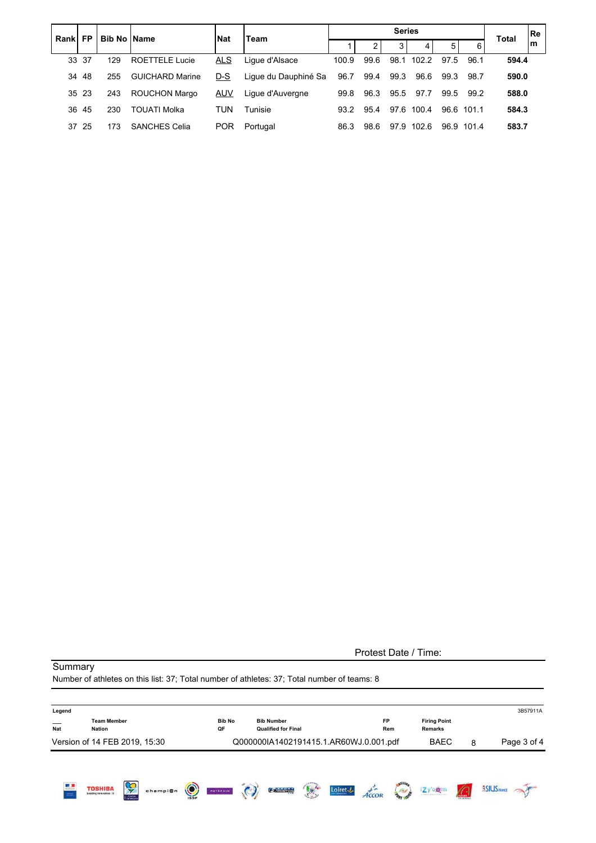| Rankl | <b>FP</b> | <b>Bib No IName</b> |                        | <b>Nat</b> | Team                 |       |                | <b>Series</b> |            |      |            | <b>Total</b> | l Re |
|-------|-----------|---------------------|------------------------|------------|----------------------|-------|----------------|---------------|------------|------|------------|--------------|------|
|       |           |                     |                        |            |                      |       | $\overline{2}$ | 3             | 4          | 5    | 6          |              | lm   |
|       | 33 37     | 129                 | ROETTELE Lucie         | <b>ALS</b> | Lique d'Alsace       | 100.9 | 99.6           | 98.1          | 102.2      | 97.5 | 96.1       | 594.4        |      |
|       | 34 48     | 255                 | <b>GUICHARD Marine</b> | D-S        | Lique du Dauphiné Sa | 96.7  | 99.4           | 99.3          | 96.6       | 99.3 | 98.7       | 590.0        |      |
|       | 35 23     | 243                 | <b>ROUCHON Margo</b>   | AUV        | Ligue d'Auvergne     | 99.8  | 96.3           | 95.5          | 97.7       | 99.5 | 99.2       | 588.0        |      |
|       | 36 45     | 230                 | TOUATI Molka           | TUN        | Tunisie              | 93.2  | 95.4           |               | 97.6 100.4 |      | 96.6 101.1 | 584.3        |      |
| 37    | 25        | 173                 | <b>SANCHES Celia</b>   | <b>POR</b> | Portugal             | 86.3  | 98.6           | 97.9          | 102.6      | 96.9 | 101.4      | 583.7        |      |

Protest Date / Time:

| Legend |                                                                                       |                     |                                                                |                    |                  |                                |   | 3B57911A            |
|--------|---------------------------------------------------------------------------------------|---------------------|----------------------------------------------------------------|--------------------|------------------|--------------------------------|---|---------------------|
| Nat    | <b>Team Member</b><br><b>Nation</b>                                                   | <b>Bib No</b><br>QF | <b>Bib Number</b><br><b>Qualified for Final</b>                |                    | <b>FP</b><br>Rem | <b>Firing Point</b><br>Remarks |   |                     |
|        | Version of 14 FEB 2019, 15:30                                                         |                     | Q000000IA1402191415.1.AR60WJ.0.001.pdf                         |                    |                  | <b>BAEC</b>                    | 8 | Page 3 of 4         |
|        | Ç<br><b>TOSHIBA</b><br>champi@n<br><b>Leading Innovation 22</b><br>Centre<br>Victoria | $\odot$<br>PATAPAIN | $\ddot{\mathbf{c}}$<br>$\frac{1}{\sqrt{2}}$<br>$O_{\rm 250mm}$ | Loiret $\sqrt{\ }$ | $\mathbb{R}$     | izy'ogm                        |   | <b>ASIUS FRANCE</b> |

Summary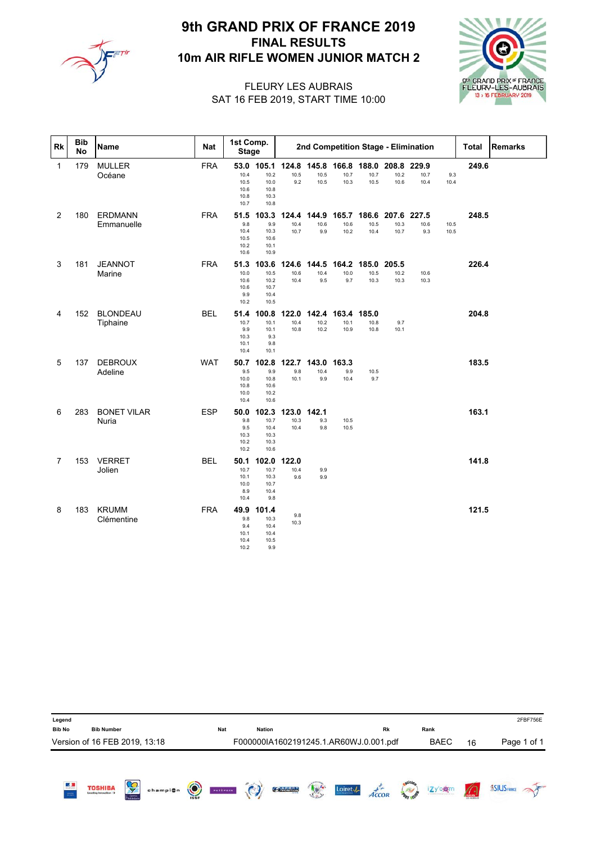

# 10m AIR RIFLE WOMEN JUNIOR MATCH 2 FINAL RESULTS 9th GRAND PRIX OF FRANCE 2019



#### SAT 16 FEB 2019, START TIME 10:00 FLEURY LES AUBRAIS

| Rk             | <b>Bib</b><br><b>No</b> | Name                         | <b>Nat</b> | 1st Comp.<br><b>Stage</b>                    |                                               |                       |                       |                                               |                             |                             | 2nd Competition Stage - Elimination |              | <b>Total</b> | <b>Remarks</b> |
|----------------|-------------------------|------------------------------|------------|----------------------------------------------|-----------------------------------------------|-----------------------|-----------------------|-----------------------------------------------|-----------------------------|-----------------------------|-------------------------------------|--------------|--------------|----------------|
| 1              | 179                     | <b>MULLER</b><br>Océane      | <b>FRA</b> | 53.0<br>10.4<br>10.5<br>10.6<br>10.8<br>10.7 | 105.1<br>10.2<br>10.0<br>10.8<br>10.3<br>10.8 | 124.8<br>10.5<br>9.2  | 10.5<br>10.5          | 145.8 166.8 188.0 208.8 229.9<br>10.7<br>10.3 | 10.7<br>10.5                | 10.2<br>10.6                | 10.7<br>10.4                        | 9.3<br>10.4  | 249.6        |                |
| $\overline{c}$ | 180                     | <b>ERDMANN</b><br>Emmanuelle | <b>FRA</b> | 51.5<br>9.8<br>10.4<br>10.5<br>10.2<br>10.6  | 103.3<br>9.9<br>10.3<br>10.6<br>10.1<br>10.9  | 124.4<br>10.4<br>10.7 | 144.9<br>10.6<br>9.9  | 165.7<br>10.6<br>10.2                         | 186.6<br>10.5<br>10.4       | 207.6 227.5<br>10.3<br>10.7 | 10.6<br>9.3                         | 10.5<br>10.5 | 248.5        |                |
| 3              | 181                     | <b>JEANNOT</b><br>Marine     | <b>FRA</b> | 51.3<br>10.0<br>10.6<br>10.6<br>9.9<br>10.2  | 103.6<br>10.5<br>10.2<br>10.7<br>10.4<br>10.5 | 124.6<br>10.6<br>10.4 | 10.4<br>9.5           | 144.5 164.2<br>10.0<br>9.7                    | 185.0 205.5<br>10.5<br>10.3 | 10.2<br>10.3                | 10.6<br>10.3                        |              | 226.4        |                |
| 4              | 152                     | <b>BLONDEAU</b><br>Tiphaine  | <b>BEL</b> | 51.4<br>10.7<br>9.9<br>10.3<br>10.1<br>10.4  | 100.8<br>10.1<br>10.1<br>9.3<br>9.8<br>10.1   | 122.0<br>10.4<br>10.8 | 142.4<br>10.2<br>10.2 | 163.4<br>10.1<br>10.9                         | 185.0<br>10.8<br>10.8       | 9.7<br>10.1                 |                                     |              | 204.8        |                |
| 5              | 137                     | <b>DEBROUX</b><br>Adeline    | <b>WAT</b> | 50.7<br>9.5<br>10.0<br>10.8<br>10.0<br>10.4  | 102.8<br>9.9<br>10.8<br>10.6<br>10.2<br>10.6  | 122.7<br>9.8<br>10.1  | 143.0<br>10.4<br>9.9  | 163.3<br>9.9<br>10.4                          | 10.5<br>9.7                 |                             |                                     |              | 183.5        |                |
| 6              | 283                     | <b>BONET VILAR</b><br>Nuria  | <b>ESP</b> | 50.0<br>9.8<br>9.5<br>10.3<br>10.2<br>10.2   | 102.3<br>10.7<br>10.4<br>10.3<br>10.3<br>10.6 | 123.0<br>10.3<br>10.4 | 142.1<br>9.3<br>9.8   | 10.5<br>10.5                                  |                             |                             |                                     |              | 163.1        |                |
| 7              | 153                     | <b>VERRET</b><br>Jolien      | <b>BEL</b> | 50.1<br>10.7<br>10.1<br>10.0<br>8.9<br>10.4  | 102.0<br>10.7<br>10.3<br>10.7<br>10.4<br>9.8  | 122.0<br>10.4<br>9.6  | 9.9<br>9.9            |                                               |                             |                             |                                     |              | 141.8        |                |
| 8              | 183                     | <b>KRUMM</b><br>Clémentine   | <b>FRA</b> | 49.9<br>9.8<br>9.4<br>10.1<br>10.4<br>10.2   | 101.4<br>10.3<br>10.4<br>10.4<br>10.5<br>9.9  | 9.8<br>10.3           |                       |                                               |                             |                             |                                     |              | 121.5        |                |

| Legend<br><b>Bib No</b> | <b>Bib Number</b>             |              |          |         | <b>Nat</b> | <b>Nation</b> |                                        |    |                    | <b>Rk</b>             |                           | Rank        |                 | 2FBF756E            |
|-------------------------|-------------------------------|--------------|----------|---------|------------|---------------|----------------------------------------|----|--------------------|-----------------------|---------------------------|-------------|-----------------|---------------------|
|                         | Version of 16 FEB 2019, 13:18 |              |          |         |            |               | F000000IA1602191245.1.AR60WJ.0.001.pdf |    |                    |                       |                           | <b>BAEC</b> | 16              | Page 1 of 1         |
| 國具<br>$\frac{1}{2}$     | <b>TOSHIBA</b>                | Ş<br>Centre- | champion | $\odot$ | PATAPAIN   | $\odot$       | <b>COPOSITION</b>                      | 10 | Loiret $\sqrt{\ }$ | $A\stackrel{t}{CCOR}$ | plicies<br><b>AMISTOR</b> | izy'ogm     | $\sqrt{\Omega}$ | <b>ASIUS FRANCE</b> |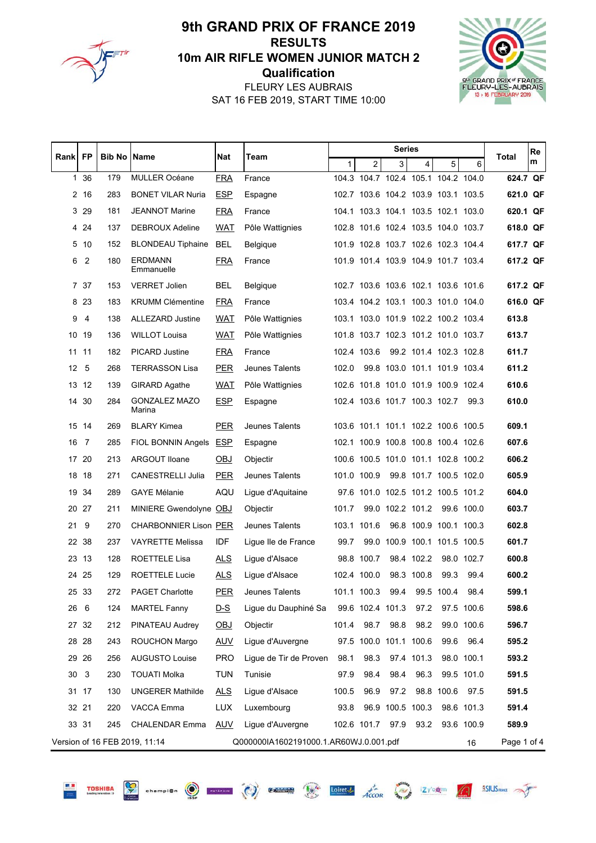

**TOSHIBA** 

#### FLEURY LES AUBRAIS **Qualification** 10m AIR RIFLE WOMEN JUNIOR MATCH 2 RESULTS 9th GRAND PRIX OF FRANCE 2019

SAT 16 FEB 2019, START TIME 10:00



| Rankl | <b>FP</b>      | <b>Bib No   Name</b> |                                | Nat        | Team                                   |              |                                     | <b>Series</b>    |                              |            |            | Re<br>Total |
|-------|----------------|----------------------|--------------------------------|------------|----------------------------------------|--------------|-------------------------------------|------------------|------------------------------|------------|------------|-------------|
|       |                |                      |                                |            |                                        | $\mathbf{1}$ | $\overline{2}$                      | 3                | 4                            | 5          | 6          | m           |
|       | 1 36           | 179                  | <b>MULLER Océane</b>           | <b>FRA</b> | France                                 |              | 104.3 104.7 102.4 105.1 104.2 104.0 |                  |                              |            |            | 624.7 QF    |
|       | 2 16           | 283                  | <b>BONET VILAR Nuria</b>       | <b>ESP</b> | Espagne                                |              | 102.7 103.6 104.2 103.9 103.1 103.5 |                  |                              |            |            | 621.0 QF    |
| 3     | -29            | 181                  | <b>JEANNOT Marine</b>          | <b>FRA</b> | France                                 |              | 104.1 103.3 104.1 103.5 102.1 103.0 |                  |                              |            |            | 620.1 QF    |
|       | 4 24           | 137                  | <b>DEBROUX Adeline</b>         | <b>WAT</b> | Pôle Wattignies                        |              | 102.8 101.6 102.4 103.5 104.0 103.7 |                  |                              |            |            | 618.0 QF    |
| 5     | 10             | 152                  | <b>BLONDEAU Tiphaine</b>       | BEL        | <b>Belgique</b>                        |              | 101.9 102.8 103.7 102.6 102.3 104.4 |                  |                              |            |            | 617.7 QF    |
| 6     | $\overline{2}$ | 180                  | <b>ERDMANN</b><br>Emmanuelle   | <b>FRA</b> | France                                 |              | 101.9 101.4 103.9 104.9 101.7 103.4 |                  |                              |            |            | 617.2 QF    |
|       | 7 37           | 153                  | <b>VERRET Jolien</b>           | <b>BEL</b> | Belgique                               |              | 102.7 103.6 103.6 102.1 103.6 101.6 |                  |                              |            |            | 617.2 QF    |
|       | 8 2 3          | 183                  | <b>KRUMM Clémentine</b>        | <b>FRA</b> | France                                 |              | 103.4 104.2 103.1 100.3 101.0 104.0 |                  |                              |            |            | 616.0 QF    |
| 9     | 4              | 138                  | ALLEZARD Justine               | <b>WAT</b> | Pôle Wattignies                        |              | 103.1 103.0 101.9 102.2 100.2 103.4 |                  |                              |            |            | 613.8       |
|       | 10 19          | 136                  | <b>WILLOT Louisa</b>           | <u>WAT</u> | Pôle Wattignies                        |              | 101.8 103.7 102.3 101.2 101.0 103.7 |                  |                              |            |            | 613.7       |
|       | 11 11          | 182                  | <b>PICARD Justine</b>          | <b>FRA</b> | France                                 |              | 102.4 103.6                         |                  | 99.2 101.4 102.3 102.8       |            |            | 611.7       |
| 12    | 5              | 268                  | <b>TERRASSON Lisa</b>          | <b>PER</b> | Jeunes Talents                         | 102.0        |                                     |                  | 99.8 103.0 101.1 101.9 103.4 |            |            | 611.2       |
|       | 13 12          | 139                  | GIRARD Agathe                  | <b>WAT</b> | Pôle Wattignies                        |              | 102.6 101.8 101.0 101.9 100.9 102.4 |                  |                              |            |            | 610.6       |
|       | 14 30          | 284                  | <b>GONZALEZ MAZO</b><br>Marina | <b>ESP</b> | Espagne                                |              | 102.4 103.6 101.7 100.3 102.7       |                  |                              |            | 99.3       | 610.0       |
|       | 15 14          | 269                  | <b>BLARY Kimea</b>             | <b>PER</b> | Jeunes Talents                         |              | 103.6 101.1 101.1 102.2 100.6 100.5 |                  |                              |            |            | 609.1       |
| 16    | - 7            | 285                  | FIOL BONNIN Angels ESP         |            | Espagne                                |              | 102.1 100.9 100.8 100.8 100.4 102.6 |                  |                              |            |            | 607.6       |
|       | 17 20          | 213                  | ARGOUT Iloane                  | OBJ        | Objectir                               |              | 100.6 100.5 101.0 101.1 102.8 100.2 |                  |                              |            |            | 606.2       |
|       | 18 18          | 271                  | <b>CANESTRELLI Julia</b>       | <b>PER</b> | Jeunes Talents                         |              | 101.0 100.9                         |                  | 99.8 101.7 100.5 102.0       |            |            | 605.9       |
|       | 19 34          | 289                  | <b>GAYE Mélanie</b>            | AQU        | Ligue d'Aquitaine                      |              | 97.6 101.0 102.5 101.2 100.5 101.2  |                  |                              |            |            | 604.0       |
|       | 20 27          | 211                  | MINIERE Gwendolyne OBJ         |            | Objectir                               | 101.7        |                                     |                  | 99.0 102.2 101.2 99.6 100.0  |            |            | 603.7       |
| 21    | 9              | 270                  | <b>CHARBONNIER Lison PER</b>   |            | Jeunes Talents                         |              | 103.1 101.6                         |                  | 96.8 100.9 100.1 100.3       |            |            | 602.8       |
|       | 22 38          | 237                  | <b>VAYRETTE Melissa</b>        | <b>IDF</b> | Lique Ile de France                    | 99.7         |                                     |                  | 99.0 100.9 100.1 101.5 100.5 |            |            | 601.7       |
|       | 23 13          | 128                  | ROETTELE Lisa                  | <b>ALS</b> | Ligue d'Alsace                         |              | 98.8 100.7                          |                  | 98.4 102.2                   |            | 98.0 102.7 | 600.8       |
|       | 24 25          | 129                  | ROETTELE Lucie                 | <u>ALS</u> | Lique d'Alsace                         |              | 102.4 100.0                         |                  | 98.3 100.8                   | 99.3       | 99.4       | 600.2       |
|       | 25 33          | 272                  | PAGET Charlotte                | <b>PER</b> | Jeunes Talents                         |              | 101.1 100.3                         | 99.4             |                              | 99.5 100.4 | 98.4       | 599.1       |
| 26    | 6              | 124                  | <b>MARTEL Fanny</b>            | $D-S$      | Ligue du Dauphiné Sa                   |              | 99.6 102.4 101.3                    |                  | 97.2                         |            | 97.5 100.6 | 598.6       |
|       | 27 32          | 212                  | PINATEAU Audrey                | <b>OBJ</b> | Objectir                               | 101.4        | 98.7                                | 98.8             | 98.2                         |            | 99.0 100.6 | 596.7       |
|       | 28 28          | 243                  | <b>ROUCHON Margo</b>           | <b>AUV</b> | Lique d'Auvergne                       |              | 97.5 100.0 101.1 100.6              |                  |                              | 99.6       | 96.4       | 595.2       |
|       | 29 26          | 256                  | <b>AUGUSTO Louise</b>          | <b>PRO</b> | Ligue de Tir de Proven                 | 98.1         | 98.3                                |                  | 97.4 101.3                   |            | 98.0 100.1 | 593.2       |
| 30    | $\mathbf{3}$   | 230                  | <b>TOUATI Molka</b>            | <b>TUN</b> | Tunisie                                | 97.9         | 98.4                                | 98.4             | 96.3                         |            | 99.5 101.0 | 591.5       |
|       | 31 17          | 130                  | <b>UNGERER Mathilde</b>        | <u>ALS</u> | Ligue d'Alsace                         | 100.5        | 96.9                                | 97.2             |                              | 98.8 100.6 | 97.5       | 591.5       |
|       | 32 21          | 220                  | VACCA Emma                     | <b>LUX</b> | Luxembourg                             | 93.8         |                                     | 96.9 100.5 100.3 |                              |            | 98.6 101.3 | 591.4       |
|       | 33 31          | 245                  | <b>CHALENDAR Emma</b>          | <b>AUV</b> | Ligue d'Auvergne                       |              | 102.6 101.7 97.9 93.2               |                  |                              |            | 93.6 100.9 | 589.9       |
|       |                |                      | Version of 16 FEB 2019, 11:14  |            | Q000000IA1602191000.1.AR60WJ.0.001.pdf |              |                                     |                  |                              |            | 16         | Page 1 of 4 |

Cohampion (C) COMES CONTECT ACCOR TELEVISION SSIUSHANCE TO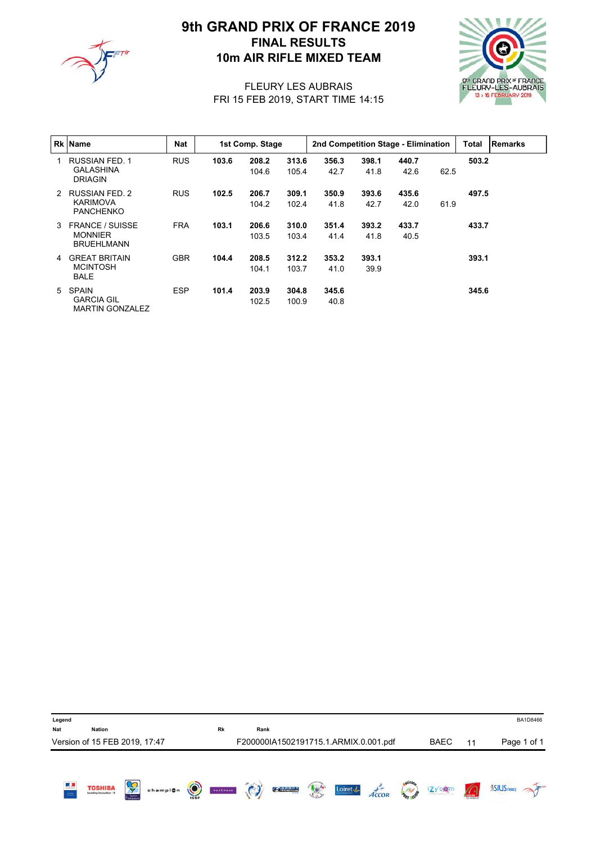

# 10m AIR RIFLE MIXED TEAM FINAL RESULTS 9th GRAND PRIX OF FRANCE 2019



#### FRI 15 FEB 2019, START TIME 14:15 FLEURY LES AUBRAIS

|               | <b>Rk Name</b>                                                | <b>Nat</b> |       | 1st Comp. Stage |                | 2nd Competition Stage - Elimination |               |               |      | <b>Total</b> | Remarks |
|---------------|---------------------------------------------------------------|------------|-------|-----------------|----------------|-------------------------------------|---------------|---------------|------|--------------|---------|
| 1             | <b>RUSSIAN FED. 1</b><br><b>GALASHINA</b><br><b>DRIAGIN</b>   | <b>RUS</b> | 103.6 | 208.2<br>104.6  | 313.6<br>105.4 | 356.3<br>42.7                       | 398.1<br>41.8 | 440.7<br>42.6 | 62.5 | 503.2        |         |
| $\mathcal{P}$ | <b>RUSSIAN FED. 2</b><br><b>KARIMOVA</b><br><b>PANCHENKO</b>  | <b>RUS</b> | 102.5 | 206.7<br>104.2  | 309.1<br>102.4 | 350.9<br>41.8                       | 393.6<br>42.7 | 435.6<br>42.0 | 61.9 | 497.5        |         |
| 3             | <b>FRANCE / SUISSE</b><br><b>MONNIER</b><br><b>BRUEHLMANN</b> | <b>FRA</b> | 103.1 | 206.6<br>103.5  | 310.0<br>103.4 | 351.4<br>41.4                       | 393.2<br>41.8 | 433.7<br>40.5 |      | 433.7        |         |
| 4             | <b>GREAT BRITAIN</b><br><b>MCINTOSH</b><br><b>BALE</b>        | <b>GBR</b> | 104.4 | 208.5<br>104.1  | 312.2<br>103.7 | 353.2<br>41.0                       | 393.1<br>39.9 |               |      | 393.1        |         |
| 5             | <b>SPAIN</b><br><b>GARCIA GIL</b><br><b>MARTIN GONZALEZ</b>   | <b>ESP</b> | 101.4 | 203.9<br>102.5  | 304.8<br>100.9 | 345.6<br>40.8                       |               |               |      | 345.6        |         |

| Legend                        |                |   |          |         |          |         |                                       |                      |                             |              |                       |             |                 | BA1D8466            |
|-------------------------------|----------------|---|----------|---------|----------|---------|---------------------------------------|----------------------|-----------------------------|--------------|-----------------------|-------------|-----------------|---------------------|
| <b>Nat</b>                    | <b>Nation</b>  |   |          |         | Rk       | Rank    |                                       |                      |                             |              |                       |             |                 |                     |
| Version of 15 FEB 2019, 17:47 |                |   |          |         |          |         | F200000IA1502191715.1.ARMIX.0.001.pdf |                      |                             |              |                       | <b>BAEC</b> | 11              | Page 1 of 1         |
| 國具<br>$\frac{1}{2}$           | <b>TOSHIBA</b> | Ç | champi@n | $\odot$ | PATAPAIN | $\odot$ | <b>OPOSITION</b>                      | $\frac{1}{\sqrt{2}}$ | Loiret $\sqrt{\phantom{a}}$ | $\vec{ACOR}$ | <b>CALL OF STRATE</b> | izy'e@m     | $\sqrt{\Omega}$ | <b>ASIUS FRANCE</b> |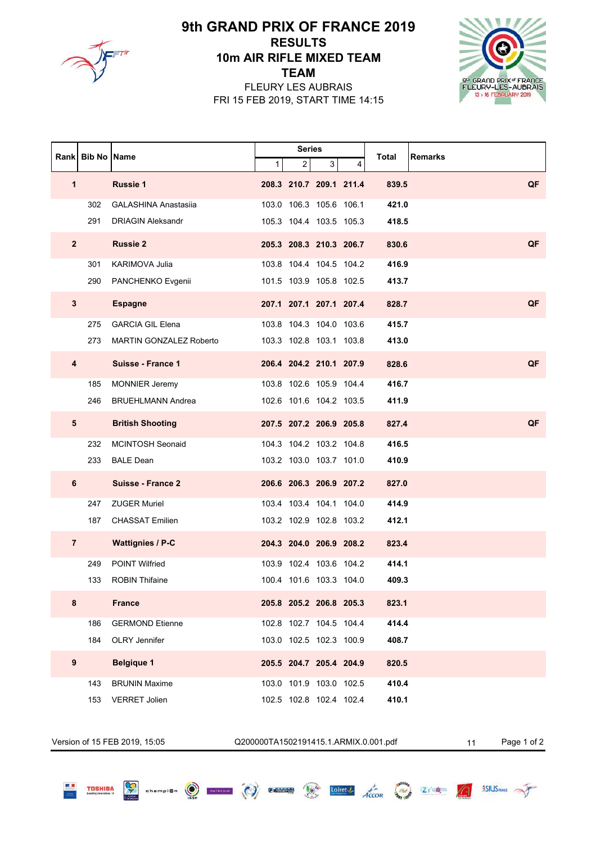

## **TEAM** 10m AIR RIFLE MIXED TEAM RESULTS 9th GRAND PRIX OF FRANCE 2019

FRI 15 FEB 2019, START TIME 14:15 FLEURY LES AUBRAIS



|                | Rank Bib No Name |                                |   | <b>Series</b> |                         |   |       |                |
|----------------|------------------|--------------------------------|---|---------------|-------------------------|---|-------|----------------|
|                |                  |                                | 1 | 2             | 3 <sup>2</sup>          | 4 | Total | <b>Remarks</b> |
| $\mathbf{1}$   |                  | <b>Russie 1</b>                |   |               | 208.3 210.7 209.1 211.4 |   | 839.5 | QF             |
|                | 302              | <b>GALASHINA Anastasiia</b>    |   |               | 103.0 106.3 105.6 106.1 |   | 421.0 |                |
|                | 291              | <b>DRIAGIN Aleksandr</b>       |   |               | 105.3 104.4 103.5 105.3 |   | 418.5 |                |
| $2^{\circ}$    |                  | <b>Russie 2</b>                |   |               | 205.3 208.3 210.3 206.7 |   | 830.6 | QF             |
|                | 301              | KARIMOVA Julia                 |   |               | 103.8 104.4 104.5 104.2 |   | 416.9 |                |
|                | 290              | PANCHENKO Evgenii              |   |               | 101.5 103.9 105.8 102.5 |   | 413.7 |                |
| $\mathbf{3}$   |                  | <b>Espagne</b>                 |   |               | 207.1 207.1 207.1 207.4 |   | 828.7 | QF             |
|                | 275              | <b>GARCIA GIL Elena</b>        |   |               | 103.8 104.3 104.0 103.6 |   | 415.7 |                |
|                | 273              | <b>MARTIN GONZALEZ Roberto</b> |   |               | 103.3 102.8 103.1 103.8 |   | 413.0 |                |
| 4              |                  | Suisse - France 1              |   |               | 206.4 204.2 210.1 207.9 |   | 828.6 | QF             |
|                | 185              | <b>MONNIER Jeremy</b>          |   |               | 103.8 102.6 105.9 104.4 |   | 416.7 |                |
|                | 246              | <b>BRUEHLMANN Andrea</b>       |   |               | 102.6 101.6 104.2 103.5 |   | 411.9 |                |
| 5              |                  | <b>British Shooting</b>        |   |               | 207.5 207.2 206.9 205.8 |   | 827.4 | QF             |
|                | 232              | <b>MCINTOSH Seonaid</b>        |   |               | 104.3 104.2 103.2 104.8 |   | 416.5 |                |
|                | 233              | <b>BALE Dean</b>               |   |               | 103.2 103.0 103.7 101.0 |   | 410.9 |                |
| 6              |                  | <b>Suisse - France 2</b>       |   |               | 206.6 206.3 206.9 207.2 |   | 827.0 |                |
|                | 247              | <b>ZUGER Muriel</b>            |   |               | 103.4 103.4 104.1 104.0 |   | 414.9 |                |
|                | 187              | <b>CHASSAT Emilien</b>         |   |               | 103.2 102.9 102.8 103.2 |   | 412.1 |                |
| $\overline{7}$ |                  | <b>Wattignies / P-C</b>        |   |               | 204.3 204.0 206.9 208.2 |   | 823.4 |                |
|                | 249              | <b>POINT Wilfried</b>          |   |               | 103.9 102.4 103.6 104.2 |   | 414.1 |                |
|                | 133              | <b>ROBIN Thifaine</b>          |   |               | 100.4 101.6 103.3 104.0 |   | 409.3 |                |
| 8              |                  | <b>France</b>                  |   |               | 205.8 205.2 206.8 205.3 |   | 823.1 |                |
|                | 186              | <b>GERMOND Etienne</b>         |   |               | 102.8 102.7 104.5 104.4 |   | 414.4 |                |
|                | 184              | OLRY Jennifer                  |   |               | 103.0 102.5 102.3 100.9 |   | 408.7 |                |
| 9              |                  | <b>Belgique 1</b>              |   |               | 205.5 204.7 205.4 204.9 |   | 820.5 |                |
|                | 143              | <b>BRUNIN Maxime</b>           |   |               | 103.0 101.9 103.0 102.5 |   | 410.4 |                |
|                | 153              | <b>VERRET Jolien</b>           |   |               | 102.5 102.8 102.4 102.4 |   | 410.1 |                |

Version of 15 FEB 2019, 15:05 Q200000TA1502191415.1.ARMIX.0.001.pdf 11 Page 1 of 2

champion and the common the common to the

 $\mathbf{S}$ 

**TOSHIBA** 

Loiret Accor 3 12YOR AM SSIUSHANE JF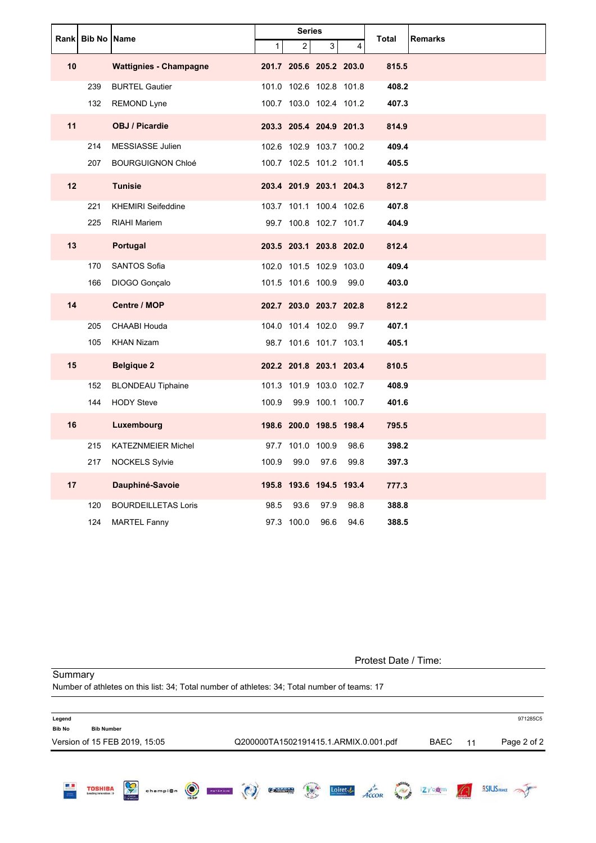|    |                      |                               |              | <b>Series</b>     |                         |      |       | <b>Remarks</b> |
|----|----------------------|-------------------------------|--------------|-------------------|-------------------------|------|-------|----------------|
|    | Rank   Bib No   Name |                               | $\mathbf{1}$ | $\overline{c}$    | 3                       | 4    | Total |                |
| 10 |                      | <b>Wattignies - Champagne</b> |              |                   | 201.7 205.6 205.2 203.0 |      | 815.5 |                |
|    | 239                  | <b>BURTEL Gautier</b>         |              |                   | 101.0 102.6 102.8 101.8 |      | 408.2 |                |
|    | 132                  | <b>REMOND Lyne</b>            |              |                   | 100.7 103.0 102.4 101.2 |      | 407.3 |                |
| 11 |                      | <b>OBJ / Picardie</b>         |              |                   | 203.3 205.4 204.9 201.3 |      | 814.9 |                |
|    | 214                  | <b>MESSIASSE Julien</b>       |              |                   | 102.6 102.9 103.7 100.2 |      | 409.4 |                |
|    | 207                  | <b>BOURGUIGNON Chloé</b>      |              |                   | 100.7 102.5 101.2 101.1 |      | 405.5 |                |
| 12 |                      | <b>Tunisie</b>                |              |                   | 203.4 201.9 203.1 204.3 |      | 812.7 |                |
|    | 221                  | <b>KHEMIRI Seifeddine</b>     |              |                   | 103.7 101.1 100.4 102.6 |      | 407.8 |                |
|    | 225                  | <b>RIAHI Mariem</b>           |              |                   | 99.7 100.8 102.7 101.7  |      | 404.9 |                |
| 13 |                      | Portugal                      |              |                   | 203.5 203.1 203.8 202.0 |      | 812.4 |                |
|    | 170                  | <b>SANTOS Sofia</b>           |              |                   | 102.0 101.5 102.9 103.0 |      | 409.4 |                |
|    | 166                  | DIOGO Gonçalo                 |              | 101.5 101.6 100.9 |                         | 99.0 | 403.0 |                |
| 14 |                      | <b>Centre / MOP</b>           |              |                   | 202.7 203.0 203.7 202.8 |      | 812.2 |                |
|    | 205                  | CHAABI Houda                  |              | 104.0 101.4 102.0 |                         | 99.7 | 407.1 |                |
|    | 105                  | <b>KHAN Nizam</b>             |              |                   | 98.7 101.6 101.7 103.1  |      | 405.1 |                |
| 15 |                      | <b>Belgique 2</b>             |              |                   | 202.2 201.8 203.1 203.4 |      | 810.5 |                |
|    | 152                  | <b>BLONDEAU Tiphaine</b>      |              |                   | 101.3 101.9 103.0 102.7 |      | 408.9 |                |
|    | 144                  | <b>HODY Steve</b>             | 100.9        |                   | 99.9 100.1 100.7        |      | 401.6 |                |
| 16 |                      | Luxembourg                    |              |                   | 198.6 200.0 198.5 198.4 |      | 795.5 |                |
|    | 215                  | <b>KATEZNMEIER Michel</b>     |              | 97.7 101.0 100.9  |                         | 98.6 | 398.2 |                |
|    | 217                  | <b>NOCKELS Sylvie</b>         | 100.9        | 99.0              | 97.6                    | 99.8 | 397.3 |                |
| 17 |                      | Dauphiné-Savoie               |              |                   | 195.8 193.6 194.5 193.4 |      | 777.3 |                |
|    | 120                  | <b>BOURDEILLETAS Loris</b>    | 98.5         | 93.6              | 97.9                    | 98.8 | 388.8 |                |
|    | 124                  | <b>MARTEL Fanny</b>           |              | 97.3 100.0        | 96.6                    | 94.6 | 388.5 |                |

|                         | Summary<br>Number of athletes on this list: 34; Total number of athletes: 34; Total number of teams: 17 |   |          |         |                 |         |                                       |                      |                  |                   |            |                                              |    |                    |
|-------------------------|---------------------------------------------------------------------------------------------------------|---|----------|---------|-----------------|---------|---------------------------------------|----------------------|------------------|-------------------|------------|----------------------------------------------|----|--------------------|
| Legend<br><b>Bib No</b> | <b>Bib Number</b>                                                                                       |   |          |         |                 |         |                                       |                      |                  |                   |            |                                              |    | 971285C5           |
|                         | Version of 15 FEB 2019, 15:05                                                                           |   |          |         |                 |         | Q200000TA1502191415.1.ARMIX.0.001.pdf |                      |                  |                   |            | <b>BAEC</b>                                  | 11 | Page 2 of 2        |
| 49<br>÷                 | <b>TOSHIBA</b><br><b>Leading Innovation 35</b>                                                          | Ş | champi@n | $\odot$ | <b>PATAPAIN</b> | $\odot$ | <b>OBSERV</b>                         | $\frac{1}{\sqrt{2}}$ | Loiret $\sqrt{}$ | A <sub>CCOR</sub> | <b>AND</b> | izy'oğm<br><b>Constitution</b> in Charles of |    | <b>ASIUS RANCE</b> |

Protest Date / Time: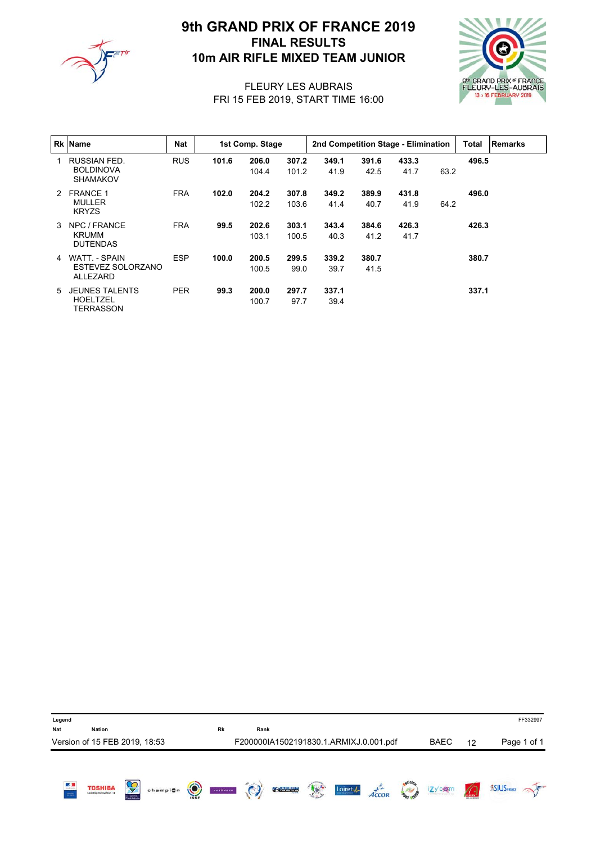

# 10m AIR RIFLE MIXED TEAM JUNIOR FINAL RESULTS 9th GRAND PRIX OF FRANCE 2019



#### FRI 15 FEB 2019, START TIME 16:00 FLEURY LES AUBRAIS

|               | <b>Rk</b> Name                                        | Nat        | 1st Comp. Stage |                |                | 2nd Competition Stage - Elimination |               | <b>Total</b>  | Remarks |       |  |
|---------------|-------------------------------------------------------|------------|-----------------|----------------|----------------|-------------------------------------|---------------|---------------|---------|-------|--|
| 1.            | RUSSIAN FED.<br><b>BOLDINOVA</b><br><b>SHAMAKOV</b>   | <b>RUS</b> | 101.6           | 206.0<br>104.4 | 307.2<br>101.2 | 349.1<br>41.9                       | 391.6<br>42.5 | 433.3<br>41.7 | 63.2    | 496.5 |  |
| $\mathcal{P}$ | <b>FRANCE 1</b><br><b>MULLER</b><br><b>KRYZS</b>      | <b>FRA</b> | 102.0           | 204.2<br>102.2 | 307.8<br>103.6 | 349.2<br>41.4                       | 389.9<br>40.7 | 431.8<br>41.9 | 64.2    | 496.0 |  |
| 3             | NPC / FRANCE<br><b>KRUMM</b><br><b>DUTENDAS</b>       | <b>FRA</b> | 99.5            | 202.6<br>103.1 | 303.1<br>100.5 | 343.4<br>40.3                       | 384.6<br>41.2 | 426.3<br>41.7 |         | 426.3 |  |
| 4             | WATT - SPAIN<br>ESTEVEZ SOLORZANO<br>ALLEZARD         | <b>ESP</b> | 100.0           | 200.5<br>100.5 | 299.5<br>99.0  | 339.2<br>39.7                       | 380.7<br>41.5 |               |         | 380.7 |  |
| 5             | <b>JEUNES TALENTS</b><br><b>HOELTZEL</b><br>TERRASSON | <b>PER</b> | 99.3            | 200.0<br>100.7 | 297.7<br>97.7  | 337.1<br>39.4                       |               |               |         | 337.1 |  |

| Legend<br><b>Nat</b> | <b>Nation</b>                 |   |          |         | Rk              | Rank    |                                        |             |                    |                             |                |             |            | FF332997            |
|----------------------|-------------------------------|---|----------|---------|-----------------|---------|----------------------------------------|-------------|--------------------|-----------------------------|----------------|-------------|------------|---------------------|
|                      | Version of 15 FEB 2019, 18:53 |   |          |         |                 |         | F200000IA1502191830.1.ARMIXJ.0.001.pdf |             |                    |                             |                | <b>BAEC</b> | 12         | Page 1 of 1         |
| 區<br>$\frac{1}{2}$   | <b>TOSHIBA</b>                | Ç | champi@n | $\odot$ | <b>PATÁPAIN</b> | $\odot$ | <b>COPOSITION</b>                      | <b>Text</b> | Loiret $\sqrt{\ }$ | $A\stackrel{p^{\neq}}{\ll}$ | <b>ANTI RE</b> | izy'egm     | $\sqrt{2}$ | <b>ASIUS</b> FRANCE |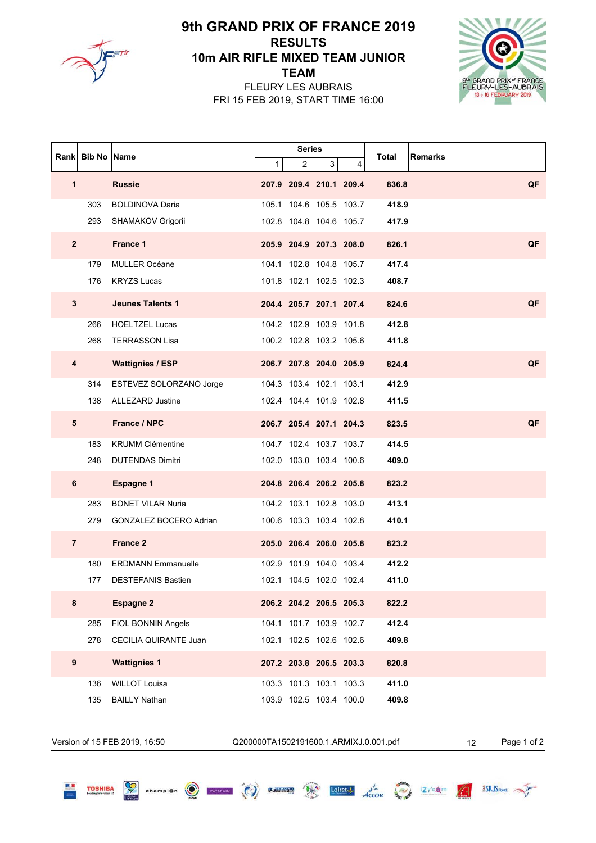

### **TEAM** 10m AIR RIFLE MIXED TEAM JUNIOR RESULTS 9th GRAND PRIX OF FRANCE 2019

FRI 15 FEB 2019, START TIME 16:00 FLEURY LES AUBRAIS



|                  | Rank Bib No Name |                           |   | <b>Series</b> |                         |   |       |                |
|------------------|------------------|---------------------------|---|---------------|-------------------------|---|-------|----------------|
|                  |                  |                           | 1 | 2             | 3 <sup>2</sup>          | 4 | Total | <b>Remarks</b> |
| $\mathbf{1}$     |                  | <b>Russie</b>             |   |               | 207.9 209.4 210.1 209.4 |   | 836.8 | QF             |
|                  | 303              | <b>BOLDINOVA Daria</b>    |   |               | 105.1 104.6 105.5 103.7 |   | 418.9 |                |
|                  | 293              | SHAMAKOV Grigorii         |   |               | 102.8 104.8 104.6 105.7 |   | 417.9 |                |
| $2^{\circ}$      |                  | France 1                  |   |               | 205.9 204.9 207.3 208.0 |   | 826.1 | QF             |
|                  | 179              | MULLER Océane             |   |               | 104.1 102.8 104.8 105.7 |   | 417.4 |                |
|                  | 176              | <b>KRYZS Lucas</b>        |   |               | 101.8 102.1 102.5 102.3 |   | 408.7 |                |
| $3\phantom{a}$   |                  | <b>Jeunes Talents 1</b>   |   |               | 204.4 205.7 207.1 207.4 |   | 824.6 | QF             |
|                  | 266              | <b>HOELTZEL Lucas</b>     |   |               | 104.2 102.9 103.9 101.8 |   | 412.8 |                |
|                  | 268              | <b>TERRASSON Lisa</b>     |   |               | 100.2 102.8 103.2 105.6 |   | 411.8 |                |
| 4                |                  | <b>Wattignies / ESP</b>   |   |               | 206.7 207.8 204.0 205.9 |   | 824.4 | QF             |
|                  | 314              | ESTEVEZ SOLORZANO Jorge   |   |               | 104.3 103.4 102.1 103.1 |   | 412.9 |                |
|                  | 138              | ALLEZARD Justine          |   |               | 102.4 104.4 101.9 102.8 |   | 411.5 |                |
| $5\phantom{1}$   |                  | France / NPC              |   |               | 206.7 205.4 207.1 204.3 |   | 823.5 | QF             |
|                  | 183              | <b>KRUMM Clémentine</b>   |   |               | 104.7 102.4 103.7 103.7 |   | 414.5 |                |
|                  | 248              | <b>DUTENDAS Dimitri</b>   |   |               | 102.0 103.0 103.4 100.6 |   | 409.0 |                |
| 6                |                  | <b>Espagne 1</b>          |   |               | 204.8 206.4 206.2 205.8 |   | 823.2 |                |
|                  | 283              | <b>BONET VILAR Nuria</b>  |   |               | 104.2 103.1 102.8 103.0 |   | 413.1 |                |
|                  | 279              | GONZALEZ BOCERO Adrian    |   |               | 100.6 103.3 103.4 102.8 |   | 410.1 |                |
| $\overline{7}$   |                  | <b>France 2</b>           |   |               | 205.0 206.4 206.0 205.8 |   | 823.2 |                |
|                  | 180              | <b>ERDMANN Emmanuelle</b> |   |               | 102.9 101.9 104.0 103.4 |   | 412.2 |                |
|                  | 177              | <b>DESTEFANIS Bastien</b> |   |               | 102.1 104.5 102.0 102.4 |   | 411.0 |                |
| 8                |                  | <b>Espagne 2</b>          |   |               | 206.2 204.2 206.5 205.3 |   | 822.2 |                |
|                  | 285              | FIOL BONNIN Angels        |   |               | 104.1 101.7 103.9 102.7 |   | 412.4 |                |
|                  | 278              | CECILIA QUIRANTE Juan     |   |               | 102.1 102.5 102.6 102.6 |   | 409.8 |                |
| $\boldsymbol{9}$ |                  | <b>Wattignies 1</b>       |   |               | 207.2 203.8 206.5 203.3 |   | 820.8 |                |
|                  | 136              | <b>WILLOT Louisa</b>      |   |               | 103.3 101.3 103.1 103.3 |   | 411.0 |                |
|                  | 135              | <b>BAILLY Nathan</b>      |   |               | 103.9 102.5 103.4 100.0 |   | 409.8 |                |

Ç

**TOSHIBA** 

Version of 15 FEB 2019, 16:50 Q200000TA1502191600.1.ARMIXJ.0.001.pdf 12 Page 1 of 2

 $\begin{picture}(160,10) \put(0,0){\line(1,0){10}} \put(10,0){\line(1,0){10}} \put(10,0){\line(1,0){10}} \put(10,0){\line(1,0){10}} \put(10,0){\line(1,0){10}} \put(10,0){\line(1,0){10}} \put(10,0){\line(1,0){10}} \put(10,0){\line(1,0){10}} \put(10,0){\line(1,0){10}} \put(10,0){\line(1,0){10}} \put(10,0){\line(1,0){10}} \put(10,0){\line($ 

Loiret de Accor 12years 12years 15 3SIUS RANGE 25